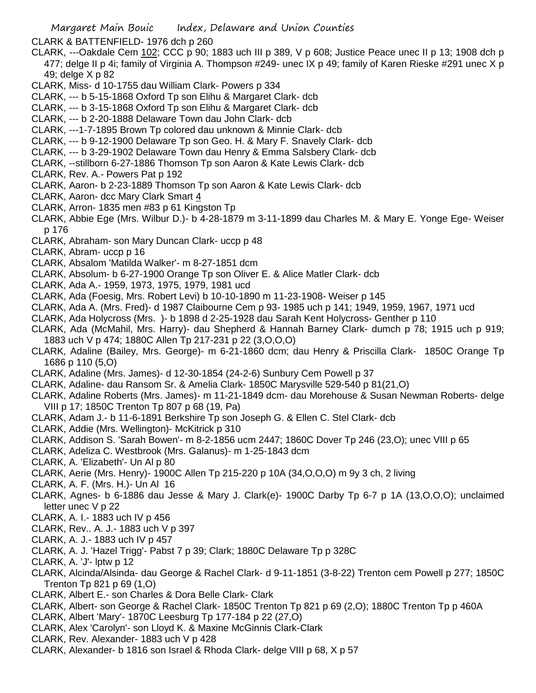CLARK & BATTENFIELD- 1976 dch p 260

- CLARK, ---Oakdale Cem 102; CCC p 90; 1883 uch III p 389, V p 608; Justice Peace unec II p 13; 1908 dch p 477; delge II p 4i; family of Virginia A. Thompson #249- unec IX p 49; family of Karen Rieske #291 unec X p 49; delge X p 82
- CLARK, Miss- d 10-1755 dau William Clark- Powers p 334
- CLARK, --- b 5-15-1868 Oxford Tp son Elihu & Margaret Clark- dcb
- CLARK, --- b 3-15-1868 Oxford Tp son Elihu & Margaret Clark- dcb
- CLARK, --- b 2-20-1888 Delaware Town dau John Clark- dcb
- CLARK, ---1-7-1895 Brown Tp colored dau unknown & Minnie Clark- dcb
- CLARK, --- b 9-12-1900 Delaware Tp son Geo. H. & Mary F. Snavely Clark- dcb
- CLARK, --- b 3-29-1902 Delaware Town dau Henry & Emma Salsbery Clark- dcb
- CLARK, --stillborn 6-27-1886 Thomson Tp son Aaron & Kate Lewis Clark- dcb
- CLARK, Rev. A.- Powers Pat p 192
- CLARK, Aaron- b 2-23-1889 Thomson Tp son Aaron & Kate Lewis Clark- dcb
- CLARK, Aaron- dcc Mary Clark Smart 4
- CLARK, Arron- 1835 men #83 p 61 Kingston Tp
- CLARK, Abbie Ege (Mrs. Wilbur D.)- b 4-28-1879 m 3-11-1899 dau Charles M. & Mary E. Yonge Ege- Weiser p 176
- CLARK, Abraham- son Mary Duncan Clark- uccp p 48
- CLARK, Abram- uccp p 16
- CLARK, Absalom 'Matilda Walker'- m 8-27-1851 dcm
- CLARK, Absolum- b 6-27-1900 Orange Tp son Oliver E. & Alice Matler Clark- dcb
- CLARK, Ada A.- 1959, 1973, 1975, 1979, 1981 ucd
- CLARK, Ada (Foesig, Mrs. Robert Levi) b 10-10-1890 m 11-23-1908- Weiser p 145
- CLARK, Ada A. (Mrs. Fred)- d 1987 Claibourne Cem p 93- 1985 uch p 141; 1949, 1959, 1967, 1971 ucd
- CLARK, Ada Holycross (Mrs. )- b 1898 d 2-25-1928 dau Sarah Kent Holycross- Genther p 110
- CLARK, Ada (McMahil, Mrs. Harry)- dau Shepherd & Hannah Barney Clark- dumch p 78; 1915 uch p 919; 1883 uch V p 474; 1880C Allen Tp 217-231 p 22 (3,O,O,O)
- CLARK, Adaline (Bailey, Mrs. George)- m 6-21-1860 dcm; dau Henry & Priscilla Clark- 1850C Orange Tp 1686 p 110 (5,O)
- CLARK, Adaline (Mrs. James)- d 12-30-1854 (24-2-6) Sunbury Cem Powell p 37
- CLARK, Adaline- dau Ransom Sr. & Amelia Clark- 1850C Marysville 529-540 p 81(21,O)
- CLARK, Adaline Roberts (Mrs. James)- m 11-21-1849 dcm- dau Morehouse & Susan Newman Roberts- delge VIII p 17; 1850C Trenton Tp 807 p 68 (19, Pa)
- CLARK, Adam J.- b 11-6-1891 Berkshire Tp son Joseph G. & Ellen C. Stel Clark- dcb
- CLARK, Addie (Mrs. Wellington)- McKitrick p 310
- CLARK, Addison S. 'Sarah Bowen'- m 8-2-1856 ucm 2447; 1860C Dover Tp 246 (23,O); unec VIII p 65
- CLARK, Adeliza C. Westbrook (Mrs. Galanus)- m 1-25-1843 dcm
- CLARK, A. 'Elizabeth'- Un Al p 80
- CLARK, Aerie (Mrs. Henry)- 1900C Allen Tp 215-220 p 10A (34,O,O,O) m 9y 3 ch, 2 living
- CLARK, A. F. (Mrs. H.)- Un Al 16
- CLARK, Agnes- b 6-1886 dau Jesse & Mary J. Clark(e)- 1900C Darby Tp 6-7 p 1A (13,O,O,O); unclaimed letter unec V p 22
- CLARK, A. I.- 1883 uch IV p 456
- CLARK, Rev.. A. J.- 1883 uch V p 397
- CLARK, A. J.- 1883 uch IV p 457
- CLARK, A. J. 'Hazel Trigg'- Pabst 7 p 39; Clark; 1880C Delaware Tp p 328C
- CLARK, A. 'J'- lptw p 12
- CLARK, Alcinda/Alsinda- dau George & Rachel Clark- d 9-11-1851 (3-8-22) Trenton cem Powell p 277; 1850C Trenton Tp 821 p 69 (1,O)
- CLARK, Albert E.- son Charles & Dora Belle Clark- Clark
- CLARK, Albert- son George & Rachel Clark- 1850C Trenton Tp 821 p 69 (2,O); 1880C Trenton Tp p 460A
- CLARK, Albert 'Mary'- 1870C Leesburg Tp 177-184 p 22 (27,O)
- CLARK, Alex 'Carolyn'- son Lloyd K. & Maxine McGinnis Clark-Clark
- CLARK, Rev. Alexander- 1883 uch V p 428
- CLARK, Alexander- b 1816 son Israel & Rhoda Clark- delge VIII p 68, X p 57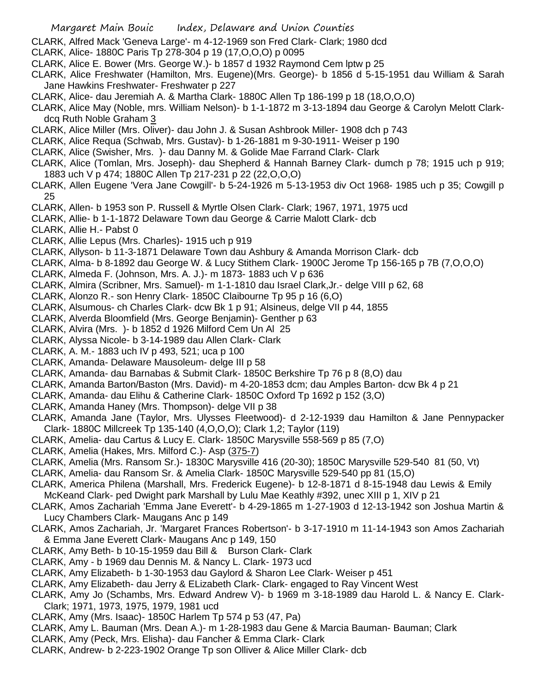- CLARK, Alfred Mack 'Geneva Large'- m 4-12-1969 son Fred Clark- Clark; 1980 dcd
- CLARK, Alice- 1880C Paris Tp 278-304 p 19 (17,O,O,O) p 0095
- CLARK, Alice E. Bower (Mrs. George W.)- b 1857 d 1932 Raymond Cem lptw p 25
- CLARK, Alice Freshwater (Hamilton, Mrs. Eugene)(Mrs. George)- b 1856 d 5-15-1951 dau William & Sarah Jane Hawkins Freshwater- Freshwater p 227
- CLARK, Alice- dau Jeremiah A. & Martha Clark- 1880C Allen Tp 186-199 p 18 (18,O,O,O)
- CLARK, Alice May (Noble, mrs. William Nelson)- b 1-1-1872 m 3-13-1894 dau George & Carolyn Melott Clarkdcq Ruth Noble Graham 3
- CLARK, Alice Miller (Mrs. Oliver)- dau John J. & Susan Ashbrook Miller- 1908 dch p 743
- CLARK, Alice Requa (Schwab, Mrs. Gustav)- b 1-26-1881 m 9-30-1911- Weiser p 190
- CLARK, Alice (Swisher, Mrs. )- dau Danny M. & Golide Mae Farrand Clark- Clark
- CLARK, Alice (Tomlan, Mrs. Joseph)- dau Shepherd & Hannah Barney Clark- dumch p 78; 1915 uch p 919; 1883 uch V p 474; 1880C Allen Tp 217-231 p 22 (22,O,O,O)
- CLARK, Allen Eugene 'Vera Jane Cowgill'- b 5-24-1926 m 5-13-1953 div Oct 1968- 1985 uch p 35; Cowgill p 25
- CLARK, Allen- b 1953 son P. Russell & Myrtle Olsen Clark- Clark; 1967, 1971, 1975 ucd
- CLARK, Allie- b 1-1-1872 Delaware Town dau George & Carrie Malott Clark- dcb
- CLARK, Allie H.- Pabst 0
- CLARK, Allie Lepus (Mrs. Charles)- 1915 uch p 919
- CLARK, Allyson- b 11-3-1871 Delaware Town dau Ashbury & Amanda Morrison Clark- dcb
- CLARK, Alma- b 8-1892 dau George W. & Lucy Stithem Clark- 1900C Jerome Tp 156-165 p 7B (7,O,O,O)
- CLARK, Almeda F. (Johnson, Mrs. A. J.)- m 1873- 1883 uch V p 636
- CLARK, Almira (Scribner, Mrs. Samuel)- m 1-1-1810 dau Israel Clark,Jr.- delge VIII p 62, 68
- CLARK, Alonzo R.- son Henry Clark- 1850C Claibourne Tp 95 p 16 (6,O)
- CLARK, Alsumous- ch Charles Clark- dcw Bk 1 p 91; Alsineus, delge VII p 44, 1855
- CLARK, Alverda Bloomfield (Mrs. George Benjamin)- Genther p 63
- CLARK, Alvira (Mrs. )- b 1852 d 1926 Milford Cem Un Al 25
- CLARK, Alyssa Nicole- b 3-14-1989 dau Allen Clark- Clark
- CLARK, A. M.- 1883 uch IV p 493, 521; uca p 100
- CLARK, Amanda- Delaware Mausoleum- delge III p 58
- CLARK, Amanda- dau Barnabas & Submit Clark- 1850C Berkshire Tp 76 p 8 (8,O) dau
- CLARK, Amanda Barton/Baston (Mrs. David)- m 4-20-1853 dcm; dau Amples Barton- dcw Bk 4 p 21
- CLARK, Amanda- dau Elihu & Catherine Clark- 1850C Oxford Tp 1692 p 152 (3,O)
- CLARK, Amanda Haney (Mrs. Thompson)- delge VII p 38
- CLARK, Amanda Jane (Taylor, Mrs. Ulysses Fleetwood)- d 2-12-1939 dau Hamilton & Jane Pennypacker Clark- 1880C Millcreek Tp 135-140 (4,O,O,O); Clark 1,2; Taylor (119)
- CLARK, Amelia- dau Cartus & Lucy E. Clark- 1850C Marysville 558-569 p 85 (7,O)
- CLARK, Amelia (Hakes, Mrs. Milford C.)- Asp (375-7)
- CLARK, Amelia (Mrs. Ransom Sr.)- 1830C Marysville 416 (20-30); 1850C Marysville 529-540 81 (50, Vt)
- CLARK, Amelia- dau Ransom Sr. & Amelia Clark- 1850C Marysville 529-540 pp 81 (15,O)
- CLARK, America Philena (Marshall, Mrs. Frederick Eugene)- b 12-8-1871 d 8-15-1948 dau Lewis & Emily McKeand Clark- ped Dwight park Marshall by Lulu Mae Keathly #392, unec XIII p 1, XIV p 21
- CLARK, Amos Zachariah 'Emma Jane Everett'- b 4-29-1865 m 1-27-1903 d 12-13-1942 son Joshua Martin & Lucy Chambers Clark- Maugans Anc p 149
- CLARK, Amos Zachariah, Jr. 'Margaret Frances Robertson'- b 3-17-1910 m 11-14-1943 son Amos Zachariah & Emma Jane Everett Clark- Maugans Anc p 149, 150
- CLARK, Amy Beth- b 10-15-1959 dau Bill & Burson Clark- Clark
- CLARK, Amy b 1969 dau Dennis M. & Nancy L. Clark- 1973 ucd
- CLARK, Amy Elizabeth- b 1-30-1953 dau Gaylord & Sharon Lee Clark- Weiser p 451
- CLARK, Amy Elizabeth- dau Jerry & ELizabeth Clark- Clark- engaged to Ray Vincent West
- CLARK, Amy Jo (Schambs, Mrs. Edward Andrew V)- b 1969 m 3-18-1989 dau Harold L. & Nancy E. Clark-Clark; 1971, 1973, 1975, 1979, 1981 ucd
- CLARK, Amy (Mrs. Isaac)- 1850C Harlem Tp 574 p 53 (47, Pa)
- CLARK, Amy L. Bauman (Mrs. Dean A.)- m 1-28-1983 dau Gene & Marcia Bauman- Bauman; Clark
- CLARK, Amy (Peck, Mrs. Elisha)- dau Fancher & Emma Clark- Clark
- CLARK, Andrew- b 2-223-1902 Orange Tp son Olliver & Alice Miller Clark- dcb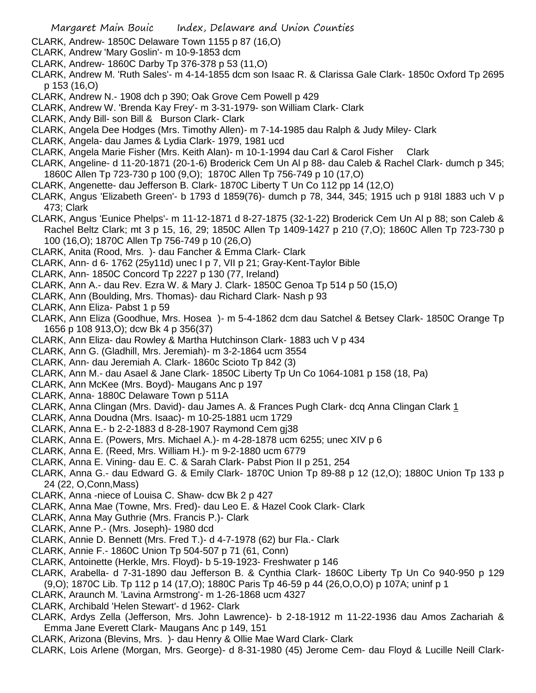- CLARK, Andrew- 1850C Delaware Town 1155 p 87 (16,O)
- CLARK, Andrew 'Mary Goslin'- m 10-9-1853 dcm
- CLARK, Andrew- 1860C Darby Tp 376-378 p 53 (11,O)
- CLARK, Andrew M. 'Ruth Sales'- m 4-14-1855 dcm son Isaac R. & Clarissa Gale Clark- 1850c Oxford Tp 2695 p 153 (16,O)
- CLARK, Andrew N.- 1908 dch p 390; Oak Grove Cem Powell p 429
- CLARK, Andrew W. 'Brenda Kay Frey'- m 3-31-1979- son William Clark- Clark
- CLARK, Andy Bill- son Bill & Burson Clark- Clark
- CLARK, Angela Dee Hodges (Mrs. Timothy Allen)- m 7-14-1985 dau Ralph & Judy Miley- Clark
- CLARK, Angela- dau James & Lydia Clark- 1979, 1981 ucd
- CLARK, Angela Marie Fisher (Mrs. Keith Alan)- m 10-1-1994 dau Carl & Carol Fisher Clark
- CLARK, Angeline- d 11-20-1871 (20-1-6) Broderick Cem Un Al p 88- dau Caleb & Rachel Clark- dumch p 345; 1860C Allen Tp 723-730 p 100 (9,O); 1870C Allen Tp 756-749 p 10 (17,O)
- CLARK, Angenette- dau Jefferson B. Clark- 1870C Liberty T Un Co 112 pp 14 (12,O)
- CLARK, Angus 'Elizabeth Green'- b 1793 d 1859(76)- dumch p 78, 344, 345; 1915 uch p 918l 1883 uch V p 473; Clark
- CLARK, Angus 'Eunice Phelps'- m 11-12-1871 d 8-27-1875 (32-1-22) Broderick Cem Un Al p 88; son Caleb & Rachel Beltz Clark; mt 3 p 15, 16, 29; 1850C Allen Tp 1409-1427 p 210 (7,O); 1860C Allen Tp 723-730 p 100 (16,O); 1870C Allen Tp 756-749 p 10 (26,O)
- CLARK, Anita (Rood, Mrs. )- dau Fancher & Emma Clark- Clark
- CLARK, Ann- d 6- 1762 (25y11d) unec I p 7, VII p 21; Gray-Kent-Taylor Bible
- CLARK, Ann- 1850C Concord Tp 2227 p 130 (77, Ireland)
- CLARK, Ann A.- dau Rev. Ezra W. & Mary J. Clark- 1850C Genoa Tp 514 p 50 (15,O)
- CLARK, Ann (Boulding, Mrs. Thomas)- dau Richard Clark- Nash p 93
- CLARK, Ann Eliza- Pabst 1 p 59
- CLARK, Ann Eliza (Goodhue, Mrs. Hosea )- m 5-4-1862 dcm dau Satchel & Betsey Clark- 1850C Orange Tp 1656 p 108 913,O); dcw Bk 4 p 356(37)
- CLARK, Ann Eliza- dau Rowley & Martha Hutchinson Clark- 1883 uch V p 434
- CLARK, Ann G. (Gladhill, Mrs. Jeremiah)- m 3-2-1864 ucm 3554
- CLARK, Ann- dau Jeremiah A. Clark- 1860c Scioto Tp 842 (3)
- CLARK, Ann M.- dau Asael & Jane Clark- 1850C Liberty Tp Un Co 1064-1081 p 158 (18, Pa)
- CLARK, Ann McKee (Mrs. Boyd)- Maugans Anc p 197
- CLARK, Anna- 1880C Delaware Town p 511A
- CLARK, Anna Clingan (Mrs. David)- dau James A. & Frances Pugh Clark- dcq Anna Clingan Clark 1
- CLARK, Anna Doudna (Mrs. Isaac)- m 10-25-1881 ucm 1729
- CLARK, Anna E.- b 2-2-1883 d 8-28-1907 Raymond Cem gj38
- CLARK, Anna E. (Powers, Mrs. Michael A.)- m 4-28-1878 ucm 6255; unec XIV p 6
- CLARK, Anna E. (Reed, Mrs. William H.)- m 9-2-1880 ucm 6779
- CLARK, Anna E. Vining- dau E. C. & Sarah Clark- Pabst Pion II p 251, 254
- CLARK, Anna G.- dau Edward G. & Emily Clark- 1870C Union Tp 89-88 p 12 (12,O); 1880C Union Tp 133 p 24 (22, O,Conn,Mass)
- CLARK, Anna -niece of Louisa C. Shaw- dcw Bk 2 p 427
- CLARK, Anna Mae (Towne, Mrs. Fred)- dau Leo E. & Hazel Cook Clark- Clark
- CLARK, Anna May Guthrie (Mrs. Francis P.)- Clark
- CLARK, Anne P.- (Mrs. Joseph)- 1980 dcd
- CLARK, Annie D. Bennett (Mrs. Fred T.)- d 4-7-1978 (62) bur Fla.- Clark
- CLARK, Annie F.- 1860C Union Tp 504-507 p 71 (61, Conn)
- CLARK, Antoinette (Herkle, Mrs. Floyd)- b 5-19-1923- Freshwater p 146
- CLARK, Arabella- d 7-31-1890 dau Jefferson B. & Cynthia Clark- 1860C Liberty Tp Un Co 940-950 p 129 (9,O); 1870C Lib. Tp 112 p 14 (17,O); 1880C Paris Tp 46-59 p 44 (26,O,O,O) p 107A; uninf p 1
- CLARK, Araunch M. 'Lavina Armstrong'- m 1-26-1868 ucm 4327
- CLARK, Archibald 'Helen Stewart'- d 1962- Clark
- CLARK, Ardys Zella (Jefferson, Mrs. John Lawrence)- b 2-18-1912 m 11-22-1936 dau Amos Zachariah & Emma Jane Everett Clark- Maugans Anc p 149, 151
- CLARK, Arizona (Blevins, Mrs. )- dau Henry & Ollie Mae Ward Clark- Clark
- CLARK, Lois Arlene (Morgan, Mrs. George)- d 8-31-1980 (45) Jerome Cem- dau Floyd & Lucille Neill Clark-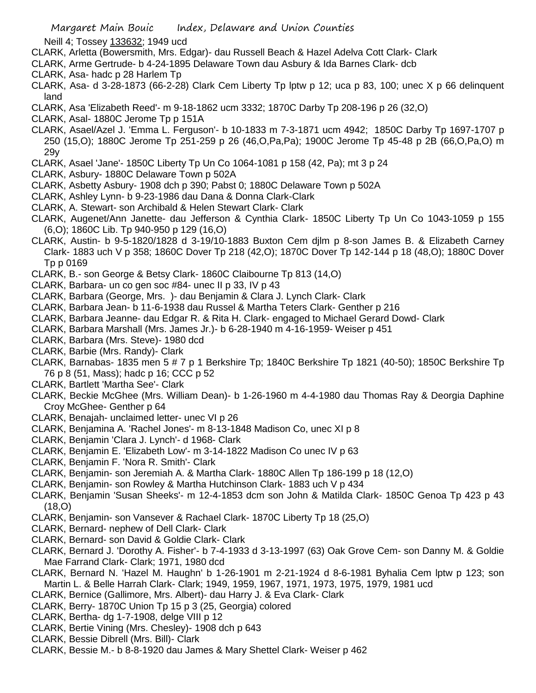Neill 4; Tossey 133632; 1949 ucd

- CLARK, Arletta (Bowersmith, Mrs. Edgar)- dau Russell Beach & Hazel Adelva Cott Clark- Clark
- CLARK, Arme Gertrude- b 4-24-1895 Delaware Town dau Asbury & Ida Barnes Clark- dcb
- CLARK, Asa- hadc p 28 Harlem Tp
- CLARK, Asa- d 3-28-1873 (66-2-28) Clark Cem Liberty Tp lptw p 12; uca p 83, 100; unec X p 66 delinquent land
- CLARK, Asa 'Elizabeth Reed'- m 9-18-1862 ucm 3332; 1870C Darby Tp 208-196 p 26 (32,O)
- CLARK, Asal- 1880C Jerome Tp p 151A
- CLARK, Asael/Azel J. 'Emma L. Ferguson'- b 10-1833 m 7-3-1871 ucm 4942; 1850C Darby Tp 1697-1707 p 250 (15,O); 1880C Jerome Tp 251-259 p 26 (46,O,Pa,Pa); 1900C Jerome Tp 45-48 p 2B (66,O,Pa,O) m 29y
- CLARK, Asael 'Jane'- 1850C Liberty Tp Un Co 1064-1081 p 158 (42, Pa); mt 3 p 24
- CLARK, Asbury- 1880C Delaware Town p 502A
- CLARK, Asbetty Asbury- 1908 dch p 390; Pabst 0; 1880C Delaware Town p 502A
- CLARK, Ashley Lynn- b 9-23-1986 dau Dana & Donna Clark-Clark
- CLARK, A. Stewart- son Archibald & Helen Stewart Clark- Clark
- CLARK, Augenet/Ann Janette- dau Jefferson & Cynthia Clark- 1850C Liberty Tp Un Co 1043-1059 p 155 (6,O); 1860C Lib. Tp 940-950 p 129 (16,O)
- CLARK, Austin- b 9-5-1820/1828 d 3-19/10-1883 Buxton Cem djlm p 8-son James B. & Elizabeth Carney Clark- 1883 uch V p 358; 1860C Dover Tp 218 (42,O); 1870C Dover Tp 142-144 p 18 (48,O); 1880C Dover Tp p 0169
- CLARK, B.- son George & Betsy Clark- 1860C Claibourne Tp 813 (14,O)
- CLARK, Barbara- un co gen soc #84- unec II p 33, IV p 43
- CLARK, Barbara (George, Mrs. )- dau Benjamin & Clara J. Lynch Clark- Clark
- CLARK, Barbara Jean- b 11-6-1938 dau Russel & Martha Teters Clark- Genther p 216
- CLARK, Barbara Jeanne- dau Edgar R. & Rita H. Clark- engaged to Michael Gerard Dowd- Clark
- CLARK, Barbara Marshall (Mrs. James Jr.)- b 6-28-1940 m 4-16-1959- Weiser p 451
- CLARK, Barbara (Mrs. Steve)- 1980 dcd
- CLARK, Barbie (Mrs. Randy)- Clark
- CLARK, Barnabas- 1835 men 5 # 7 p 1 Berkshire Tp; 1840C Berkshire Tp 1821 (40-50); 1850C Berkshire Tp 76 p 8 (51, Mass); hadc p 16; CCC p 52
- CLARK, Bartlett 'Martha See'- Clark
- CLARK, Beckie McGhee (Mrs. William Dean)- b 1-26-1960 m 4-4-1980 dau Thomas Ray & Deorgia Daphine Croy McGhee- Genther p 64
- CLARK, Benajah- unclaimed letter- unec VI p 26
- CLARK, Benjamina A. 'Rachel Jones'- m 8-13-1848 Madison Co, unec XI p 8
- CLARK, Benjamin 'Clara J. Lynch'- d 1968- Clark
- CLARK, Benjamin E. 'Elizabeth Low'- m 3-14-1822 Madison Co unec IV p 63
- CLARK, Benjamin F. 'Nora R. Smith'- Clark
- CLARK, Benjamin- son Jeremiah A. & Martha Clark- 1880C Allen Tp 186-199 p 18 (12,O)
- CLARK, Benjamin- son Rowley & Martha Hutchinson Clark- 1883 uch V p 434
- CLARK, Benjamin 'Susan Sheeks'- m 12-4-1853 dcm son John & Matilda Clark- 1850C Genoa Tp 423 p 43  $(18, 0)$
- CLARK, Benjamin- son Vansever & Rachael Clark- 1870C Liberty Tp 18 (25,O)
- CLARK, Bernard- nephew of Dell Clark- Clark
- CLARK, Bernard- son David & Goldie Clark- Clark
- CLARK, Bernard J. 'Dorothy A. Fisher'- b 7-4-1933 d 3-13-1997 (63) Oak Grove Cem- son Danny M. & Goldie Mae Farrand Clark- Clark; 1971, 1980 dcd
- CLARK, Bernard N. 'Hazel M. Haughn' b 1-26-1901 m 2-21-1924 d 8-6-1981 Byhalia Cem lptw p 123; son Martin L. & Belle Harrah Clark- Clark; 1949, 1959, 1967, 1971, 1973, 1975, 1979, 1981 ucd
- CLARK, Bernice (Gallimore, Mrs. Albert)- dau Harry J. & Eva Clark- Clark
- CLARK, Berry- 1870C Union Tp 15 p 3 (25, Georgia) colored
- CLARK, Bertha- dg 1-7-1908, delge VIII p 12
- CLARK, Bertie Vining (Mrs. Chesley)- 1908 dch p 643
- CLARK, Bessie Dibrell (Mrs. Bill)- Clark
- CLARK, Bessie M.- b 8-8-1920 dau James & Mary Shettel Clark- Weiser p 462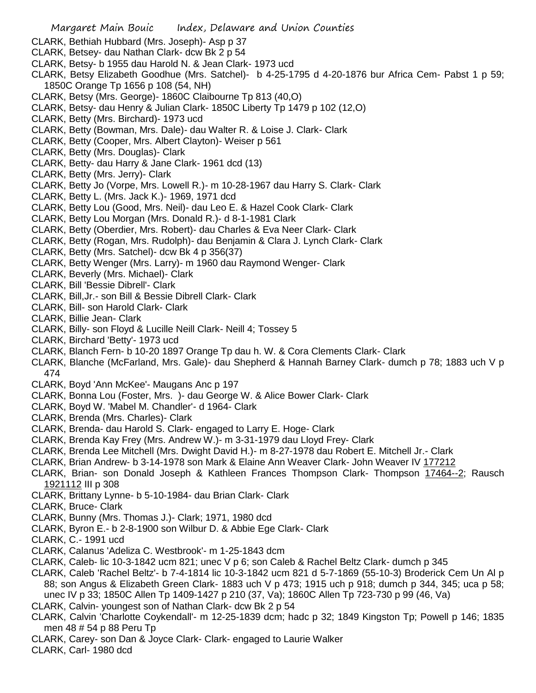- CLARK, Bethiah Hubbard (Mrs. Joseph)- Asp p 37
- CLARK, Betsey- dau Nathan Clark- dcw Bk 2 p 54
- CLARK, Betsy- b 1955 dau Harold N. & Jean Clark- 1973 ucd
- CLARK, Betsy Elizabeth Goodhue (Mrs. Satchel)- b 4-25-1795 d 4-20-1876 bur Africa Cem- Pabst 1 p 59; 1850C Orange Tp 1656 p 108 (54, NH)
- CLARK, Betsy (Mrs. George)- 1860C Claibourne Tp 813 (40,O)
- CLARK, Betsy- dau Henry & Julian Clark- 1850C Liberty Tp 1479 p 102 (12,O)
- CLARK, Betty (Mrs. Birchard)- 1973 ucd
- CLARK, Betty (Bowman, Mrs. Dale)- dau Walter R. & Loise J. Clark- Clark
- CLARK, Betty (Cooper, Mrs. Albert Clayton)- Weiser p 561
- CLARK, Betty (Mrs. Douglas)- Clark
- CLARK, Betty- dau Harry & Jane Clark- 1961 dcd (13)
- CLARK, Betty (Mrs. Jerry)- Clark
- CLARK, Betty Jo (Vorpe, Mrs. Lowell R.)- m 10-28-1967 dau Harry S. Clark- Clark
- CLARK, Betty L. (Mrs. Jack K.)- 1969, 1971 dcd
- CLARK, Betty Lou (Good, Mrs. Neil)- dau Leo E. & Hazel Cook Clark- Clark
- CLARK, Betty Lou Morgan (Mrs. Donald R.)- d 8-1-1981 Clark
- CLARK, Betty (Oberdier, Mrs. Robert)- dau Charles & Eva Neer Clark- Clark
- CLARK, Betty (Rogan, Mrs. Rudolph)- dau Benjamin & Clara J. Lynch Clark- Clark
- CLARK, Betty (Mrs. Satchel)- dcw Bk 4 p 356(37)
- CLARK, Betty Wenger (Mrs. Larry)- m 1960 dau Raymond Wenger- Clark
- CLARK, Beverly (Mrs. Michael)- Clark
- CLARK, Bill 'Bessie Dibrell'- Clark
- CLARK, Bill,Jr.- son Bill & Bessie Dibrell Clark- Clark
- CLARK, Bill- son Harold Clark- Clark
- CLARK, Billie Jean- Clark
- CLARK, Billy- son Floyd & Lucille Neill Clark- Neill 4; Tossey 5
- CLARK, Birchard 'Betty'- 1973 ucd
- CLARK, Blanch Fern- b 10-20 1897 Orange Tp dau h. W. & Cora Clements Clark- Clark
- CLARK, Blanche (McFarland, Mrs. Gale)- dau Shepherd & Hannah Barney Clark- dumch p 78; 1883 uch V p 474
- CLARK, Boyd 'Ann McKee'- Maugans Anc p 197
- CLARK, Bonna Lou (Foster, Mrs. )- dau George W. & Alice Bower Clark- Clark
- CLARK, Boyd W. 'Mabel M. Chandler'- d 1964- Clark
- CLARK, Brenda (Mrs. Charles)- Clark
- CLARK, Brenda- dau Harold S. Clark- engaged to Larry E. Hoge- Clark
- CLARK, Brenda Kay Frey (Mrs. Andrew W.)- m 3-31-1979 dau Lloyd Frey- Clark
- CLARK, Brenda Lee Mitchell (Mrs. Dwight David H.)- m 8-27-1978 dau Robert E. Mitchell Jr.- Clark
- CLARK, Brian Andrew- b 3-14-1978 son Mark & Elaine Ann Weaver Clark- John Weaver IV 177212
- CLARK, Brian- son Donald Joseph & Kathleen Frances Thompson Clark- Thompson 17464--2; Rausch 1921112 III p 308
- CLARK, Brittany Lynne- b 5-10-1984- dau Brian Clark- Clark
- CLARK, Bruce- Clark
- CLARK, Bunny (Mrs. Thomas J.)- Clark; 1971, 1980 dcd
- CLARK, Byron E.- b 2-8-1900 son Wilbur D. & Abbie Ege Clark- Clark
- CLARK, C.- 1991 ucd
- CLARK, Calanus 'Adeliza C. Westbrook'- m 1-25-1843 dcm
- CLARK, Caleb- lic 10-3-1842 ucm 821; unec V p 6; son Caleb & Rachel Beltz Clark- dumch p 345
- CLARK, Caleb 'Rachel Beltz'- b 7-4-1814 lic 10-3-1842 ucm 821 d 5-7-1869 (55-10-3) Broderick Cem Un Al p 88; son Angus & Elizabeth Green Clark- 1883 uch V p 473; 1915 uch p 918; dumch p 344, 345; uca p 58; unec IV p 33; 1850C Allen Tp 1409-1427 p 210 (37, Va); 1860C Allen Tp 723-730 p 99 (46, Va)
- CLARK, Calvin- youngest son of Nathan Clark- dcw Bk 2 p 54
- CLARK, Calvin 'Charlotte Coykendall'- m 12-25-1839 dcm; hadc p 32; 1849 Kingston Tp; Powell p 146; 1835 men 48 # 54 p 88 Peru Tp
- CLARK, Carey- son Dan & Joyce Clark- Clark- engaged to Laurie Walker
- CLARK, Carl- 1980 dcd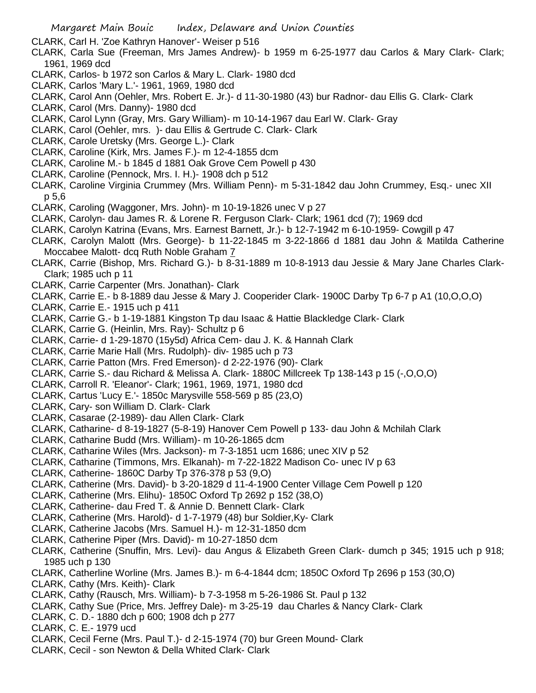CLARK, Carl H. 'Zoe Kathryn Hanover'- Weiser p 516

- CLARK, Carla Sue (Freeman, Mrs James Andrew)- b 1959 m 6-25-1977 dau Carlos & Mary Clark- Clark; 1961, 1969 dcd
- CLARK, Carlos- b 1972 son Carlos & Mary L. Clark- 1980 dcd
- CLARK, Carlos 'Mary L.'- 1961, 1969, 1980 dcd
- CLARK, Carol Ann (Oehler, Mrs. Robert E. Jr.)- d 11-30-1980 (43) bur Radnor- dau Ellis G. Clark- Clark
- CLARK, Carol (Mrs. Danny)- 1980 dcd
- CLARK, Carol Lynn (Gray, Mrs. Gary William)- m 10-14-1967 dau Earl W. Clark- Gray
- CLARK, Carol (Oehler, mrs. )- dau Ellis & Gertrude C. Clark- Clark
- CLARK, Carole Uretsky (Mrs. George L.)- Clark
- CLARK, Caroline (Kirk, Mrs. James F.)- m 12-4-1855 dcm
- CLARK, Caroline M.- b 1845 d 1881 Oak Grove Cem Powell p 430
- CLARK, Caroline (Pennock, Mrs. I. H.)- 1908 dch p 512
- CLARK, Caroline Virginia Crummey (Mrs. William Penn)- m 5-31-1842 dau John Crummey, Esq.- unec XII p 5,6
- CLARK, Caroling (Waggoner, Mrs. John)- m 10-19-1826 unec V p 27
- CLARK, Carolyn- dau James R. & Lorene R. Ferguson Clark- Clark; 1961 dcd (7); 1969 dcd
- CLARK, Carolyn Katrina (Evans, Mrs. Earnest Barnett, Jr.)- b 12-7-1942 m 6-10-1959- Cowgill p 47
- CLARK, Carolyn Malott (Mrs. George)- b 11-22-1845 m 3-22-1866 d 1881 dau John & Matilda Catherine Moccabee Malott- dcq Ruth Noble Graham 7
- CLARK, Carrie (Bishop, Mrs. Richard G.)- b 8-31-1889 m 10-8-1913 dau Jessie & Mary Jane Charles Clark-Clark; 1985 uch p 11
- CLARK, Carrie Carpenter (Mrs. Jonathan)- Clark
- CLARK, Carrie E.- b 8-1889 dau Jesse & Mary J. Cooperider Clark- 1900C Darby Tp 6-7 p A1 (10,O,O,O)
- CLARK, Carrie E.- 1915 uch p 411
- CLARK, Carrie G.- b 1-19-1881 Kingston Tp dau Isaac & Hattie Blackledge Clark- Clark
- CLARK, Carrie G. (Heinlin, Mrs. Ray)- Schultz p 6
- CLARK, Carrie- d 1-29-1870 (15y5d) Africa Cem- dau J. K. & Hannah Clark
- CLARK, Carrie Marie Hall (Mrs. Rudolph)- div- 1985 uch p 73
- CLARK, Carrie Patton (Mrs. Fred Emerson)- d 2-22-1976 (90)- Clark
- CLARK, Carrie S.- dau Richard & Melissa A. Clark- 1880C Millcreek Tp 138-143 p 15 (-,O,O,O)
- CLARK, Carroll R. 'Eleanor'- Clark; 1961, 1969, 1971, 1980 dcd
- CLARK, Cartus 'Lucy E.'- 1850c Marysville 558-569 p 85 (23,O)
- CLARK, Cary- son William D. Clark- Clark
- CLARK, Casarae (2-1989)- dau Allen Clark- Clark
- CLARK, Catharine- d 8-19-1827 (5-8-19) Hanover Cem Powell p 133- dau John & Mchilah Clark
- CLARK, Catharine Budd (Mrs. William)- m 10-26-1865 dcm
- CLARK, Catharine Wiles (Mrs. Jackson)- m 7-3-1851 ucm 1686; unec XIV p 52
- CLARK, Catharine (Timmons, Mrs. Elkanah)- m 7-22-1822 Madison Co- unec IV p 63
- CLARK, Catherine- 1860C Darby Tp 376-378 p 53 (9,O)
- CLARK, Catherine (Mrs. David)- b 3-20-1829 d 11-4-1900 Center Village Cem Powell p 120
- CLARK, Catherine (Mrs. Elihu)- 1850C Oxford Tp 2692 p 152 (38,O)
- CLARK, Catherine- dau Fred T. & Annie D. Bennett Clark- Clark
- CLARK, Catherine (Mrs. Harold)- d 1-7-1979 (48) bur Soldier,Ky- Clark
- CLARK, Catherine Jacobs (Mrs. Samuel H.)- m 12-31-1850 dcm
- CLARK, Catherine Piper (Mrs. David)- m 10-27-1850 dcm
- CLARK, Catherine (Snuffin, Mrs. Levi)- dau Angus & Elizabeth Green Clark- dumch p 345; 1915 uch p 918; 1985 uch p 130
- CLARK, Catherline Worline (Mrs. James B.)- m 6-4-1844 dcm; 1850C Oxford Tp 2696 p 153 (30,O)
- CLARK, Cathy (Mrs. Keith)- Clark
- CLARK, Cathy (Rausch, Mrs. William)- b 7-3-1958 m 5-26-1986 St. Paul p 132
- CLARK, Cathy Sue (Price, Mrs. Jeffrey Dale)- m 3-25-19 dau Charles & Nancy Clark- Clark
- CLARK, C. D.- 1880 dch p 600; 1908 dch p 277
- CLARK, C. E.- 1979 ucd
- CLARK, Cecil Ferne (Mrs. Paul T.)- d 2-15-1974 (70) bur Green Mound- Clark
- CLARK, Cecil son Newton & Della Whited Clark- Clark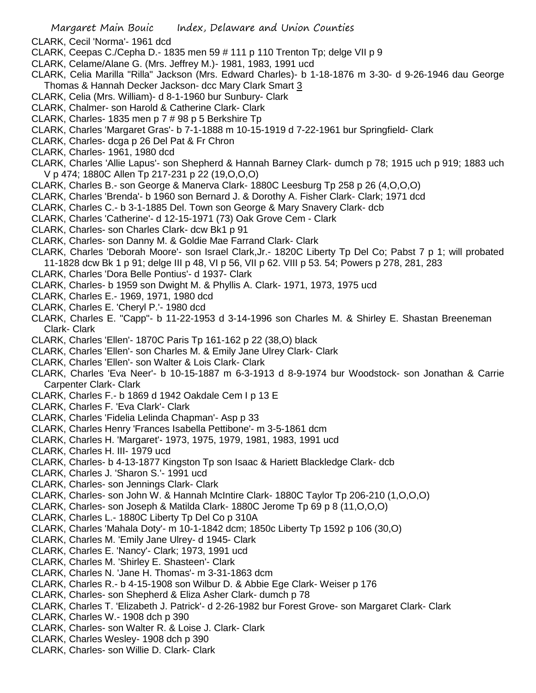- CLARK, Cecil 'Norma'- 1961 dcd
- CLARK, Ceepas C./Cepha D.- 1835 men 59 # 111 p 110 Trenton Tp; delge VII p 9
- CLARK, Celame/Alane G. (Mrs. Jeffrey M.)- 1981, 1983, 1991 ucd
- CLARK, Celia Marilla "Rilla" Jackson (Mrs. Edward Charles)- b 1-18-1876 m 3-30- d 9-26-1946 dau George Thomas & Hannah Decker Jackson- dcc Mary Clark Smart 3
- CLARK, Celia (Mrs. William)- d 8-1-1960 bur Sunbury- Clark
- CLARK, Chalmer- son Harold & Catherine Clark- Clark
- CLARK, Charles- 1835 men p 7 # 98 p 5 Berkshire Tp
- CLARK, Charles 'Margaret Gras'- b 7-1-1888 m 10-15-1919 d 7-22-1961 bur Springfield- Clark
- CLARK, Charles- dcga p 26 Del Pat & Fr Chron
- CLARK, Charles- 1961, 1980 dcd
- CLARK, Charles 'Allie Lapus'- son Shepherd & Hannah Barney Clark- dumch p 78; 1915 uch p 919; 1883 uch V p 474; 1880C Allen Tp 217-231 p 22 (19,O,O,O)
- CLARK, Charles B.- son George & Manerva Clark- 1880C Leesburg Tp 258 p 26 (4,O,O,O)
- CLARK, Charles 'Brenda'- b 1960 son Bernard J. & Dorothy A. Fisher Clark- Clark; 1971 dcd
- CLARK, Charles C.- b 3-1-1885 Del. Town son George & Mary Snavery Clark- dcb
- CLARK, Charles 'Catherine'- d 12-15-1971 (73) Oak Grove Cem Clark
- CLARK, Charles- son Charles Clark- dcw Bk1 p 91
- CLARK, Charles- son Danny M. & Goldie Mae Farrand Clark- Clark
- CLARK, Charles 'Deborah Moore'- son Israel Clark,Jr.- 1820C Liberty Tp Del Co; Pabst 7 p 1; will probated 11-1828 dcw Bk 1 p 91; delge III p 48, VI p 56, VII p 62. VIII p 53. 54; Powers p 278, 281, 283
- CLARK, Charles 'Dora Belle Pontius'- d 1937- Clark
- CLARK, Charles- b 1959 son Dwight M. & Phyllis A. Clark- 1971, 1973, 1975 ucd
- CLARK, Charles E.- 1969, 1971, 1980 dcd
- CLARK, Charles E. 'Cheryl P.'- 1980 dcd
- CLARK, Charles E. "Capp"- b 11-22-1953 d 3-14-1996 son Charles M. & Shirley E. Shastan Breeneman Clark- Clark
- CLARK, Charles 'Ellen'- 1870C Paris Tp 161-162 p 22 (38,O) black
- CLARK, Charles 'Ellen'- son Charles M. & Emily Jane Ulrey Clark- Clark
- CLARK, Charles 'Ellen'- son Walter & Lois Clark- Clark
- CLARK, Charles 'Eva Neer'- b 10-15-1887 m 6-3-1913 d 8-9-1974 bur Woodstock- son Jonathan & Carrie Carpenter Clark- Clark
- CLARK, Charles F.- b 1869 d 1942 Oakdale Cem I p 13 E
- CLARK, Charles F. 'Eva Clark'- Clark
- CLARK, Charles 'Fidelia Lelinda Chapman'- Asp p 33
- CLARK, Charles Henry 'Frances Isabella Pettibone'- m 3-5-1861 dcm
- CLARK, Charles H. 'Margaret'- 1973, 1975, 1979, 1981, 1983, 1991 ucd
- CLARK, Charles H. III- 1979 ucd
- CLARK, Charles- b 4-13-1877 Kingston Tp son Isaac & Hariett Blackledge Clark- dcb
- CLARK, Charles J. 'Sharon S.'- 1991 ucd
- CLARK, Charles- son Jennings Clark- Clark
- CLARK, Charles- son John W. & Hannah McIntire Clark- 1880C Taylor Tp 206-210 (1,O,O,O)
- CLARK, Charles- son Joseph & Matilda Clark- 1880C Jerome Tp 69 p 8 (11,O,O,O)
- CLARK, Charles L.- 1880C Liberty Tp Del Co p 310A
- CLARK, Charles 'Mahala Doty'- m 10-1-1842 dcm; 1850c Liberty Tp 1592 p 106 (30,O)
- CLARK, Charles M. 'Emily Jane Ulrey- d 1945- Clark
- CLARK, Charles E. 'Nancy'- Clark; 1973, 1991 ucd
- CLARK, Charles M. 'Shirley E. Shasteen'- Clark
- CLARK, Charles N. 'Jane H. Thomas'- m 3-31-1863 dcm
- CLARK, Charles R.- b 4-15-1908 son Wilbur D. & Abbie Ege Clark- Weiser p 176
- CLARK, Charles- son Shepherd & Eliza Asher Clark- dumch p 78
- CLARK, Charles T. 'Elizabeth J. Patrick'- d 2-26-1982 bur Forest Grove- son Margaret Clark- Clark
- CLARK, Charles W.- 1908 dch p 390
- CLARK, Charles- son Walter R. & Loise J. Clark- Clark
- CLARK, Charles Wesley- 1908 dch p 390
- CLARK, Charles- son Willie D. Clark- Clark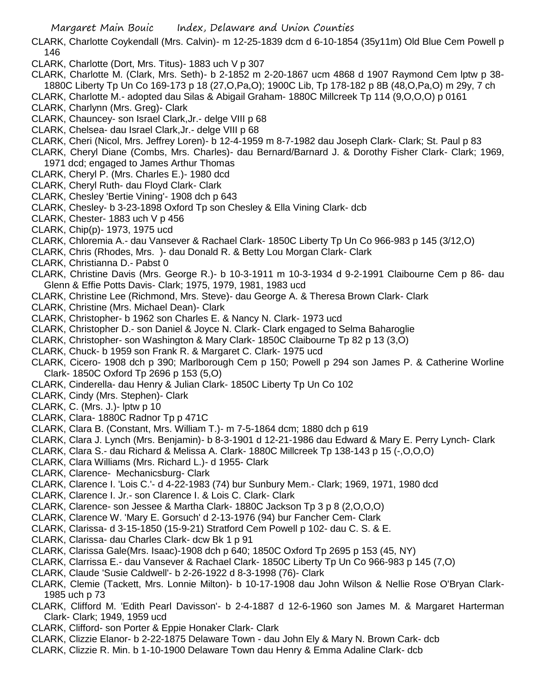- CLARK, Charlotte Coykendall (Mrs. Calvin)- m 12-25-1839 dcm d 6-10-1854 (35y11m) Old Blue Cem Powell p 146
- CLARK, Charlotte (Dort, Mrs. Titus)- 1883 uch V p 307
- CLARK, Charlotte M. (Clark, Mrs. Seth)- b 2-1852 m 2-20-1867 ucm 4868 d 1907 Raymond Cem lptw p 38- 1880C Liberty Tp Un Co 169-173 p 18 (27,O,Pa,O); 1900C Lib, Tp 178-182 p 8B (48,O,Pa,O) m 29y, 7 ch
- CLARK, Charlotte M.- adopted dau Silas & Abigail Graham- 1880C Millcreek Tp 114 (9,O,O,O) p 0161
- CLARK, Charlynn (Mrs. Greg)- Clark
- CLARK, Chauncey- son Israel Clark,Jr.- delge VIII p 68
- CLARK, Chelsea- dau Israel Clark,Jr.- delge VIII p 68
- CLARK, Cheri (Nicol, Mrs. Jeffrey Loren)- b 12-4-1959 m 8-7-1982 dau Joseph Clark- Clark; St. Paul p 83
- CLARK, Cheryl Diane (Combs, Mrs. Charles)- dau Bernard/Barnard J. & Dorothy Fisher Clark- Clark; 1969, 1971 dcd; engaged to James Arthur Thomas
- CLARK, Cheryl P. (Mrs. Charles E.)- 1980 dcd
- CLARK, Cheryl Ruth- dau Floyd Clark- Clark
- CLARK, Chesley 'Bertie Vining'- 1908 dch p 643
- CLARK, Chesley- b 3-23-1898 Oxford Tp son Chesley & Ella Vining Clark- dcb
- CLARK, Chester- 1883 uch V p 456
- CLARK, Chip(p)- 1973, 1975 ucd
- CLARK, Chloremia A.- dau Vansever & Rachael Clark- 1850C Liberty Tp Un Co 966-983 p 145 (3/12,O)
- CLARK, Chris (Rhodes, Mrs. )- dau Donald R. & Betty Lou Morgan Clark- Clark
- CLARK, Christianna D.- Pabst 0
- CLARK, Christine Davis (Mrs. George R.)- b 10-3-1911 m 10-3-1934 d 9-2-1991 Claibourne Cem p 86- dau Glenn & Effie Potts Davis- Clark; 1975, 1979, 1981, 1983 ucd
- CLARK, Christine Lee (Richmond, Mrs. Steve)- dau George A. & Theresa Brown Clark- Clark
- CLARK, Christine (Mrs. Michael Dean)- Clark
- CLARK, Christopher- b 1962 son Charles E. & Nancy N. Clark- 1973 ucd
- CLARK, Christopher D.- son Daniel & Joyce N. Clark- Clark engaged to Selma Baharoglie
- CLARK, Christopher- son Washington & Mary Clark- 1850C Claibourne Tp 82 p 13 (3,O)
- CLARK, Chuck- b 1959 son Frank R. & Margaret C. Clark- 1975 ucd
- CLARK, Cicero- 1908 dch p 390; Marlborough Cem p 150; Powell p 294 son James P. & Catherine Worline Clark- 1850C Oxford Tp 2696 p 153 (5,O)
- CLARK, Cinderella- dau Henry & Julian Clark- 1850C Liberty Tp Un Co 102
- CLARK, Cindy (Mrs. Stephen)- Clark
- CLARK, C. (Mrs. J.)- lptw p 10
- CLARK, Clara- 1880C Radnor Tp p 471C
- CLARK, Clara B. (Constant, Mrs. William T.)- m 7-5-1864 dcm; 1880 dch p 619
- CLARK, Clara J. Lynch (Mrs. Benjamin)- b 8-3-1901 d 12-21-1986 dau Edward & Mary E. Perry Lynch- Clark
- CLARK, Clara S.- dau Richard & Melissa A. Clark- 1880C Millcreek Tp 138-143 p 15 (-,O,O,O)
- CLARK, Clara Williams (Mrs. Richard L.)- d 1955- Clark
- CLARK, Clarence- Mechanicsburg- Clark
- CLARK, Clarence I. 'Lois C.'- d 4-22-1983 (74) bur Sunbury Mem.- Clark; 1969, 1971, 1980 dcd
- CLARK, Clarence I. Jr.- son Clarence I. & Lois C. Clark- Clark
- CLARK, Clarence- son Jessee & Martha Clark- 1880C Jackson Tp 3 p 8 (2,O,O,O)
- CLARK, Clarence W. 'Mary E. Gorsuch' d 2-13-1976 (94) bur Fancher Cem- Clark
- CLARK, Clarissa- d 3-15-1850 (15-9-21) Stratford Cem Powell p 102- dau C. S. & E.
- CLARK, Clarissa- dau Charles Clark- dcw Bk 1 p 91
- CLARK, Clarissa Gale(Mrs. Isaac)-1908 dch p 640; 1850C Oxford Tp 2695 p 153 (45, NY)
- CLARK, Clarrissa E.- dau Vansever & Rachael Clark- 1850C Liberty Tp Un Co 966-983 p 145 (7,O)
- CLARK, Claude 'Susie Caldwell'- b 2-26-1922 d 8-3-1998 (76)- Clark
- CLARK, Clemie (Tackett, Mrs. Lonnie Milton)- b 10-17-1908 dau John Wilson & Nellie Rose O'Bryan Clark-1985 uch p 73
- CLARK, Clifford M. 'Edith Pearl Davisson'- b 2-4-1887 d 12-6-1960 son James M. & Margaret Harterman Clark- Clark; 1949, 1959 ucd
- CLARK, Clifford- son Porter & Eppie Honaker Clark- Clark
- CLARK, Clizzie Elanor- b 2-22-1875 Delaware Town dau John Ely & Mary N. Brown Cark- dcb
- CLARK, Clizzie R. Min. b 1-10-1900 Delaware Town dau Henry & Emma Adaline Clark- dcb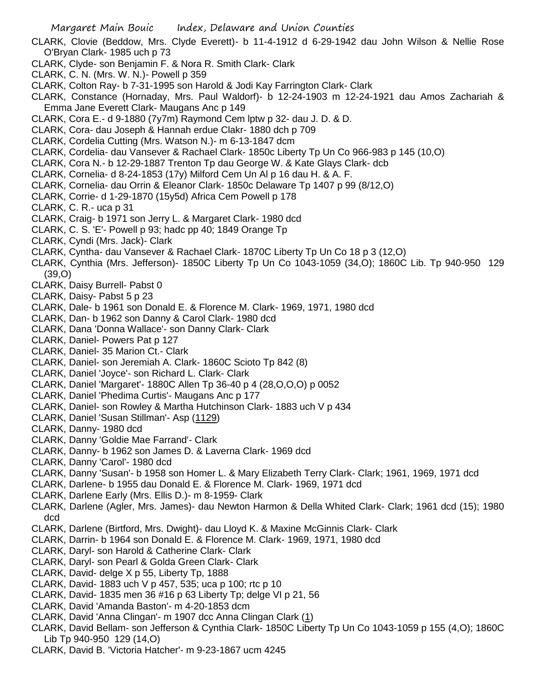- CLARK, Clovie (Beddow, Mrs. Clyde Everett)- b 11-4-1912 d 6-29-1942 dau John Wilson & Nellie Rose O'Bryan Clark- 1985 uch p 73
- CLARK, Clyde- son Benjamin F. & Nora R. Smith Clark- Clark
- CLARK, C. N. (Mrs. W. N.)- Powell p 359
- CLARK, Colton Ray- b 7-31-1995 son Harold & Jodi Kay Farrington Clark- Clark
- CLARK, Constance (Hornaday, Mrs. Paul Waldorf)- b 12-24-1903 m 12-24-1921 dau Amos Zachariah & Emma Jane Everett Clark- Maugans Anc p 149
- CLARK, Cora E.- d 9-1880 (7y7m) Raymond Cem lptw p 32- dau J. D. & D.
- CLARK, Cora- dau Joseph & Hannah erdue Clakr- 1880 dch p 709
- CLARK, Cordelia Cutting (Mrs. Watson N.)- m 6-13-1847 dcm
- CLARK, Cordelia- dau Vansever & Rachael Clark- 1850c Liberty Tp Un Co 966-983 p 145 (10,O)
- CLARK, Cora N.- b 12-29-1887 Trenton Tp dau George W. & Kate Glays Clark- dcb
- CLARK, Cornelia- d 8-24-1853 (17y) Milford Cem Un Al p 16 dau H. & A. F.
- CLARK, Cornelia- dau Orrin & Eleanor Clark- 1850c Delaware Tp 1407 p 99 (8/12,O)
- CLARK, Corrie- d 1-29-1870 (15y5d) Africa Cem Powell p 178
- CLARK, C. R.- uca p 31
- CLARK, Craig- b 1971 son Jerry L. & Margaret Clark- 1980 dcd
- CLARK, C. S. 'E'- Powell p 93; hadc pp 40; 1849 Orange Tp
- CLARK, Cyndi (Mrs. Jack)- Clark
- CLARK, Cyntha- dau Vansever & Rachael Clark- 1870C Liberty Tp Un Co 18 p 3 (12,O)
- CLARK, Cynthia (Mrs. Jefferson)- 1850C Liberty Tp Un Co 1043-1059 (34,O); 1860C Lib. Tp 940-950 129 (39,O)
- CLARK, Daisy Burrell- Pabst 0
- CLARK, Daisy- Pabst 5 p 23
- CLARK, Dale- b 1961 son Donald E. & Florence M. Clark- 1969, 1971, 1980 dcd
- CLARK, Dan- b 1962 son Danny & Carol Clark- 1980 dcd
- CLARK, Dana 'Donna Wallace'- son Danny Clark- Clark
- CLARK, Daniel- Powers Pat p 127
- CLARK, Daniel- 35 Marion Ct.- Clark
- CLARK, Daniel- son Jeremiah A. Clark- 1860C Scioto Tp 842 (8)
- CLARK, Daniel 'Joyce'- son Richard L. Clark- Clark
- CLARK, Daniel 'Margaret'- 1880C Allen Tp 36-40 p 4 (28,O,O,O) p 0052
- CLARK, Daniel 'Phedima Curtis'- Maugans Anc p 177
- CLARK, Daniel- son Rowley & Martha Hutchinson Clark- 1883 uch V p 434
- CLARK, Daniel 'Susan Stillman'- Asp (1129)
- CLARK, Danny- 1980 dcd
- CLARK, Danny 'Goldie Mae Farrand'- Clark
- CLARK, Danny- b 1962 son James D. & Laverna Clark- 1969 dcd
- CLARK, Danny 'Carol'- 1980 dcd
- CLARK, Danny 'Susan'- b 1958 son Homer L. & Mary Elizabeth Terry Clark- Clark; 1961, 1969, 1971 dcd
- CLARK, Darlene- b 1955 dau Donald E. & Florence M. Clark- 1969, 1971 dcd
- CLARK, Darlene Early (Mrs. Ellis D.)- m 8-1959- Clark
- CLARK, Darlene (Agler, Mrs. James)- dau Newton Harmon & Della Whited Clark- Clark; 1961 dcd (15); 1980 dcd
- CLARK, Darlene (Birtford, Mrs. Dwight)- dau Lloyd K. & Maxine McGinnis Clark- Clark
- CLARK, Darrin- b 1964 son Donald E. & Florence M. Clark- 1969, 1971, 1980 dcd
- CLARK, Daryl- son Harold & Catherine Clark- Clark
- CLARK, Daryl- son Pearl & Golda Green Clark- Clark
- CLARK, David- delge X p 55, Liberty Tp, 1888
- CLARK, David- 1883 uch V p 457, 535; uca p 100; rtc p 10
- CLARK, David- 1835 men 36 #16 p 63 Liberty Tp; delge VI p 21, 56
- CLARK, David 'Amanda Baston'- m 4-20-1853 dcm
- CLARK, David 'Anna Clingan'- m 1907 dcc Anna Clingan Clark (1)
- CLARK, David Bellam- son Jefferson & Cynthia Clark- 1850C Liberty Tp Un Co 1043-1059 p 155 (4,O); 1860C Lib Tp 940-950 129 (14,O)
- CLARK, David B. 'Victoria Hatcher'- m 9-23-1867 ucm 4245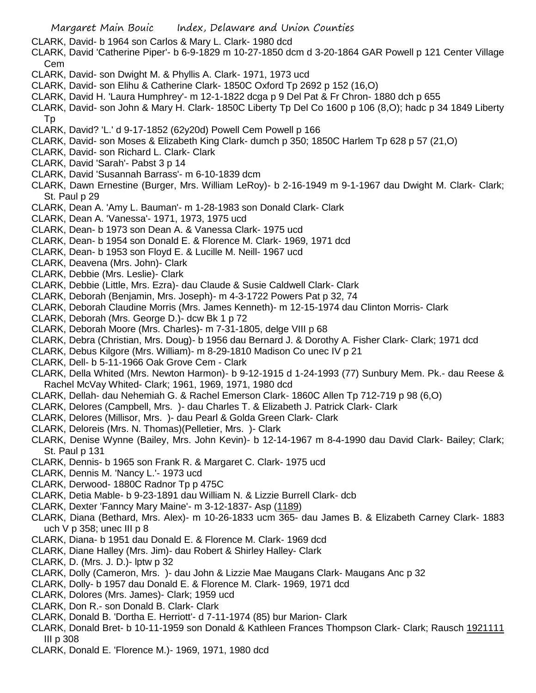- CLARK, David- b 1964 son Carlos & Mary L. Clark- 1980 dcd
- CLARK, David 'Catherine Piper'- b 6-9-1829 m 10-27-1850 dcm d 3-20-1864 GAR Powell p 121 Center Village Cem
- CLARK, David- son Dwight M. & Phyllis A. Clark- 1971, 1973 ucd
- CLARK, David- son Elihu & Catherine Clark- 1850C Oxford Tp 2692 p 152 (16,O)
- CLARK, David H. 'Laura Humphrey'- m 12-1-1822 dcga p 9 Del Pat & Fr Chron- 1880 dch p 655
- CLARK, David- son John & Mary H. Clark- 1850C Liberty Tp Del Co 1600 p 106 (8,O); hadc p 34 1849 Liberty Tp
- CLARK, David? 'L.' d 9-17-1852 (62y20d) Powell Cem Powell p 166
- CLARK, David- son Moses & Elizabeth King Clark- dumch p 350; 1850C Harlem Tp 628 p 57 (21,O)
- CLARK, David- son Richard L. Clark- Clark
- CLARK, David 'Sarah'- Pabst 3 p 14
- CLARK, David 'Susannah Barrass'- m 6-10-1839 dcm
- CLARK, Dawn Ernestine (Burger, Mrs. William LeRoy)- b 2-16-1949 m 9-1-1967 dau Dwight M. Clark- Clark; St. Paul p 29
- CLARK, Dean A. 'Amy L. Bauman'- m 1-28-1983 son Donald Clark- Clark
- CLARK, Dean A. 'Vanessa'- 1971, 1973, 1975 ucd
- CLARK, Dean- b 1973 son Dean A. & Vanessa Clark- 1975 ucd
- CLARK, Dean- b 1954 son Donald E. & Florence M. Clark- 1969, 1971 dcd
- CLARK, Dean- b 1953 son Floyd E. & Lucille M. Neill- 1967 ucd
- CLARK, Deavena (Mrs. John)- Clark
- CLARK, Debbie (Mrs. Leslie)- Clark
- CLARK, Debbie (Little, Mrs. Ezra)- dau Claude & Susie Caldwell Clark- Clark
- CLARK, Deborah (Benjamin, Mrs. Joseph)- m 4-3-1722 Powers Pat p 32, 74
- CLARK, Deborah Claudine Morris (Mrs. James Kenneth)- m 12-15-1974 dau Clinton Morris- Clark
- CLARK, Deborah (Mrs. George D.)- dcw Bk 1 p 72
- CLARK, Deborah Moore (Mrs. Charles)- m 7-31-1805, delge VIII p 68
- CLARK, Debra (Christian, Mrs. Doug)- b 1956 dau Bernard J. & Dorothy A. Fisher Clark- Clark; 1971 dcd
- CLARK, Debus Kilgore (Mrs. William)- m 8-29-1810 Madison Co unec IV p 21
- CLARK, Dell- b 5-11-1966 Oak Grove Cem Clark
- CLARK, Della Whited (Mrs. Newton Harmon)- b 9-12-1915 d 1-24-1993 (77) Sunbury Mem. Pk.- dau Reese & Rachel McVay Whited- Clark; 1961, 1969, 1971, 1980 dcd
- CLARK, Dellah- dau Nehemiah G. & Rachel Emerson Clark- 1860C Allen Tp 712-719 p 98 (6,O)
- CLARK, Delores (Campbell, Mrs. )- dau Charles T. & Elizabeth J. Patrick Clark- Clark
- CLARK, Delores (Millisor, Mrs. )- dau Pearl & Golda Green Clark- Clark
- CLARK, Deloreis (Mrs. N. Thomas)(Pelletier, Mrs. )- Clark
- CLARK, Denise Wynne (Bailey, Mrs. John Kevin)- b 12-14-1967 m 8-4-1990 dau David Clark- Bailey; Clark; St. Paul p 131
- CLARK, Dennis- b 1965 son Frank R. & Margaret C. Clark- 1975 ucd
- CLARK, Dennis M. 'Nancy L.'- 1973 ucd
- CLARK, Derwood- 1880C Radnor Tp p 475C
- CLARK, Detia Mable- b 9-23-1891 dau William N. & Lizzie Burrell Clark- dcb
- CLARK, Dexter 'Fanncy Mary Maine'- m 3-12-1837- Asp (1189)
- CLARK, Diana (Bethard, Mrs. Alex)- m 10-26-1833 ucm 365- dau James B. & Elizabeth Carney Clark- 1883 uch  $V$  p 358; unec III p 8
- CLARK, Diana- b 1951 dau Donald E. & Florence M. Clark- 1969 dcd
- CLARK, Diane Halley (Mrs. Jim)- dau Robert & Shirley Halley- Clark
- CLARK, D. (Mrs. J. D.)- lptw p 32
- CLARK, Dolly (Cameron, Mrs. )- dau John & Lizzie Mae Maugans Clark- Maugans Anc p 32
- CLARK, Dolly- b 1957 dau Donald E. & Florence M. Clark- 1969, 1971 dcd
- CLARK, Dolores (Mrs. James)- Clark; 1959 ucd
- CLARK, Don R.- son Donald B. Clark- Clark
- CLARK, Donald B. 'Dortha E. Herriott'- d 7-11-1974 (85) bur Marion- Clark
- CLARK, Donald Bret- b 10-11-1959 son Donald & Kathleen Frances Thompson Clark- Clark; Rausch 1921111 III p 308
- CLARK, Donald E. 'Florence M.)- 1969, 1971, 1980 dcd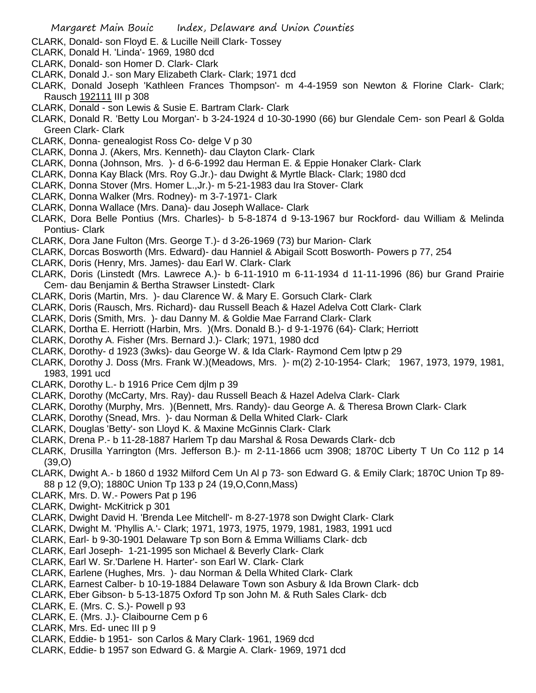- CLARK, Donald- son Floyd E. & Lucille Neill Clark- Tossey
- CLARK, Donald H. 'Linda'- 1969, 1980 dcd
- CLARK, Donald- son Homer D. Clark- Clark
- CLARK, Donald J.- son Mary Elizabeth Clark- Clark; 1971 dcd
- CLARK, Donald Joseph 'Kathleen Frances Thompson'- m 4-4-1959 son Newton & Florine Clark- Clark; Rausch 192111 III p 308
- CLARK, Donald son Lewis & Susie E. Bartram Clark- Clark
- CLARK, Donald R. 'Betty Lou Morgan'- b 3-24-1924 d 10-30-1990 (66) bur Glendale Cem- son Pearl & Golda Green Clark- Clark
- CLARK, Donna- genealogist Ross Co- delge V p 30
- CLARK, Donna J. (Akers, Mrs. Kenneth)- dau Clayton Clark- Clark
- CLARK, Donna (Johnson, Mrs. )- d 6-6-1992 dau Herman E. & Eppie Honaker Clark- Clark
- CLARK, Donna Kay Black (Mrs. Roy G.Jr.)- dau Dwight & Myrtle Black- Clark; 1980 dcd
- CLARK, Donna Stover (Mrs. Homer L.,Jr.)- m 5-21-1983 dau Ira Stover- Clark
- CLARK, Donna Walker (Mrs. Rodney)- m 3-7-1971- Clark
- CLARK, Donna Wallace (Mrs. Dana)- dau Joseph Wallace- Clark
- CLARK, Dora Belle Pontius (Mrs. Charles)- b 5-8-1874 d 9-13-1967 bur Rockford- dau William & Melinda Pontius- Clark
- CLARK, Dora Jane Fulton (Mrs. George T.)- d 3-26-1969 (73) bur Marion- Clark
- CLARK, Dorcas Bosworth (Mrs. Edward)- dau Hanniel & Abigail Scott Bosworth- Powers p 77, 254
- CLARK, Doris (Henry, Mrs. James)- dau Earl W. Clark- Clark
- CLARK, Doris (Linstedt (Mrs. Lawrece A.)- b 6-11-1910 m 6-11-1934 d 11-11-1996 (86) bur Grand Prairie Cem- dau Benjamin & Bertha Strawser Linstedt- Clark
- CLARK, Doris (Martin, Mrs. )- dau Clarence W. & Mary E. Gorsuch Clark- Clark
- CLARK, Doris (Rausch, Mrs. Richard)- dau Russell Beach & Hazel Adelva Cott Clark- Clark
- CLARK, Doris (Smith, Mrs. )- dau Danny M. & Goldie Mae Farrand Clark- Clark
- CLARK, Dortha E. Herriott (Harbin, Mrs. )(Mrs. Donald B.)- d 9-1-1976 (64)- Clark; Herriott
- CLARK, Dorothy A. Fisher (Mrs. Bernard J.)- Clark; 1971, 1980 dcd
- CLARK, Dorothy- d 1923 (3wks)- dau George W. & Ida Clark- Raymond Cem lptw p 29
- CLARK, Dorothy J. Doss (Mrs. Frank W.)(Meadows, Mrs. )- m(2) 2-10-1954- Clark; 1967, 1973, 1979, 1981, 1983, 1991 ucd
- CLARK, Dorothy L.- b 1916 Price Cem djlm p 39
- CLARK, Dorothy (McCarty, Mrs. Ray)- dau Russell Beach & Hazel Adelva Clark- Clark
- CLARK, Dorothy (Murphy, Mrs. )(Bennett, Mrs. Randy)- dau George A. & Theresa Brown Clark- Clark
- CLARK, Dorothy (Snead, Mrs. )- dau Norman & Della Whited Clark- Clark
- CLARK, Douglas 'Betty'- son Lloyd K. & Maxine McGinnis Clark- Clark
- CLARK, Drena P.- b 11-28-1887 Harlem Tp dau Marshal & Rosa Dewards Clark- dcb
- CLARK, Drusilla Yarrington (Mrs. Jefferson B.)- m 2-11-1866 ucm 3908; 1870C Liberty T Un Co 112 p 14 (39,O)
- CLARK, Dwight A.- b 1860 d 1932 Milford Cem Un Al p 73- son Edward G. & Emily Clark; 1870C Union Tp 89- 88 p 12 (9,O); 1880C Union Tp 133 p 24 (19,O,Conn,Mass)
- CLARK, Mrs. D. W.- Powers Pat p 196
- CLARK, Dwight- McKitrick p 301
- CLARK, Dwight David H. 'Brenda Lee Mitchell'- m 8-27-1978 son Dwight Clark- Clark
- CLARK, Dwight M. 'Phyllis A.'- Clark; 1971, 1973, 1975, 1979, 1981, 1983, 1991 ucd
- CLARK, Earl- b 9-30-1901 Delaware Tp son Born & Emma Williams Clark- dcb
- CLARK, Earl Joseph- 1-21-1995 son Michael & Beverly Clark- Clark
- CLARK, Earl W. Sr.'Darlene H. Harter'- son Earl W. Clark- Clark
- CLARK, Earlene (Hughes, Mrs. )- dau Norman & Della Whited Clark- Clark
- CLARK, Earnest Calber- b 10-19-1884 Delaware Town son Asbury & Ida Brown Clark- dcb
- CLARK, Eber Gibson- b 5-13-1875 Oxford Tp son John M. & Ruth Sales Clark- dcb
- CLARK, E. (Mrs. C. S.)- Powell p 93
- CLARK, E. (Mrs. J.)- Claibourne Cem p 6
- CLARK, Mrs. Ed- unec III p 9
- CLARK, Eddie- b 1951- son Carlos & Mary Clark- 1961, 1969 dcd
- CLARK, Eddie- b 1957 son Edward G. & Margie A. Clark- 1969, 1971 dcd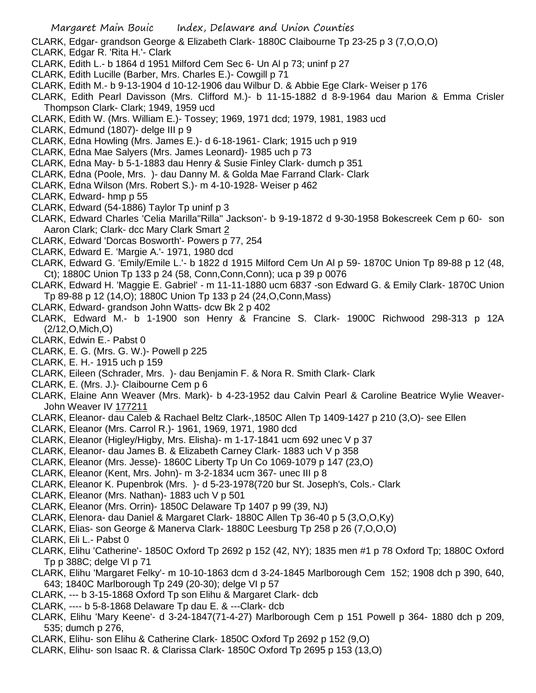- CLARK, Edgar- grandson George & Elizabeth Clark- 1880C Claibourne Tp 23-25 p 3 (7,O,O,O)
- CLARK, Edgar R. 'Rita H.'- Clark
- CLARK, Edith L.- b 1864 d 1951 Milford Cem Sec 6- Un Al p 73; uninf p 27
- CLARK, Edith Lucille (Barber, Mrs. Charles E.)- Cowgill p 71
- CLARK, Edith M.- b 9-13-1904 d 10-12-1906 dau Wilbur D. & Abbie Ege Clark- Weiser p 176
- CLARK, Edith Pearl Davisson (Mrs. Clifford M.)- b 11-15-1882 d 8-9-1964 dau Marion & Emma Crisler Thompson Clark- Clark; 1949, 1959 ucd
- CLARK, Edith W. (Mrs. William E.)- Tossey; 1969, 1971 dcd; 1979, 1981, 1983 ucd
- CLARK, Edmund (1807)- delge III p 9
- CLARK, Edna Howling (Mrs. James E.)- d 6-18-1961- Clark; 1915 uch p 919
- CLARK, Edna Mae Salyers (Mrs. James Leonard)- 1985 uch p 73
- CLARK, Edna May- b 5-1-1883 dau Henry & Susie Finley Clark- dumch p 351
- CLARK, Edna (Poole, Mrs. )- dau Danny M. & Golda Mae Farrand Clark- Clark
- CLARK, Edna Wilson (Mrs. Robert S.)- m 4-10-1928- Weiser p 462
- CLARK, Edward- hmp p 55
- CLARK, Edward (54-1886) Taylor Tp uninf p 3
- CLARK, Edward Charles 'Celia Marilla"Rilla" Jackson'- b 9-19-1872 d 9-30-1958 Bokescreek Cem p 60- son Aaron Clark; Clark- dcc Mary Clark Smart 2
- CLARK, Edward 'Dorcas Bosworth'- Powers p 77, 254
- CLARK, Edward E. 'Margie A.'- 1971, 1980 dcd
- CLARK, Edward G. 'Emily/Emile L.'- b 1822 d 1915 Milford Cem Un Al p 59- 1870C Union Tp 89-88 p 12 (48, Ct); 1880C Union Tp 133 p 24 (58, Conn,Conn,Conn); uca p 39 p 0076
- CLARK, Edward H. 'Maggie E. Gabriel' m 11-11-1880 ucm 6837 -son Edward G. & Emily Clark- 1870C Union Tp 89-88 p 12 (14,O); 1880C Union Tp 133 p 24 (24,O,Conn,Mass)
- CLARK, Edward- grandson John Watts- dcw Bk 2 p 402
- CLARK, Edward M.- b 1-1900 son Henry & Francine S. Clark- 1900C Richwood 298-313 p 12A (2/12,O,Mich,O)
- CLARK, Edwin E.- Pabst 0
- CLARK, E. G. (Mrs. G. W.)- Powell p 225
- CLARK, E. H.- 1915 uch p 159
- CLARK, Eileen (Schrader, Mrs. )- dau Benjamin F. & Nora R. Smith Clark- Clark
- CLARK, E. (Mrs. J.)- Claibourne Cem p 6
- CLARK, Elaine Ann Weaver (Mrs. Mark)- b 4-23-1952 dau Calvin Pearl & Caroline Beatrice Wylie Weaver-John Weaver IV 177211
- CLARK, Eleanor- dau Caleb & Rachael Beltz Clark-,1850C Allen Tp 1409-1427 p 210 (3,O)- see Ellen
- CLARK, Eleanor (Mrs. Carrol R.)- 1961, 1969, 1971, 1980 dcd
- CLARK, Eleanor (Higley/Higby, Mrs. Elisha)- m 1-17-1841 ucm 692 unec V p 37
- CLARK, Eleanor- dau James B. & Elizabeth Carney Clark- 1883 uch V p 358
- CLARK, Eleanor (Mrs. Jesse)- 1860C Liberty Tp Un Co 1069-1079 p 147 (23,O)
- CLARK, Eleanor (Kent, Mrs. John)- m 3-2-1834 ucm 367- unec III p 8
- CLARK, Eleanor K. Pupenbrok (Mrs. )- d 5-23-1978(720 bur St. Joseph's, Cols.- Clark
- CLARK, Eleanor (Mrs. Nathan)- 1883 uch V p 501
- CLARK, Eleanor (Mrs. Orrin)- 1850C Delaware Tp 1407 p 99 (39, NJ)
- CLARK, Elenora- dau Daniel & Margaret Clark- 1880C Allen Tp 36-40 p 5 (3,O,O,Ky)
- CLARK, Elias- son George & Manerva Clark- 1880C Leesburg Tp 258 p 26 (7,O,O,O)
- CLARK, Eli L.- Pabst 0
- CLARK, Elihu 'Catherine'- 1850C Oxford Tp 2692 p 152 (42, NY); 1835 men #1 p 78 Oxford Tp; 1880C Oxford Tp p 388C; delge VI p 71
- CLARK, Elihu 'Margaret Felky'- m 10-10-1863 dcm d 3-24-1845 Marlborough Cem 152; 1908 dch p 390, 640, 643; 1840C Marlborough Tp 249 (20-30); delge VI p 57
- CLARK, --- b 3-15-1868 Oxford Tp son Elihu & Margaret Clark- dcb
- CLARK, ---- b 5-8-1868 Delaware Tp dau E. & ---Clark- dcb
- CLARK, Elihu 'Mary Keene'- d 3-24-1847(71-4-27) Marlborough Cem p 151 Powell p 364- 1880 dch p 209, 535; dumch p 276,
- CLARK, Elihu- son Elihu & Catherine Clark- 1850C Oxford Tp 2692 p 152 (9,O)
- CLARK, Elihu- son Isaac R. & Clarissa Clark- 1850C Oxford Tp 2695 p 153 (13,O)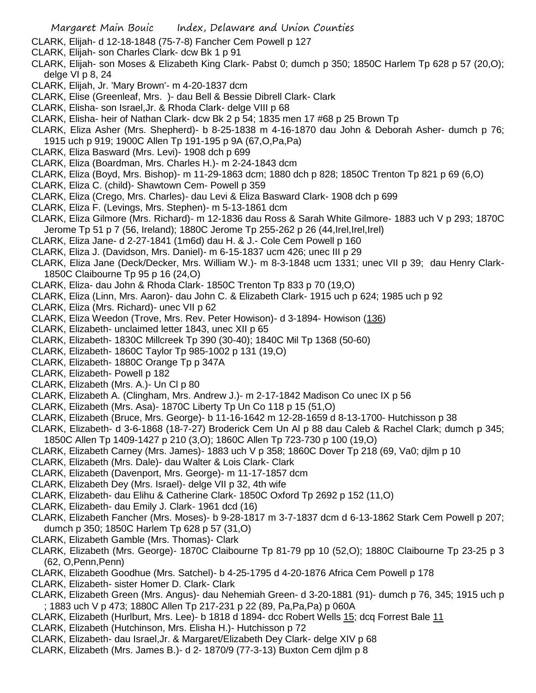- CLARK, Elijah- d 12-18-1848 (75-7-8) Fancher Cem Powell p 127
- CLARK, Elijah- son Charles Clark- dcw Bk 1 p 91
- CLARK, Elijah- son Moses & Elizabeth King Clark- Pabst 0; dumch p 350; 1850C Harlem Tp 628 p 57 (20,O); delge VI p 8, 24
- CLARK, Elijah, Jr. 'Mary Brown'- m 4-20-1837 dcm
- CLARK, Elise (Greenleaf, Mrs. )- dau Bell & Bessie Dibrell Clark- Clark
- CLARK, Elisha- son Israel,Jr. & Rhoda Clark- delge VIII p 68
- CLARK, Elisha- heir of Nathan Clark- dcw Bk 2 p 54; 1835 men 17 #68 p 25 Brown Tp
- CLARK, Eliza Asher (Mrs. Shepherd)- b 8-25-1838 m 4-16-1870 dau John & Deborah Asher- dumch p 76; 1915 uch p 919; 1900C Allen Tp 191-195 p 9A (67,O,Pa,Pa)
- CLARK, Eliza Basward (Mrs. Levi)- 1908 dch p 699
- CLARK, Eliza (Boardman, Mrs. Charles H.)- m 2-24-1843 dcm
- CLARK, Eliza (Boyd, Mrs. Bishop)- m 11-29-1863 dcm; 1880 dch p 828; 1850C Trenton Tp 821 p 69 (6,O)
- CLARK, Eliza C. (child)- Shawtown Cem- Powell p 359
- CLARK, Eliza (Crego, Mrs. Charles)- dau Levi & Eliza Basward Clark- 1908 dch p 699
- CLARK, Eliza F. (Levings, Mrs. Stephen)- m 5-13-1861 dcm
- CLARK, Eliza Gilmore (Mrs. Richard)- m 12-1836 dau Ross & Sarah White Gilmore- 1883 uch V p 293; 1870C Jerome Tp 51 p 7 (56, Ireland); 1880C Jerome Tp 255-262 p 26 (44,Irel,Irel,Irel)
- CLARK, Eliza Jane- d 2-27-1841 (1m6d) dau H. & J.- Cole Cem Powell p 160
- CLARK, Eliza J. (Davidson, Mrs. Daniel)- m 6-15-1837 ucm 426; unec III p 29
- CLARK, Eliza Jane (Deck/Decker, Mrs. William W.)- m 8-3-1848 ucm 1331; unec VII p 39; dau Henry Clark-1850C Claibourne Tp 95 p 16 (24,O)
- CLARK, Eliza- dau John & Rhoda Clark- 1850C Trenton Tp 833 p 70 (19,O)
- CLARK, Eliza (Linn, Mrs. Aaron)- dau John C. & Elizabeth Clark- 1915 uch p 624; 1985 uch p 92
- CLARK, Eliza (Mrs. Richard)- unec VII p 62
- CLARK, Eliza Weedon (Trove, Mrs. Rev. Peter Howison)- d 3-1894- Howison (136)
- CLARK, Elizabeth- unclaimed letter 1843, unec XII p 65
- CLARK, Elizabeth- 1830C Millcreek Tp 390 (30-40); 1840C Mil Tp 1368 (50-60)
- CLARK, Elizabeth- 1860C Taylor Tp 985-1002 p 131 (19,O)
- CLARK, Elizabeth- 1880C Orange Tp p 347A
- CLARK, Elizabeth- Powell p 182
- CLARK, Elizabeth (Mrs. A.)- Un Cl p 80
- CLARK, Elizabeth A. (Clingham, Mrs. Andrew J.)- m 2-17-1842 Madison Co unec IX p 56
- CLARK, Elizabeth (Mrs. Asa)- 1870C Liberty Tp Un Co 118 p 15 (51,O)
- CLARK, Elizabeth (Bruce, Mrs. George)- b 11-16-1642 m 12-28-1659 d 8-13-1700- Hutchisson p 38
- CLARK, Elizabeth- d 3-6-1868 (18-7-27) Broderick Cem Un Al p 88 dau Caleb & Rachel Clark; dumch p 345; 1850C Allen Tp 1409-1427 p 210 (3,O); 1860C Allen Tp 723-730 p 100 (19,O)
- CLARK, Elizabeth Carney (Mrs. James)- 1883 uch V p 358; 1860C Dover Tp 218 (69, Va0; djlm p 10
- CLARK, Elizabeth (Mrs. Dale)- dau Walter & Lois Clark- Clark
- CLARK, Elizabeth (Davenport, Mrs. George)- m 11-17-1857 dcm
- CLARK, Elizabeth Dey (Mrs. Israel)- delge VII p 32, 4th wife
- CLARK, Elizabeth- dau Elihu & Catherine Clark- 1850C Oxford Tp 2692 p 152 (11,O)
- CLARK, Elizabeth- dau Emily J. Clark- 1961 dcd (16)
- CLARK, Elizabeth Fancher (Mrs. Moses)- b 9-28-1817 m 3-7-1837 dcm d 6-13-1862 Stark Cem Powell p 207; dumch p 350; 1850C Harlem Tp 628 p 57 (31,O)
- CLARK, Elizabeth Gamble (Mrs. Thomas)- Clark
- CLARK, Elizabeth (Mrs. George)- 1870C Claibourne Tp 81-79 pp 10 (52,O); 1880C Claibourne Tp 23-25 p 3 (62, O,Penn,Penn)
- CLARK, Elizabeth Goodhue (Mrs. Satchel)- b 4-25-1795 d 4-20-1876 Africa Cem Powell p 178
- CLARK, Elizabeth- sister Homer D. Clark- Clark
- CLARK, Elizabeth Green (Mrs. Angus)- dau Nehemiah Green- d 3-20-1881 (91)- dumch p 76, 345; 1915 uch p ; 1883 uch V p 473; 1880C Allen Tp 217-231 p 22 (89, Pa,Pa,Pa) p 060A
- CLARK, Elizabeth (Hurlburt, Mrs. Lee)- b 1818 d 1894- dcc Robert Wells 15; dcq Forrest Bale 11
- CLARK, Elizabeth (Hutchinson, Mrs. Elisha H.)- Hutchisson p 72
- CLARK, Elizabeth- dau Israel,Jr. & Margaret/Elizabeth Dey Clark- delge XIV p 68
- CLARK, Elizabeth (Mrs. James B.)- d 2- 1870/9 (77-3-13) Buxton Cem djlm p 8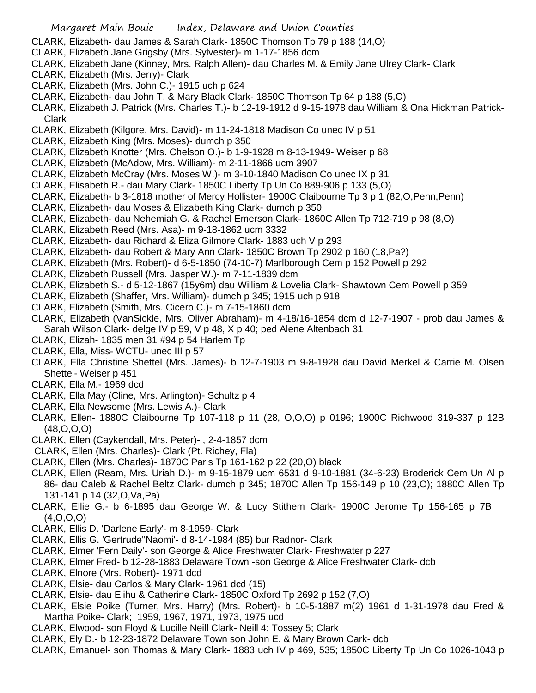- CLARK, Elizabeth- dau James & Sarah Clark- 1850C Thomson Tp 79 p 188 (14,O)
- CLARK, Elizabeth Jane Grigsby (Mrs. Sylvester)- m 1-17-1856 dcm
- CLARK, Elizabeth Jane (Kinney, Mrs. Ralph Allen)- dau Charles M. & Emily Jane Ulrey Clark- Clark
- CLARK, Elizabeth (Mrs. Jerry)- Clark
- CLARK, Elizabeth (Mrs. John C.)- 1915 uch p 624
- CLARK, Elizabeth- dau John T. & Mary Bladk Clark- 1850C Thomson Tp 64 p 188 (5,O)
- CLARK, Elizabeth J. Patrick (Mrs. Charles T.)- b 12-19-1912 d 9-15-1978 dau William & Ona Hickman Patrick-Clark
- CLARK, Elizabeth (Kilgore, Mrs. David)- m 11-24-1818 Madison Co unec IV p 51
- CLARK, Elizabeth King (Mrs. Moses)- dumch p 350
- CLARK, Elizabeth Knotter (Mrs. Chelson O.)- b 1-9-1928 m 8-13-1949- Weiser p 68
- CLARK, Elizabeth (McAdow, Mrs. William)- m 2-11-1866 ucm 3907
- CLARK, Elizabeth McCray (Mrs. Moses W.)- m 3-10-1840 Madison Co unec IX p 31
- CLARK, Elisabeth R.- dau Mary Clark- 1850C Liberty Tp Un Co 889-906 p 133 (5,O)
- CLARK, Elizabeth- b 3-1818 mother of Mercy Hollister- 1900C Claibourne Tp 3 p 1 (82,O,Penn,Penn)
- CLARK, Elizabeth- dau Moses & Elizabeth King Clark- dumch p 350
- CLARK, Elizabeth- dau Nehemiah G. & Rachel Emerson Clark- 1860C Allen Tp 712-719 p 98 (8,O)
- CLARK, Elizabeth Reed (Mrs. Asa)- m 9-18-1862 ucm 3332
- CLARK, Elizabeth- dau Richard & Eliza Gilmore Clark- 1883 uch V p 293
- CLARK, Elizabeth- dau Robert & Mary Ann Clark- 1850C Brown Tp 2902 p 160 (18,Pa?)
- CLARK, Elizabeth (Mrs. Robert)- d 6-5-1850 (74-10-7) Marlborough Cem p 152 Powell p 292
- CLARK, Elizabeth Russell (Mrs. Jasper W.)- m 7-11-1839 dcm
- CLARK, Elizabeth S.- d 5-12-1867 (15y6m) dau William & Lovelia Clark- Shawtown Cem Powell p 359
- CLARK, Elizabeth (Shaffer, Mrs. William)- dumch p 345; 1915 uch p 918
- CLARK, Elizabeth (Smith, Mrs. Cicero C.)- m 7-15-1860 dcm
- CLARK, Elizabeth (VanSickle, Mrs. Oliver Abraham)- m 4-18/16-1854 dcm d 12-7-1907 prob dau James & Sarah Wilson Clark- delge IV p 59, V p 48, X p 40; ped Alene Altenbach 31
- CLARK, Elizah- 1835 men 31 #94 p 54 Harlem Tp
- CLARK, Ella, Miss- WCTU- unec III p 57
- CLARK, Ella Christine Shettel (Mrs. James)- b 12-7-1903 m 9-8-1928 dau David Merkel & Carrie M. Olsen Shettel- Weiser p 451
- CLARK, Ella M.- 1969 dcd
- CLARK, Ella May (Cline, Mrs. Arlington)- Schultz p 4
- CLARK, Ella Newsome (Mrs. Lewis A.)- Clark
- CLARK, Ellen- 1880C Claibourne Tp 107-118 p 11 (28, O,O,O) p 0196; 1900C Richwood 319-337 p 12B (48,O,O,O)
- CLARK, Ellen (Caykendall, Mrs. Peter)- , 2-4-1857 dcm
- CLARK, Ellen (Mrs. Charles)- Clark (Pt. Richey, Fla)
- CLARK, Ellen (Mrs. Charles)- 1870C Paris Tp 161-162 p 22 (20,O) black
- CLARK, Ellen (Ream, Mrs. Uriah D.)- m 9-15-1879 ucm 6531 d 9-10-1881 (34-6-23) Broderick Cem Un Al p 86- dau Caleb & Rachel Beltz Clark- dumch p 345; 1870C Allen Tp 156-149 p 10 (23,O); 1880C Allen Tp 131-141 p 14 (32,O,Va,Pa)
- CLARK, Ellie G.- b 6-1895 dau George W. & Lucy Stithem Clark- 1900C Jerome Tp 156-165 p 7B (4,O,O,O)
- CLARK, Ellis D. 'Darlene Early'- m 8-1959- Clark
- CLARK, Ellis G. 'Gertrude''Naomi'- d 8-14-1984 (85) bur Radnor- Clark
- CLARK, Elmer 'Fern Daily'- son George & Alice Freshwater Clark- Freshwater p 227
- CLARK, Elmer Fred- b 12-28-1883 Delaware Town -son George & Alice Freshwater Clark- dcb
- CLARK, Elnore (Mrs. Robert)- 1971 dcd
- CLARK, Elsie- dau Carlos & Mary Clark- 1961 dcd (15)
- CLARK, Elsie- dau Elihu & Catherine Clark- 1850C Oxford Tp 2692 p 152 (7,O)
- CLARK, Elsie Poike (Turner, Mrs. Harry) (Mrs. Robert)- b 10-5-1887 m(2) 1961 d 1-31-1978 dau Fred & Martha Poike- Clark; 1959, 1967, 1971, 1973, 1975 ucd
- CLARK, Elwood- son Floyd & Lucille Neill Clark- Neill 4; Tossey 5; Clark
- CLARK, Ely D.- b 12-23-1872 Delaware Town son John E. & Mary Brown Cark- dcb
- CLARK, Emanuel- son Thomas & Mary Clark- 1883 uch IV p 469, 535; 1850C Liberty Tp Un Co 1026-1043 p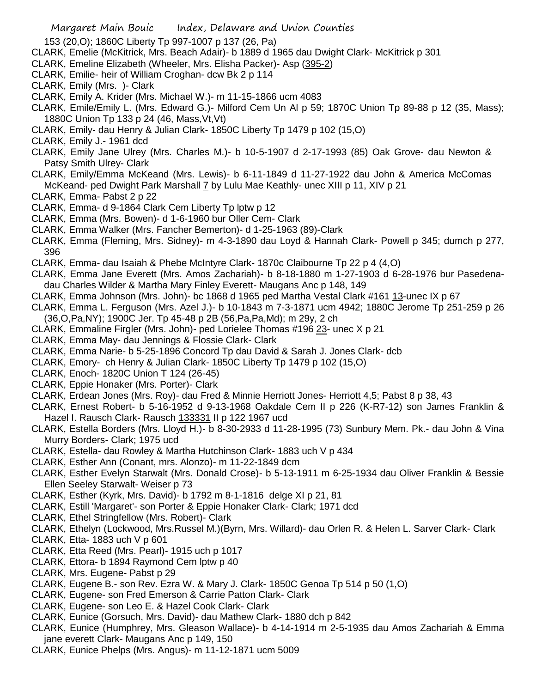153 (20,O); 1860C Liberty Tp 997-1007 p 137 (26, Pa)

- CLARK, Emelie (McKitrick, Mrs. Beach Adair)- b 1889 d 1965 dau Dwight Clark- McKitrick p 301
- CLARK, Emeline Elizabeth (Wheeler, Mrs. Elisha Packer)- Asp (395-2)
- CLARK, Emilie- heir of William Croghan- dcw Bk 2 p 114
- CLARK, Emily (Mrs. )- Clark
- CLARK, Emily A. Krider (Mrs. Michael W.)- m 11-15-1866 ucm 4083
- CLARK, Emile/Emily L. (Mrs. Edward G.)- Milford Cem Un Al p 59; 1870C Union Tp 89-88 p 12 (35, Mass); 1880C Union Tp 133 p 24 (46, Mass,Vt,Vt)
- CLARK, Emily- dau Henry & Julian Clark- 1850C Liberty Tp 1479 p 102 (15,O)
- CLARK, Emily J.- 1961 dcd
- CLARK, Emily Jane Ulrey (Mrs. Charles M.)- b 10-5-1907 d 2-17-1993 (85) Oak Grove- dau Newton & Patsy Smith Ulrey- Clark
- CLARK, Emily/Emma McKeand (Mrs. Lewis)- b 6-11-1849 d 11-27-1922 dau John & America McComas McKeand- ped Dwight Park Marshall 7 by Lulu Mae Keathly- unec XIII p 11, XIV p 21
- CLARK, Emma- Pabst 2 p 22
- CLARK, Emma- d 9-1864 Clark Cem Liberty Tp lptw p 12
- CLARK, Emma (Mrs. Bowen)- d 1-6-1960 bur Oller Cem- Clark
- CLARK, Emma Walker (Mrs. Fancher Bemerton)- d 1-25-1963 (89)-Clark
- CLARK, Emma (Fleming, Mrs. Sidney)- m 4-3-1890 dau Loyd & Hannah Clark- Powell p 345; dumch p 277, 396
- CLARK, Emma- dau Isaiah & Phebe McIntyre Clark- 1870c Claibourne Tp 22 p 4 (4,O)
- CLARK, Emma Jane Everett (Mrs. Amos Zachariah)- b 8-18-1880 m 1-27-1903 d 6-28-1976 bur Pasedenadau Charles Wilder & Martha Mary Finley Everett- Maugans Anc p 148, 149
- CLARK, Emma Johnson (Mrs. John)- bc 1868 d 1965 ped Martha Vestal Clark #161 13-unec IX p 67
- CLARK, Emma L. Ferguson (Mrs. Azel J.)- b 10-1843 m 7-3-1871 ucm 4942; 1880C Jerome Tp 251-259 p 26 (36,O,Pa,NY); 1900C Jer. Tp 45-48 p 2B (56,Pa,Pa,Md); m 29y, 2 ch
- CLARK, Emmaline Firgler (Mrs. John)- ped Lorielee Thomas #196 23- unec X p 21
- CLARK, Emma May- dau Jennings & Flossie Clark- Clark
- CLARK, Emma Narie- b 5-25-1896 Concord Tp dau David & Sarah J. Jones Clark- dcb
- CLARK, Emory- ch Henry & Julian Clark- 1850C Liberty Tp 1479 p 102 (15,O)
- CLARK, Enoch- 1820C Union T 124 (26-45)
- CLARK, Eppie Honaker (Mrs. Porter)- Clark
- CLARK, Erdean Jones (Mrs. Roy)- dau Fred & Minnie Herriott Jones- Herriott 4,5; Pabst 8 p 38, 43
- CLARK, Ernest Robert- b 5-16-1952 d 9-13-1968 Oakdale Cem II p 226 (K-R7-12) son James Franklin & Hazel I. Rausch Clark- Rausch 133331 II p 122 1967 ucd
- CLARK, Estella Borders (Mrs. Lloyd H.)- b 8-30-2933 d 11-28-1995 (73) Sunbury Mem. Pk.- dau John & Vina Murry Borders- Clark; 1975 ucd
- CLARK, Estella- dau Rowley & Martha Hutchinson Clark- 1883 uch V p 434
- CLARK, Esther Ann (Conant, mrs. Alonzo)- m 11-22-1849 dcm
- CLARK, Esther Evelyn Starwalt (Mrs. Donald Crose)- b 5-13-1911 m 6-25-1934 dau Oliver Franklin & Bessie Ellen Seeley Starwalt- Weiser p 73
- CLARK, Esther (Kyrk, Mrs. David)- b 1792 m 8-1-1816 delge XI p 21, 81
- CLARK, Estill 'Margaret'- son Porter & Eppie Honaker Clark- Clark; 1971 dcd
- CLARK, Ethel Stringfellow (Mrs. Robert)- Clark
- CLARK, Ethelyn (Lockwood, Mrs.Russel M.)(Byrn, Mrs. Willard)- dau Orlen R. & Helen L. Sarver Clark- Clark CLARK, Etta- 1883 uch V p 601
- CLARK, Etta Reed (Mrs. Pearl)- 1915 uch p 1017
- CLARK, Ettora- b 1894 Raymond Cem lptw p 40
- CLARK, Mrs. Eugene- Pabst p 29
- CLARK, Eugene B.- son Rev. Ezra W. & Mary J. Clark- 1850C Genoa Tp 514 p 50 (1,O)
- CLARK, Eugene- son Fred Emerson & Carrie Patton Clark- Clark
- CLARK, Eugene- son Leo E. & Hazel Cook Clark- Clark
- CLARK, Eunice (Gorsuch, Mrs. David)- dau Mathew Clark- 1880 dch p 842
- CLARK, Eunice (Humphrey, Mrs. Gleason Wallace)- b 4-14-1914 m 2-5-1935 dau Amos Zachariah & Emma jane everett Clark- Maugans Anc p 149, 150
- CLARK, Eunice Phelps (Mrs. Angus)- m 11-12-1871 ucm 5009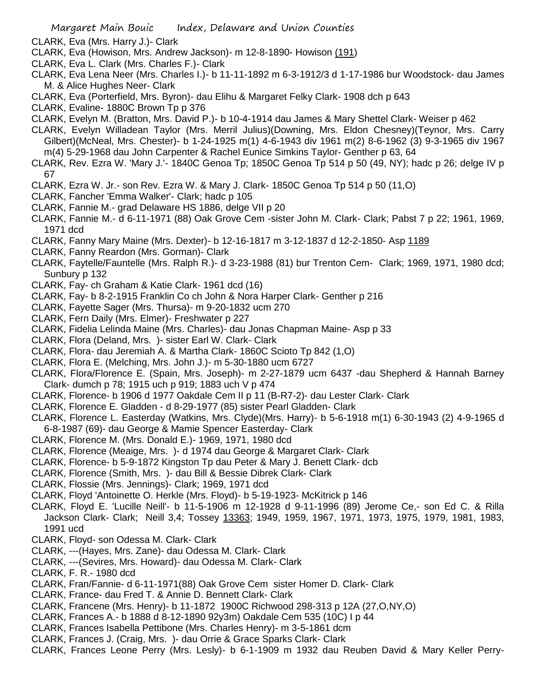- CLARK, Eva (Mrs. Harry J.)- Clark
- CLARK, Eva (Howison, Mrs. Andrew Jackson)- m 12-8-1890- Howison (191)
- CLARK, Eva L. Clark (Mrs. Charles F.)- Clark
- CLARK, Eva Lena Neer (Mrs. Charles I.)- b 11-11-1892 m 6-3-1912/3 d 1-17-1986 bur Woodstock- dau James M. & Alice Hughes Neer- Clark
- CLARK, Eva (Porterfield, Mrs. Byron)- dau Elihu & Margaret Felky Clark- 1908 dch p 643
- CLARK, Evaline- 1880C Brown Tp p 376
- CLARK, Evelyn M. (Bratton, Mrs. David P.)- b 10-4-1914 dau James & Mary Shettel Clark- Weiser p 462
- CLARK, Evelyn Willadean Taylor (Mrs. Merril Julius)(Downing, Mrs. Eldon Chesney)(Teynor, Mrs. Carry Gilbert)(McNeal, Mrs. Chester)- b 1-24-1925 m(1) 4-6-1943 div 1961 m(2) 8-6-1962 (3) 9-3-1965 div 1967 m(4) 5-29-1968 dau John Carpenter & Rachel Eunice Simkins Taylor- Genther p 63, 64
- CLARK, Rev. Ezra W. 'Mary J.'- 1840C Genoa Tp; 1850C Genoa Tp 514 p 50 (49, NY); hadc p 26; delge IV p 67
- CLARK, Ezra W. Jr.- son Rev. Ezra W. & Mary J. Clark- 1850C Genoa Tp 514 p 50 (11,O)
- CLARK, Fancher 'Emma Walker'- Clark; hadc p 105
- CLARK, Fannie M.- grad Delaware HS 1886, delge VII p 20
- CLARK, Fannie M.- d 6-11-1971 (88) Oak Grove Cem -sister John M. Clark- Clark; Pabst 7 p 22; 1961, 1969, 1971 dcd
- CLARK, Fanny Mary Maine (Mrs. Dexter)- b 12-16-1817 m 3-12-1837 d 12-2-1850- Asp 1189
- CLARK, Fanny Reardon (Mrs. Gorman)- Clark
- CLARK, Faytelle/Fauntelle (Mrs. Ralph R.)- d 3-23-1988 (81) bur Trenton Cem- Clark; 1969, 1971, 1980 dcd; Sunbury p 132
- CLARK, Fay- ch Graham & Katie Clark- 1961 dcd (16)
- CLARK, Fay- b 8-2-1915 Franklin Co ch John & Nora Harper Clark- Genther p 216
- CLARK, Fayette Sager (Mrs. Thursa)- m 9-20-1832 ucm 270
- CLARK, Fern Daily (Mrs. Elmer)- Freshwater p 227
- CLARK, Fidelia Lelinda Maine (Mrs. Charles)- dau Jonas Chapman Maine- Asp p 33
- CLARK, Flora (Deland, Mrs. )- sister Earl W. Clark- Clark
- CLARK, Flora- dau Jeremiah A. & Martha Clark- 1860C Scioto Tp 842 (1,O)
- CLARK, Flora E. (Melching, Mrs. John J.)- m 5-30-1880 ucm 6727
- CLARK, Flora/Florence E. (Spain, Mrs. Joseph)- m 2-27-1879 ucm 6437 -dau Shepherd & Hannah Barney Clark- dumch p 78; 1915 uch p 919; 1883 uch V p 474
- CLARK, Florence- b 1906 d 1977 Oakdale Cem II p 11 (B-R7-2)- dau Lester Clark- Clark
- CLARK, Florence E. Gladden d 8-29-1977 (85) sister Pearl Gladden- Clark
- CLARK, Florence L. Easterday (Watkins, Mrs. Clyde)(Mrs. Harry)- b 5-6-1918 m(1) 6-30-1943 (2) 4-9-1965 d 6-8-1987 (69)- dau George & Mamie Spencer Easterday- Clark
- CLARK, Florence M. (Mrs. Donald E.)- 1969, 1971, 1980 dcd
- CLARK, Florence (Meaige, Mrs. )- d 1974 dau George & Margaret Clark- Clark
- CLARK, Florence- b 5-9-1872 Kingston Tp dau Peter & Mary J. Benett Clark- dcb
- CLARK, Florence (Smith, Mrs. )- dau Bill & Bessie Dibrek Clark- Clark
- CLARK, Flossie (Mrs. Jennings)- Clark; 1969, 1971 dcd
- CLARK, Floyd 'Antoinette O. Herkle (Mrs. Floyd)- b 5-19-1923- McKitrick p 146
- CLARK, Floyd E. 'Lucille Neill'- b 11-5-1906 m 12-1928 d 9-11-1996 (89) Jerome Ce,- son Ed C. & Rilla Jackson Clark- Clark; Neill 3,4; Tossey 13363; 1949, 1959, 1967, 1971, 1973, 1975, 1979, 1981, 1983, 1991 ucd
- CLARK, Floyd- son Odessa M. Clark- Clark
- CLARK, ---(Hayes, Mrs. Zane)- dau Odessa M. Clark- Clark
- CLARK, ---(Sevires, Mrs. Howard)- dau Odessa M. Clark- Clark
- CLARK, F. R.- 1980 dcd
- CLARK, Fran/Fannie- d 6-11-1971(88) Oak Grove Cem sister Homer D. Clark- Clark
- CLARK, France- dau Fred T. & Annie D. Bennett Clark- Clark
- CLARK, Francene (Mrs. Henry)- b 11-1872 1900C Richwood 298-313 p 12A (27,O,NY,O)
- CLARK, Frances A.- b 1888 d 8-12-1890 92y3m) Oakdale Cem 535 (10C) I p 44
- CLARK, Frances Isabella Pettibone (Mrs. Charles Henry)- m 3-5-1861 dcm
- CLARK, Frances J. (Craig, Mrs. )- dau Orrie & Grace Sparks Clark- Clark
- CLARK, Frances Leone Perry (Mrs. Lesly)- b 6-1-1909 m 1932 dau Reuben David & Mary Keller Perry-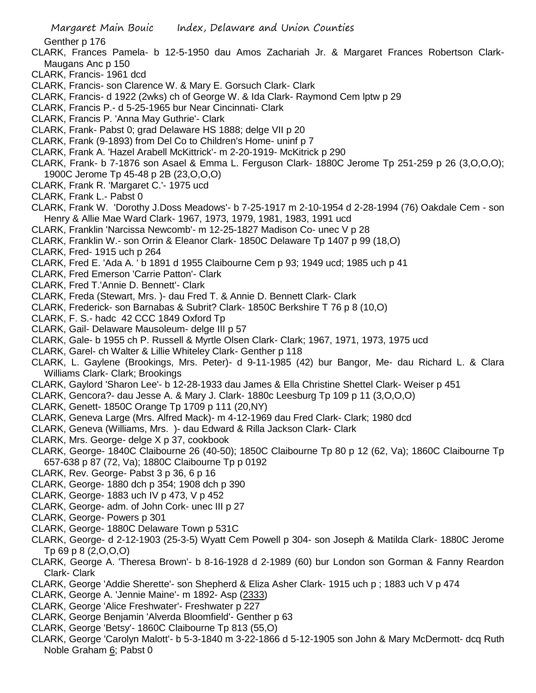Genther p 176

- CLARK, Frances Pamela- b 12-5-1950 dau Amos Zachariah Jr. & Margaret Frances Robertson Clark-Maugans Anc p 150
- CLARK, Francis- 1961 dcd
- CLARK, Francis- son Clarence W. & Mary E. Gorsuch Clark- Clark
- CLARK, Francis- d 1922 (2wks) ch of George W. & Ida Clark- Raymond Cem lptw p 29
- CLARK, Francis P.- d 5-25-1965 bur Near Cincinnati- Clark
- CLARK, Francis P. 'Anna May Guthrie'- Clark
- CLARK, Frank- Pabst 0; grad Delaware HS 1888; delge VII p 20
- CLARK, Frank (9-1893) from Del Co to Children's Home- uninf p 7
- CLARK, Frank A. 'Hazel Arabell McKittrick'- m 2-20-1919- McKitrick p 290
- CLARK, Frank- b 7-1876 son Asael & Emma L. Ferguson Clark- 1880C Jerome Tp 251-259 p 26 (3,O,O,O); 1900C Jerome Tp 45-48 p 2B (23,O,O,O)
- CLARK, Frank R. 'Margaret C.'- 1975 ucd
- CLARK, Frank L.- Pabst 0
- CLARK, Frank W. 'Dorothy J.Doss Meadows'- b 7-25-1917 m 2-10-1954 d 2-28-1994 (76) Oakdale Cem son Henry & Allie Mae Ward Clark- 1967, 1973, 1979, 1981, 1983, 1991 ucd
- CLARK, Franklin 'Narcissa Newcomb'- m 12-25-1827 Madison Co- unec V p 28
- CLARK, Franklin W.- son Orrin & Eleanor Clark- 1850C Delaware Tp 1407 p 99 (18,O)
- CLARK, Fred- 1915 uch p 264
- CLARK, Fred E. 'Ada A. ' b 1891 d 1955 Claibourne Cem p 93; 1949 ucd; 1985 uch p 41
- CLARK, Fred Emerson 'Carrie Patton'- Clark
- CLARK, Fred T.'Annie D. Bennett'- Clark
- CLARK, Freda (Stewart, Mrs. )- dau Fred T. & Annie D. Bennett Clark- Clark
- CLARK, Frederick- son Barnabas & Subrit? Clark- 1850C Berkshire T 76 p 8 (10,O)
- CLARK, F. S.- hadc 42 CCC 1849 Oxford Tp
- CLARK, Gail- Delaware Mausoleum- delge III p 57
- CLARK, Gale- b 1955 ch P. Russell & Myrtle Olsen Clark- Clark; 1967, 1971, 1973, 1975 ucd
- CLARK, Garel- ch Walter & Lillie Whiteley Clark- Genther p 118
- CLARK, L. Gaylene (Brookings, Mrs. Peter)- d 9-11-1985 (42) bur Bangor, Me- dau Richard L. & Clara Williams Clark- Clark; Brookings
- CLARK, Gaylord 'Sharon Lee'- b 12-28-1933 dau James & Ella Christine Shettel Clark- Weiser p 451
- CLARK, Gencora?- dau Jesse A. & Mary J. Clark- 1880c Leesburg Tp 109 p 11 (3,O,O,O)
- CLARK, Genett- 1850C Orange Tp 1709 p 111 (20,NY)
- CLARK, Geneva Large (Mrs. Alfred Mack)- m 4-12-1969 dau Fred Clark- Clark; 1980 dcd
- CLARK, Geneva (Williams, Mrs. )- dau Edward & Rilla Jackson Clark- Clark
- CLARK, Mrs. George- delge X p 37, cookbook
- CLARK, George- 1840C Claibourne 26 (40-50); 1850C Claibourne Tp 80 p 12 (62, Va); 1860C Claibourne Tp 657-638 p 87 (72, Va); 1880C Claibourne Tp p 0192
- CLARK, Rev. George- Pabst 3 p 36, 6 p 16
- CLARK, George- 1880 dch p 354; 1908 dch p 390
- CLARK, George- 1883 uch IV p 473, V p 452
- CLARK, George- adm. of John Cork- unec III p 27
- CLARK, George- Powers p 301
- CLARK, George- 1880C Delaware Town p 531C
- CLARK, George- d 2-12-1903 (25-3-5) Wyatt Cem Powell p 304- son Joseph & Matilda Clark- 1880C Jerome Tp 69 p 8 (2,O,O,O)
- CLARK, George A. 'Theresa Brown'- b 8-16-1928 d 2-1989 (60) bur London son Gorman & Fanny Reardon Clark- Clark
- CLARK, George 'Addie Sherette'- son Shepherd & Eliza Asher Clark- 1915 uch p ; 1883 uch V p 474
- CLARK, George A. 'Jennie Maine'- m 1892- Asp (2333)
- CLARK, George 'Alice Freshwater'- Freshwater p 227
- CLARK, George Benjamin 'Alverda Bloomfield'- Genther p 63
- CLARK, George 'Betsy'- 1860C Claibourne Tp 813 (55,O)
- CLARK, George 'Carolyn Malott'- b 5-3-1840 m 3-22-1866 d 5-12-1905 son John & Mary McDermott- dcq Ruth Noble Graham 6; Pabst 0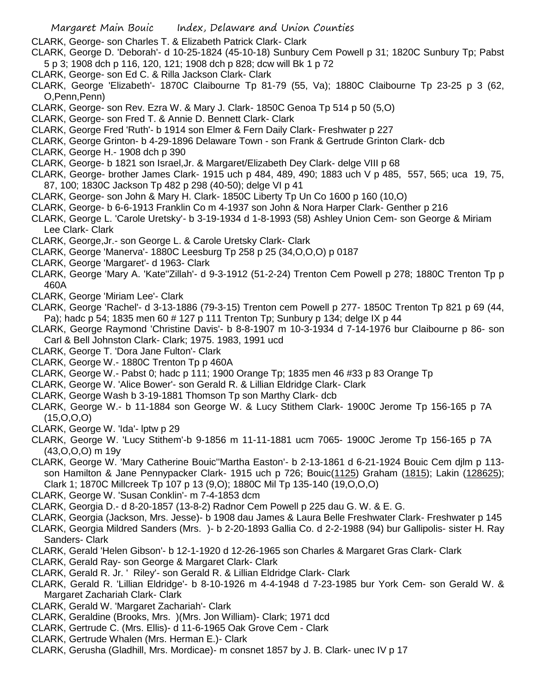- CLARK, George- son Charles T. & Elizabeth Patrick Clark- Clark
- CLARK, George D. 'Deborah'- d 10-25-1824 (45-10-18) Sunbury Cem Powell p 31; 1820C Sunbury Tp; Pabst 5 p 3; 1908 dch p 116, 120, 121; 1908 dch p 828; dcw will Bk 1 p 72
- CLARK, George- son Ed C. & Rilla Jackson Clark- Clark
- CLARK, George 'Elizabeth'- 1870C Claibourne Tp 81-79 (55, Va); 1880C Claibourne Tp 23-25 p 3 (62, O,Penn,Penn)
- CLARK, George- son Rev. Ezra W. & Mary J. Clark- 1850C Genoa Tp 514 p 50 (5,O)
- CLARK, George- son Fred T. & Annie D. Bennett Clark- Clark
- CLARK, George Fred 'Ruth'- b 1914 son Elmer & Fern Daily Clark- Freshwater p 227
- CLARK, George Grinton- b 4-29-1896 Delaware Town son Frank & Gertrude Grinton Clark- dcb
- CLARK, George H.- 1908 dch p 390
- CLARK, George- b 1821 son Israel,Jr. & Margaret/Elizabeth Dey Clark- delge VIII p 68
- CLARK, George- brother James Clark- 1915 uch p 484, 489, 490; 1883 uch V p 485, 557, 565; uca 19, 75, 87, 100; 1830C Jackson Tp 482 p 298 (40-50); delge VI p 41
- CLARK, George- son John & Mary H. Clark- 1850C Liberty Tp Un Co 1600 p 160 (10,O)
- CLARK, George- b 6-6-1913 Franklin Co m 4-1937 son John & Nora Harper Clark- Genther p 216
- CLARK, George L. 'Carole Uretsky'- b 3-19-1934 d 1-8-1993 (58) Ashley Union Cem- son George & Miriam Lee Clark- Clark
- CLARK, George,Jr.- son George L. & Carole Uretsky Clark- Clark
- CLARK, George 'Manerva'- 1880C Leesburg Tp 258 p 25 (34,O,O,O) p 0187
- CLARK, George 'Margaret'- d 1963- Clark
- CLARK, George 'Mary A. 'Kate''Zillah'- d 9-3-1912 (51-2-24) Trenton Cem Powell p 278; 1880C Trenton Tp p 460A
- CLARK, George 'Miriam Lee'- Clark
- CLARK, George 'Rachel'- d 3-13-1886 (79-3-15) Trenton cem Powell p 277- 1850C Trenton Tp 821 p 69 (44, Pa); hadc p 54; 1835 men 60 # 127 p 111 Trenton Tp; Sunbury p 134; delge IX p 44
- CLARK, George Raymond 'Christine Davis'- b 8-8-1907 m 10-3-1934 d 7-14-1976 bur Claibourne p 86- son Carl & Bell Johnston Clark- Clark; 1975. 1983, 1991 ucd
- CLARK, George T. 'Dora Jane Fulton'- Clark
- CLARK, George W.- 1880C Trenton Tp p 460A
- CLARK, George W.- Pabst 0; hadc p 111; 1900 Orange Tp; 1835 men 46 #33 p 83 Orange Tp
- CLARK, George W. 'Alice Bower'- son Gerald R. & Lillian Eldridge Clark- Clark
- CLARK, George Wash b 3-19-1881 Thomson Tp son Marthy Clark- dcb
- CLARK, George W.- b 11-1884 son George W. & Lucy Stithem Clark- 1900C Jerome Tp 156-165 p 7A (15,O,O,O)
- CLARK, George W. 'Ida'- lptw p 29
- CLARK, George W. 'Lucy Stithem'-b 9-1856 m 11-11-1881 ucm 7065- 1900C Jerome Tp 156-165 p 7A (43,O,O,O) m 19y
- CLARK, George W. 'Mary Catherine Bouic''Martha Easton'- b 2-13-1861 d 6-21-1924 Bouic Cem djlm p 113 son Hamilton & Jane Pennypacker Clark- 1915 uch p 726; Bouic(1125) Graham (1815); Lakin (128625); Clark 1; 1870C Millcreek Tp 107 p 13 (9,O); 1880C Mil Tp 135-140 (19,O,O,O)
- CLARK, George W. 'Susan Conklin'- m 7-4-1853 dcm
- CLARK, Georgia D.- d 8-20-1857 (13-8-2) Radnor Cem Powell p 225 dau G. W. & E. G.
- CLARK, Georgia (Jackson, Mrs. Jesse)- b 1908 dau James & Laura Belle Freshwater Clark- Freshwater p 145
- CLARK, Georgia Mildred Sanders (Mrs. )- b 2-20-1893 Gallia Co. d 2-2-1988 (94) bur Gallipolis- sister H. Ray Sanders- Clark
- CLARK, Gerald 'Helen Gibson'- b 12-1-1920 d 12-26-1965 son Charles & Margaret Gras Clark- Clark
- CLARK, Gerald Ray- son George & Margaret Clark- Clark
- CLARK, Gerald R. Jr. ' Riley'- son Gerald R. & Lillian Eldridge Clark- Clark
- CLARK, Gerald R. 'Lillian Eldridge'- b 8-10-1926 m 4-4-1948 d 7-23-1985 bur York Cem- son Gerald W. & Margaret Zachariah Clark- Clark
- CLARK, Gerald W. 'Margaret Zachariah'- Clark
- CLARK, Geraldine (Brooks, Mrs. )(Mrs. Jon William)- Clark; 1971 dcd
- CLARK, Gertrude C. (Mrs. Ellis)- d 11-6-1965 Oak Grove Cem Clark
- CLARK, Gertrude Whalen (Mrs. Herman E.)- Clark
- CLARK, Gerusha (Gladhill, Mrs. Mordicae)- m consnet 1857 by J. B. Clark- unec IV p 17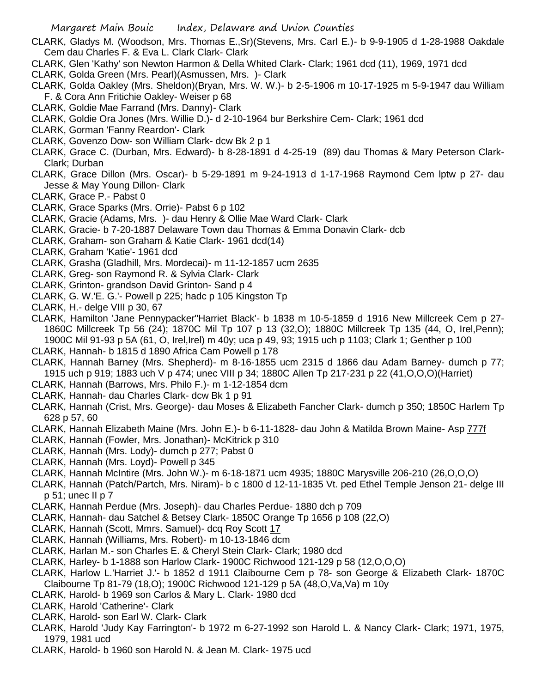- CLARK, Gladys M. (Woodson, Mrs. Thomas E.,Sr)(Stevens, Mrs. Carl E.)- b 9-9-1905 d 1-28-1988 Oakdale Cem dau Charles F. & Eva L. Clark Clark- Clark
- CLARK, Glen 'Kathy' son Newton Harmon & Della Whited Clark- Clark; 1961 dcd (11), 1969, 1971 dcd
- CLARK, Golda Green (Mrs. Pearl)(Asmussen, Mrs. )- Clark
- CLARK, Golda Oakley (Mrs. Sheldon)(Bryan, Mrs. W. W.)- b 2-5-1906 m 10-17-1925 m 5-9-1947 dau William F. & Cora Ann Fritichie Oakley- Weiser p 68
- CLARK, Goldie Mae Farrand (Mrs. Danny)- Clark
- CLARK, Goldie Ora Jones (Mrs. Willie D.)- d 2-10-1964 bur Berkshire Cem- Clark; 1961 dcd
- CLARK, Gorman 'Fanny Reardon'- Clark
- CLARK, Govenzo Dow- son William Clark- dcw Bk 2 p 1
- CLARK, Grace C. (Durban, Mrs. Edward)- b 8-28-1891 d 4-25-19 (89) dau Thomas & Mary Peterson Clark-Clark; Durban
- CLARK, Grace Dillon (Mrs. Oscar)- b 5-29-1891 m 9-24-1913 d 1-17-1968 Raymond Cem lptw p 27- dau Jesse & May Young Dillon- Clark
- CLARK, Grace P.- Pabst 0
- CLARK, Grace Sparks (Mrs. Orrie)- Pabst 6 p 102
- CLARK, Gracie (Adams, Mrs. )- dau Henry & Ollie Mae Ward Clark- Clark
- CLARK, Gracie- b 7-20-1887 Delaware Town dau Thomas & Emma Donavin Clark- dcb
- CLARK, Graham- son Graham & Katie Clark- 1961 dcd(14)
- CLARK, Graham 'Katie'- 1961 dcd
- CLARK, Grasha (Gladhill, Mrs. Mordecai)- m 11-12-1857 ucm 2635
- CLARK, Greg- son Raymond R. & Sylvia Clark- Clark
- CLARK, Grinton- grandson David Grinton- Sand p 4
- CLARK, G. W.'E. G.'- Powell p 225; hadc p 105 Kingston Tp
- CLARK, H.- delge VIII p 30, 67
- CLARK, Hamilton 'Jane Pennypacker''Harriet Black'- b 1838 m 10-5-1859 d 1916 New Millcreek Cem p 27- 1860C Millcreek Tp 56 (24); 1870C Mil Tp 107 p 13 (32,O); 1880C Millcreek Tp 135 (44, O, Irel,Penn); 1900C Mil 91-93 p 5A (61, O, Irel,Irel) m 40y; uca p 49, 93; 1915 uch p 1103; Clark 1; Genther p 100
- CLARK, Hannah- b 1815 d 1890 Africa Cam Powell p 178
- CLARK, Hannah Barney (Mrs. Shepherd)- m 8-16-1855 ucm 2315 d 1866 dau Adam Barney- dumch p 77; 1915 uch p 919; 1883 uch V p 474; unec VIII p 34; 1880C Allen Tp 217-231 p 22 (41,O,O,O)(Harriet)
- CLARK, Hannah (Barrows, Mrs. Philo F.)- m 1-12-1854 dcm
- CLARK, Hannah- dau Charles Clark- dcw Bk 1 p 91
- CLARK, Hannah (Crist, Mrs. George)- dau Moses & Elizabeth Fancher Clark- dumch p 350; 1850C Harlem Tp 628 p 57, 60
- CLARK, Hannah Elizabeth Maine (Mrs. John E.)- b 6-11-1828- dau John & Matilda Brown Maine- Asp 777f
- CLARK, Hannah (Fowler, Mrs. Jonathan)- McKitrick p 310
- CLARK, Hannah (Mrs. Lody)- dumch p 277; Pabst 0
- CLARK, Hannah (Mrs. Loyd)- Powell p 345
- CLARK, Hannah McIntire (Mrs. John W.)- m 6-18-1871 ucm 4935; 1880C Marysville 206-210 (26,O,O,O)
- CLARK, Hannah (Patch/Partch, Mrs. Niram)- b c 1800 d 12-11-1835 Vt. ped Ethel Temple Jenson 21- delge III p 51; unec II p 7
- CLARK, Hannah Perdue (Mrs. Joseph)- dau Charles Perdue- 1880 dch p 709
- CLARK, Hannah- dau Satchel & Betsey Clark- 1850C Orange Tp 1656 p 108 (22,O)
- CLARK, Hannah (Scott, Mmrs. Samuel)- dcq Roy Scott 17
- CLARK, Hannah (Williams, Mrs. Robert)- m 10-13-1846 dcm
- CLARK, Harlan M.- son Charles E. & Cheryl Stein Clark- Clark; 1980 dcd
- CLARK, Harley- b 1-1888 son Harlow Clark- 1900C Richwood 121-129 p 58 (12,O,O,O)
- CLARK, Harlow L.'Harriet J.'- b 1852 d 1911 Claibourne Cem p 78- son George & Elizabeth Clark- 1870C Claibourne Tp 81-79 (18,O); 1900C Richwood 121-129 p 5A (48,O,Va,Va) m 10y
- CLARK, Harold- b 1969 son Carlos & Mary L. Clark- 1980 dcd
- CLARK, Harold 'Catherine'- Clark
- CLARK, Harold- son Earl W. Clark- Clark
- CLARK, Harold 'Judy Kay Farrington'- b 1972 m 6-27-1992 son Harold L. & Nancy Clark- Clark; 1971, 1975, 1979, 1981 ucd
- CLARK, Harold- b 1960 son Harold N. & Jean M. Clark- 1975 ucd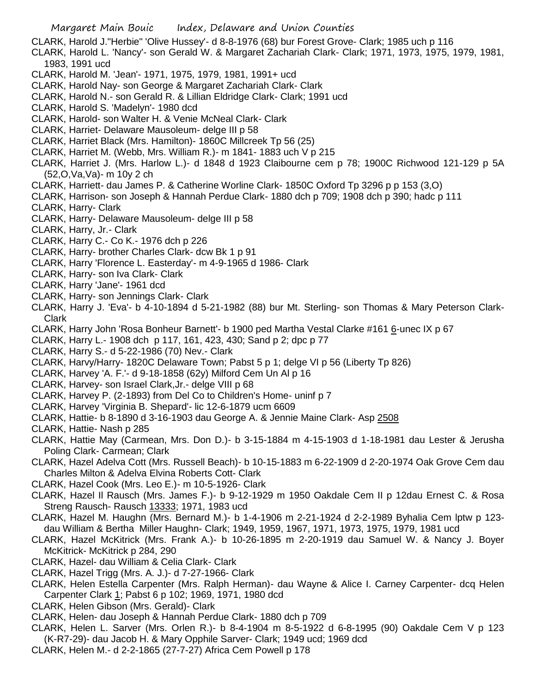CLARK, Harold J."Herbie" 'Olive Hussey'- d 8-8-1976 (68) bur Forest Grove- Clark; 1985 uch p 116

- CLARK, Harold L. 'Nancy'- son Gerald W. & Margaret Zachariah Clark- Clark; 1971, 1973, 1975, 1979, 1981, 1983, 1991 ucd
- CLARK, Harold M. 'Jean'- 1971, 1975, 1979, 1981, 1991+ ucd
- CLARK, Harold Nay- son George & Margaret Zachariah Clark- Clark
- CLARK, Harold N.- son Gerald R. & Lillian Eldridge Clark- Clark; 1991 ucd
- CLARK, Harold S. 'Madelyn'- 1980 dcd
- CLARK, Harold- son Walter H. & Venie McNeal Clark- Clark
- CLARK, Harriet- Delaware Mausoleum- delge III p 58
- CLARK, Harriet Black (Mrs. Hamilton)- 1860C Millcreek Tp 56 (25)
- CLARK, Harriet M. (Webb, Mrs. William R.)- m 1841- 1883 uch V p 215
- CLARK, Harriet J. (Mrs. Harlow L.)- d 1848 d 1923 Claibourne cem p 78; 1900C Richwood 121-129 p 5A (52,O,Va,Va)- m 10y 2 ch
- CLARK, Harriett- dau James P. & Catherine Worline Clark- 1850C Oxford Tp 3296 p p 153 (3,O)
- CLARK, Harrison- son Joseph & Hannah Perdue Clark- 1880 dch p 709; 1908 dch p 390; hadc p 111 CLARK, Harry- Clark
- CLARK, Harry- Delaware Mausoleum- delge III p 58
- CLARK, Harry, Jr.- Clark
- CLARK, Harry C.- Co K.- 1976 dch p 226
- CLARK, Harry- brother Charles Clark- dcw Bk 1 p 91
- CLARK, Harry 'Florence L. Easterday'- m 4-9-1965 d 1986- Clark
- CLARK, Harry- son Iva Clark- Clark
- CLARK, Harry 'Jane'- 1961 dcd
- CLARK, Harry- son Jennings Clark- Clark
- CLARK, Harry J. 'Eva'- b 4-10-1894 d 5-21-1982 (88) bur Mt. Sterling- son Thomas & Mary Peterson Clark-Clark
- CLARK, Harry John 'Rosa Bonheur Barnett'- b 1900 ped Martha Vestal Clarke #161 6-unec IX p 67
- CLARK, Harry L.- 1908 dch p 117, 161, 423, 430; Sand p 2; dpc p 77
- CLARK, Harry S.- d 5-22-1986 (70) Nev.- Clark
- CLARK, Harvy/Harry- 1820C Delaware Town; Pabst 5 p 1; delge VI p 56 (Liberty Tp 826)
- CLARK, Harvey 'A. F.'- d 9-18-1858 (62y) Milford Cem Un Al p 16
- CLARK, Harvey- son Israel Clark,Jr.- delge VIII p 68
- CLARK, Harvey P. (2-1893) from Del Co to Children's Home- uninf p 7
- CLARK, Harvey 'Virginia B. Shepard'- lic 12-6-1879 ucm 6609
- CLARK, Hattie- b 8-1890 d 3-16-1903 dau George A. & Jennie Maine Clark- Asp 2508
- CLARK, Hattie- Nash p 285
- CLARK, Hattie May (Carmean, Mrs. Don D.)- b 3-15-1884 m 4-15-1903 d 1-18-1981 dau Lester & Jerusha Poling Clark- Carmean; Clark
- CLARK, Hazel Adelva Cott (Mrs. Russell Beach)- b 10-15-1883 m 6-22-1909 d 2-20-1974 Oak Grove Cem dau Charles Milton & Adelva Elvina Roberts Cott- Clark
- CLARK, Hazel Cook (Mrs. Leo E.)- m 10-5-1926- Clark
- CLARK, Hazel Il Rausch (Mrs. James F.)- b 9-12-1929 m 1950 Oakdale Cem II p 12dau Ernest C. & Rosa Streng Rausch- Rausch 13333; 1971, 1983 ucd
- CLARK, Hazel M. Haughn (Mrs. Bernard M.)- b 1-4-1906 m 2-21-1924 d 2-2-1989 Byhalia Cem lptw p 123 dau William & Bertha Miller Haughn- Clark; 1949, 1959, 1967, 1971, 1973, 1975, 1979, 1981 ucd
- CLARK, Hazel McKitrick (Mrs. Frank A.)- b 10-26-1895 m 2-20-1919 dau Samuel W. & Nancy J. Boyer McKitrick- McKitrick p 284, 290
- CLARK, Hazel- dau William & Celia Clark- Clark
- CLARK, Hazel Trigg (Mrs. A. J.)- d 7-27-1966- Clark
- CLARK, Helen Estella Carpenter (Mrs. Ralph Herman)- dau Wayne & Alice I. Carney Carpenter- dcq Helen Carpenter Clark 1; Pabst 6 p 102; 1969, 1971, 1980 dcd
- CLARK, Helen Gibson (Mrs. Gerald)- Clark
- CLARK, Helen- dau Joseph & Hannah Perdue Clark- 1880 dch p 709
- CLARK, Helen L. Sarver (Mrs. Orlen R.)- b 8-4-1904 m 8-5-1922 d 6-8-1995 (90) Oakdale Cem V p 123 (K-R7-29)- dau Jacob H. & Mary Opphile Sarver- Clark; 1949 ucd; 1969 dcd
- CLARK, Helen M.- d 2-2-1865 (27-7-27) Africa Cem Powell p 178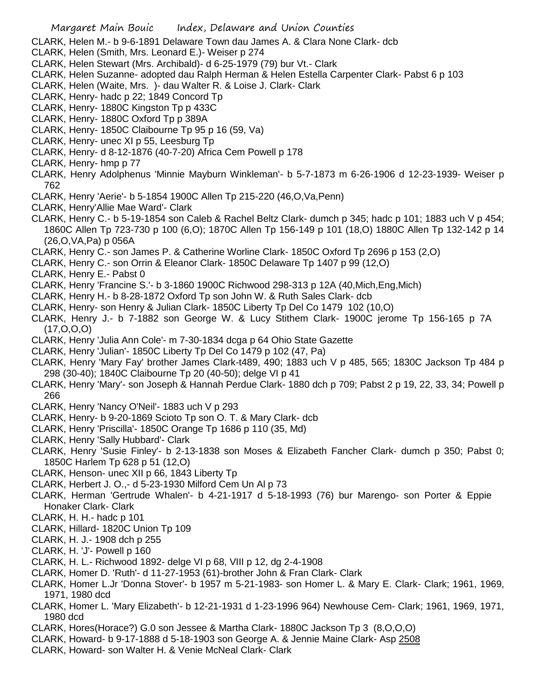CLARK, Helen M.- b 9-6-1891 Delaware Town dau James A. & Clara None Clark- dcb

- CLARK, Helen (Smith, Mrs. Leonard E.)- Weiser p 274
- CLARK, Helen Stewart (Mrs. Archibald)- d 6-25-1979 (79) bur Vt.- Clark
- CLARK, Helen Suzanne- adopted dau Ralph Herman & Helen Estella Carpenter Clark- Pabst 6 p 103
- CLARK, Helen (Waite, Mrs. )- dau Walter R. & Loise J. Clark- Clark
- CLARK, Henry- hadc p 22; 1849 Concord Tp
- CLARK, Henry- 1880C Kingston Tp p 433C
- CLARK, Henry- 1880C Oxford Tp p 389A
- CLARK, Henry- 1850C Claibourne Tp 95 p 16 (59, Va)
- CLARK, Henry- unec XI p 55, Leesburg Tp
- CLARK, Henry- d 8-12-1876 (40-7-20) Africa Cem Powell p 178
- CLARK, Henry- hmp p 77
- CLARK, Henry Adolphenus 'Minnie Mayburn Winkleman'- b 5-7-1873 m 6-26-1906 d 12-23-1939- Weiser p 762
- CLARK, Henry 'Aerie'- b 5-1854 1900C Allen Tp 215-220 (46,O,Va,Penn)
- CLARK, Henry'Allie Mae Ward'- Clark
- CLARK, Henry C.- b 5-19-1854 son Caleb & Rachel Beltz Clark- dumch p 345; hadc p 101; 1883 uch V p 454; 1860C Allen Tp 723-730 p 100 (6,O); 1870C Allen Tp 156-149 p 101 (18,O) 1880C Allen Tp 132-142 p 14 (26,O,VA,Pa) p 056A
- CLARK, Henry C.- son James P. & Catherine Worline Clark- 1850C Oxford Tp 2696 p 153 (2,O)
- CLARK, Henry C.- son Orrin & Eleanor Clark- 1850C Delaware Tp 1407 p 99 (12,O)
- CLARK, Henry E.- Pabst 0
- CLARK, Henry 'Francine S.'- b 3-1860 1900C Richwood 298-313 p 12A (40,Mich,Eng,Mich)
- CLARK, Henry H.- b 8-28-1872 Oxford Tp son John W. & Ruth Sales Clark- dcb
- CLARK, Henry- son Henry & Julian Clark- 1850C Liberty Tp Del Co 1479 102 (10,O)
- CLARK, Henry J.- b 7-1882 son George W. & Lucy Stithem Clark- 1900C jerome Tp 156-165 p 7A (17,O,O,O)
- CLARK, Henry 'Julia Ann Cole'- m 7-30-1834 dcga p 64 Ohio State Gazette
- CLARK, Henry 'Julian'- 1850C Liberty Tp Del Co 1479 p 102 (47, Pa)
- CLARK, Henry 'Mary Fay' brother James Clark-t489, 490; 1883 uch V p 485, 565; 1830C Jackson Tp 484 p 298 (30-40); 1840C Claibourne Tp 20 (40-50); delge VI p 41
- CLARK, Henry 'Mary'- son Joseph & Hannah Perdue Clark- 1880 dch p 709; Pabst 2 p 19, 22, 33, 34; Powell p 266
- CLARK, Henry 'Nancy O'Neil'- 1883 uch V p 293
- CLARK, Henry- b 9-20-1869 Scioto Tp son O. T. & Mary Clark- dcb
- CLARK, Henry 'Priscilla'- 1850C Orange Tp 1686 p 110 (35, Md)
- CLARK, Henry 'Sally Hubbard'- Clark
- CLARK, Henry 'Susie Finley'- b 2-13-1838 son Moses & Elizabeth Fancher Clark- dumch p 350; Pabst 0; 1850C Harlem Tp 628 p 51 (12,O)
- CLARK, Henson- unec XII p 66, 1843 Liberty Tp
- CLARK, Herbert J. O.,- d 5-23-1930 Milford Cem Un Al p 73
- CLARK, Herman 'Gertrude Whalen'- b 4-21-1917 d 5-18-1993 (76) bur Marengo- son Porter & Eppie Honaker Clark- Clark
- CLARK, H. H.- hadc p 101
- CLARK, Hillard- 1820C Union Tp 109
- CLARK, H. J.- 1908 dch p 255
- CLARK, H. 'J'- Powell p 160
- CLARK, H. L.- Richwood 1892- delge VI p 68, VIII p 12, dg 2-4-1908
- CLARK, Homer D. 'Ruth'- d 11-27-1953 (61)-brother John & Fran Clark- Clark
- CLARK, Homer L.Jr 'Donna Stover'- b 1957 m 5-21-1983- son Homer L. & Mary E. Clark- Clark; 1961, 1969, 1971, 1980 dcd
- CLARK, Homer L. 'Mary Elizabeth'- b 12-21-1931 d 1-23-1996 964) Newhouse Cem- Clark; 1961, 1969, 1971, 1980 dcd
- CLARK, Hores(Horace?) G.0 son Jessee & Martha Clark- 1880C Jackson Tp 3 (8,O,O,O)
- CLARK, Howard- b 9-17-1888 d 5-18-1903 son George A. & Jennie Maine Clark- Asp 2508
- CLARK, Howard- son Walter H. & Venie McNeal Clark- Clark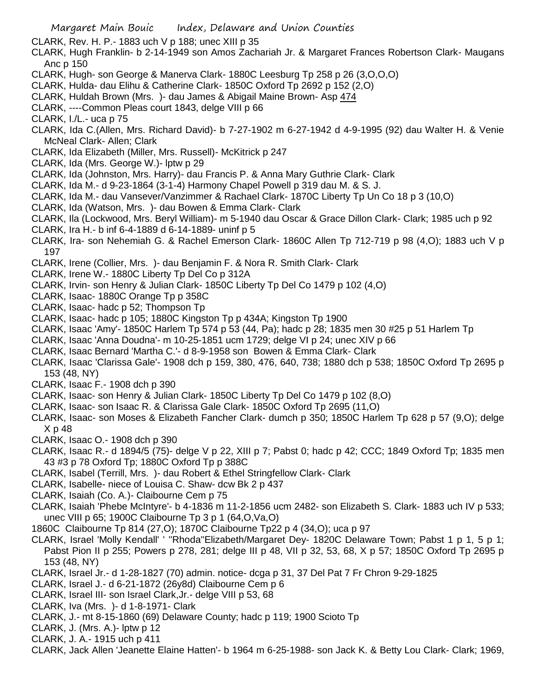CLARK, Rev. H. P.- 1883 uch V p 188; unec XIII p 35

- CLARK, Hugh Franklin- b 2-14-1949 son Amos Zachariah Jr. & Margaret Frances Robertson Clark- Maugans Anc p 150
- CLARK, Hugh- son George & Manerva Clark- 1880C Leesburg Tp 258 p 26 (3,O,O,O)
- CLARK, Hulda- dau Elihu & Catherine Clark- 1850C Oxford Tp 2692 p 152 (2,O)
- CLARK, Huldah Brown (Mrs. )- dau James & Abigail Maine Brown- Asp 474
- CLARK, ----Common Pleas court 1843, delge VIII p 66
- CLARK, I./L.- uca p 75
- CLARK, Ida C.(Allen, Mrs. Richard David)- b 7-27-1902 m 6-27-1942 d 4-9-1995 (92) dau Walter H. & Venie McNeal Clark- Allen; Clark
- CLARK, Ida Elizabeth (Miller, Mrs. Russell)- McKitrick p 247
- CLARK, Ida (Mrs. George W.)- lptw p 29
- CLARK, Ida (Johnston, Mrs. Harry)- dau Francis P. & Anna Mary Guthrie Clark- Clark
- CLARK, Ida M.- d 9-23-1864 (3-1-4) Harmony Chapel Powell p 319 dau M. & S. J.
- CLARK, Ida M.- dau Vansever/Vanzimmer & Rachael Clark- 1870C Liberty Tp Un Co 18 p 3 (10,O)
- CLARK, Ida (Watson, Mrs. )- dau Bowen & Emma Clark- Clark
- CLARK, Ila (Lockwood, Mrs. Beryl William)- m 5-1940 dau Oscar & Grace Dillon Clark- Clark; 1985 uch p 92
- CLARK, Ira H.- b inf 6-4-1889 d 6-14-1889- uninf p 5
- CLARK, Ira- son Nehemiah G. & Rachel Emerson Clark- 1860C Allen Tp 712-719 p 98 (4,O); 1883 uch V p 197
- CLARK, Irene (Collier, Mrs. )- dau Benjamin F. & Nora R. Smith Clark- Clark
- CLARK, Irene W.- 1880C Liberty Tp Del Co p 312A
- CLARK, Irvin- son Henry & Julian Clark- 1850C Liberty Tp Del Co 1479 p 102 (4,O)
- CLARK, Isaac- 1880C Orange Tp p 358C
- CLARK, Isaac- hadc p 52; Thompson Tp
- CLARK, Isaac- hadc p 105; 1880C Kingston Tp p 434A; Kingston Tp 1900
- CLARK, Isaac 'Amy'- 1850C Harlem Tp 574 p 53 (44, Pa); hadc p 28; 1835 men 30 #25 p 51 Harlem Tp
- CLARK, Isaac 'Anna Doudna'- m 10-25-1851 ucm 1729; delge VI p 24; unec XIV p 66
- CLARK, Isaac Bernard 'Martha C.'- d 8-9-1958 son Bowen & Emma Clark- Clark
- CLARK, Isaac 'Clarissa Gale'- 1908 dch p 159, 380, 476, 640, 738; 1880 dch p 538; 1850C Oxford Tp 2695 p 153 (48, NY)
- CLARK, Isaac F.- 1908 dch p 390
- CLARK, Isaac- son Henry & Julian Clark- 1850C Liberty Tp Del Co 1479 p 102 (8,O)
- CLARK, Isaac- son Isaac R. & Clarissa Gale Clark- 1850C Oxford Tp 2695 (11,O)
- CLARK, Isaac- son Moses & Elizabeth Fancher Clark- dumch p 350; 1850C Harlem Tp 628 p 57 (9,O); delge X p 48
- CLARK, Isaac O.- 1908 dch p 390
- CLARK, Isaac R.- d 1894/5 (75)- delge V p 22, XIII p 7; Pabst 0; hadc p 42; CCC; 1849 Oxford Tp; 1835 men 43 #3 p 78 Oxford Tp; 1880C Oxford Tp p 388C
- CLARK, Isabel (Terrill, Mrs. )- dau Robert & Ethel Stringfellow Clark- Clark
- CLARK, Isabelle- niece of Louisa C. Shaw- dcw Bk 2 p 437
- CLARK, Isaiah (Co. A.)- Claibourne Cem p 75
- CLARK, Isaiah 'Phebe McIntyre'- b 4-1836 m 11-2-1856 ucm 2482- son Elizabeth S. Clark- 1883 uch IV p 533; unec VIII p 65; 1900C Claibourne Tp 3 p 1 (64,O,Va,O)
- 1860C Claibourne Tp 814 (27,O); 1870C Claibourne Tp22 p 4 (34,O); uca p 97
- CLARK, Israel 'Molly Kendall' ' ''Rhoda''Elizabeth/Margaret Dey- 1820C Delaware Town; Pabst 1 p 1, 5 p 1; Pabst Pion II p 255; Powers p 278, 281; delge III p 48, VII p 32, 53, 68, X p 57; 1850C Oxford Tp 2695 p 153 (48, NY)
- CLARK, Israel Jr.- d 1-28-1827 (70) admin. notice- dcga p 31, 37 Del Pat 7 Fr Chron 9-29-1825
- CLARK, Israel J.- d 6-21-1872 (26y8d) Claibourne Cem p 6
- CLARK, Israel III- son Israel Clark,Jr.- delge VIII p 53, 68
- CLARK, Iva (Mrs. )- d 1-8-1971- Clark
- CLARK, J.- mt 8-15-1860 (69) Delaware County; hadc p 119; 1900 Scioto Tp
- CLARK, J. (Mrs. A.)- lptw p 12
- CLARK, J. A.- 1915 uch p 411
- CLARK, Jack Allen 'Jeanette Elaine Hatten'- b 1964 m 6-25-1988- son Jack K. & Betty Lou Clark- Clark; 1969,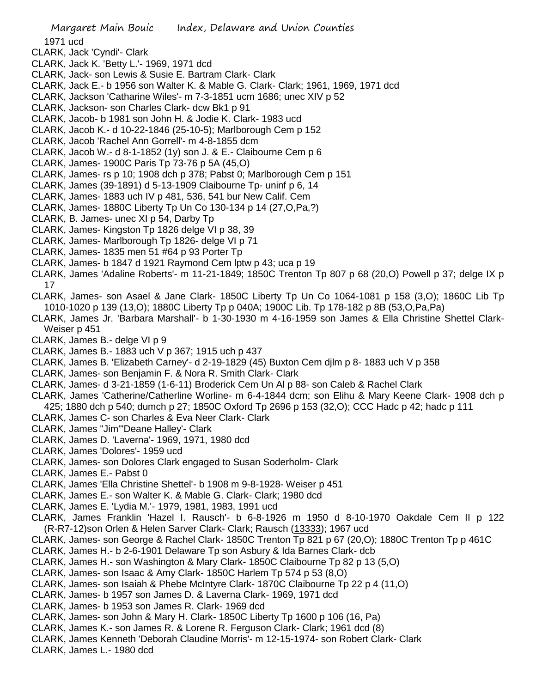1971 ucd

- CLARK, Jack 'Cyndi'- Clark
- CLARK, Jack K. 'Betty L.'- 1969, 1971 dcd
- CLARK, Jack- son Lewis & Susie E. Bartram Clark- Clark
- CLARK, Jack E.- b 1956 son Walter K. & Mable G. Clark- Clark; 1961, 1969, 1971 dcd
- CLARK, Jackson 'Catharine Wiles'- m 7-3-1851 ucm 1686; unec XIV p 52
- CLARK, Jackson- son Charles Clark- dcw Bk1 p 91
- CLARK, Jacob- b 1981 son John H. & Jodie K. Clark- 1983 ucd
- CLARK, Jacob K.- d 10-22-1846 (25-10-5); Marlborough Cem p 152
- CLARK, Jacob 'Rachel Ann Gorrell'- m 4-8-1855 dcm
- CLARK, Jacob W.- d 8-1-1852 (1y) son J. & E.- Claibourne Cem p 6
- CLARK, James- 1900C Paris Tp 73-76 p 5A (45,O)
- CLARK, James- rs p 10; 1908 dch p 378; Pabst 0; Marlborough Cem p 151
- CLARK, James (39-1891) d 5-13-1909 Claibourne Tp- uninf p 6, 14
- CLARK, James- 1883 uch IV p 481, 536, 541 bur New Calif. Cem
- CLARK, James- 1880C Liberty Tp Un Co 130-134 p 14 (27,O,Pa,?)
- CLARK, B. James- unec XI p 54, Darby Tp
- CLARK, James- Kingston Tp 1826 delge VI p 38, 39
- CLARK, James- Marlborough Tp 1826- delge VI p 71
- CLARK, James- 1835 men 51 #64 p 93 Porter Tp
- CLARK, James- b 1847 d 1921 Raymond Cem lptw p 43; uca p 19
- CLARK, James 'Adaline Roberts'- m 11-21-1849; 1850C Trenton Tp 807 p 68 (20,O) Powell p 37; delge IX p 17
- CLARK, James- son Asael & Jane Clark- 1850C Liberty Tp Un Co 1064-1081 p 158 (3,O); 1860C Lib Tp 1010-1020 p 139 (13,O); 1880C Liberty Tp p 040A; 1900C Lib. Tp 178-182 p 8B (53,O,Pa,Pa)
- CLARK, James Jr. 'Barbara Marshall'- b 1-30-1930 m 4-16-1959 son James & Ella Christine Shettel Clark-Weiser p 451
- CLARK, James B.- delge VI p 9
- CLARK, James B.- 1883 uch V p 367; 1915 uch p 437
- CLARK, James B. 'Elizabeth Carney'- d 2-19-1829 (45) Buxton Cem djlm p 8- 1883 uch V p 358
- CLARK, James- son Benjamin F. & Nora R. Smith Clark- Clark
- CLARK, James- d 3-21-1859 (1-6-11) Broderick Cem Un Al p 88- son Caleb & Rachel Clark
- CLARK, James 'Catherine/Catherline Worline- m 6-4-1844 dcm; son Elihu & Mary Keene Clark- 1908 dch p 425; 1880 dch p 540; dumch p 27; 1850C Oxford Tp 2696 p 153 (32,O); CCC Hadc p 42; hadc p 111
- CLARK, James C- son Charles & Eva Neer Clark- Clark
- CLARK, James "Jim"'Deane Halley'- Clark
- CLARK, James D. 'Laverna'- 1969, 1971, 1980 dcd
- CLARK, James 'Dolores'- 1959 ucd
- CLARK, James- son Dolores Clark engaged to Susan Soderholm- Clark
- CLARK, James E.- Pabst 0
- CLARK, James 'Ella Christine Shettel'- b 1908 m 9-8-1928- Weiser p 451
- CLARK, James E.- son Walter K. & Mable G. Clark- Clark; 1980 dcd
- CLARK, James E. 'Lydia M.'- 1979, 1981, 1983, 1991 ucd
- CLARK, James Franklin 'Hazel I. Rausch'- b 6-8-1926 m 1950 d 8-10-1970 Oakdale Cem II p 122 (R-R7-12)son Orlen & Helen Sarver Clark- Clark; Rausch (13333); 1967 ucd
- CLARK, James- son George & Rachel Clark- 1850C Trenton Tp 821 p 67 (20,O); 1880C Trenton Tp p 461C
- CLARK, James H.- b 2-6-1901 Delaware Tp son Asbury & Ida Barnes Clark- dcb
- CLARK, James H.- son Washington & Mary Clark- 1850C Claibourne Tp 82 p 13 (5,O)
- CLARK, James- son Isaac & Amy Clark- 1850C Harlem Tp 574 p 53 (8,O)
- CLARK, James- son Isaiah & Phebe McIntyre Clark- 1870C Claibourne Tp 22 p 4 (11,O)
- CLARK, James- b 1957 son James D. & Laverna Clark- 1969, 1971 dcd
- CLARK, James- b 1953 son James R. Clark- 1969 dcd
- CLARK, James- son John & Mary H. Clark- 1850C Liberty Tp 1600 p 106 (16, Pa)
- CLARK, James K.- son James R. & Lorene R. Ferguson Clark- Clark; 1961 dcd (8)
- CLARK, James Kenneth 'Deborah Claudine Morris'- m 12-15-1974- son Robert Clark- Clark
- CLARK, James L.- 1980 dcd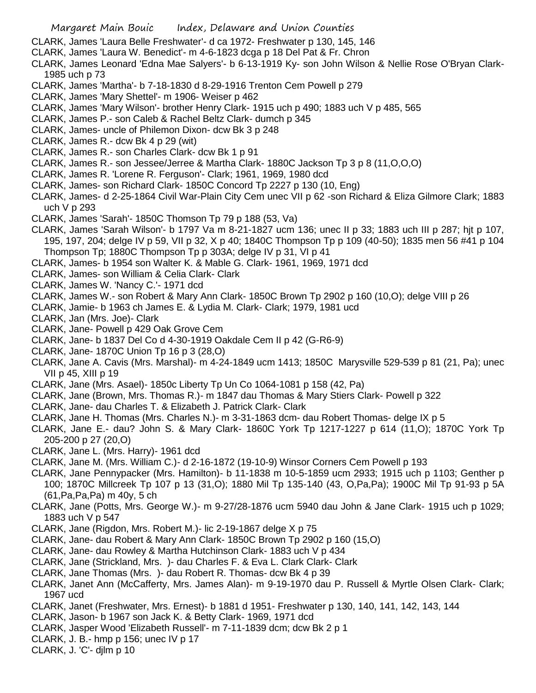CLARK, James 'Laura Belle Freshwater'- d ca 1972- Freshwater p 130, 145, 146

- CLARK, James 'Laura W. Benedict'- m 4-6-1823 dcga p 18 Del Pat & Fr. Chron
- CLARK, James Leonard 'Edna Mae Salyers'- b 6-13-1919 Ky- son John Wilson & Nellie Rose O'Bryan Clark-1985 uch p 73
- CLARK, James 'Martha'- b 7-18-1830 d 8-29-1916 Trenton Cem Powell p 279
- CLARK, James 'Mary Shettel'- m 1906- Weiser p 462
- CLARK, James 'Mary Wilson'- brother Henry Clark- 1915 uch p 490; 1883 uch V p 485, 565
- CLARK, James P.- son Caleb & Rachel Beltz Clark- dumch p 345
- CLARK, James- uncle of Philemon Dixon- dcw Bk 3 p 248
- CLARK, James R.- dcw Bk 4 p 29 (wit)
- CLARK, James R.- son Charles Clark- dcw Bk 1 p 91
- CLARK, James R.- son Jessee/Jerree & Martha Clark- 1880C Jackson Tp 3 p 8 (11,O,O,O)
- CLARK, James R. 'Lorene R. Ferguson'- Clark; 1961, 1969, 1980 dcd
- CLARK, James- son Richard Clark- 1850C Concord Tp 2227 p 130 (10, Eng)
- CLARK, James- d 2-25-1864 Civil War-Plain City Cem unec VII p 62 -son Richard & Eliza Gilmore Clark; 1883 uch V p 293
- CLARK, James 'Sarah'- 1850C Thomson Tp 79 p 188 (53, Va)
- CLARK, James 'Sarah Wilson'- b 1797 Va m 8-21-1827 ucm 136; unec II p 33; 1883 uch III p 287; hjt p 107, 195, 197, 204; delge IV p 59, VII p 32, X p 40; 1840C Thompson Tp p 109 (40-50); 1835 men 56 #41 p 104 Thompson Tp; 1880C Thompson Tp p 303A; delge IV p 31, VI p 41
- CLARK, James- b 1954 son Walter K. & Mable G. Clark- 1961, 1969, 1971 dcd
- CLARK, James- son William & Celia Clark- Clark
- CLARK, James W. 'Nancy C.'- 1971 dcd
- CLARK, James W.- son Robert & Mary Ann Clark- 1850C Brown Tp 2902 p 160 (10,O); delge VIII p 26
- CLARK, Jamie- b 1963 ch James E. & Lydia M. Clark- Clark; 1979, 1981 ucd
- CLARK, Jan (Mrs. Joe)- Clark
- CLARK, Jane- Powell p 429 Oak Grove Cem
- CLARK, Jane- b 1837 Del Co d 4-30-1919 Oakdale Cem II p 42 (G-R6-9)
- CLARK, Jane- 1870C Union Tp 16 p 3 (28,O)
- CLARK, Jane A. Cavis (Mrs. Marshal)- m 4-24-1849 ucm 1413; 1850C Marysville 529-539 p 81 (21, Pa); unec VII p 45, XIII p 19
- CLARK, Jane (Mrs. Asael)- 1850c Liberty Tp Un Co 1064-1081 p 158 (42, Pa)
- CLARK, Jane (Brown, Mrs. Thomas R.)- m 1847 dau Thomas & Mary Stiers Clark- Powell p 322
- CLARK, Jane- dau Charles T. & Elizabeth J. Patrick Clark- Clark
- CLARK, Jane H. Thomas (Mrs. Charles N.)- m 3-31-1863 dcm- dau Robert Thomas- delge IX p 5
- CLARK, Jane E.- dau? John S. & Mary Clark- 1860C York Tp 1217-1227 p 614 (11,O); 1870C York Tp 205-200 p 27 (20,O)
- CLARK, Jane L. (Mrs. Harry)- 1961 dcd
- CLARK, Jane M. (Mrs. William C.)- d 2-16-1872 (19-10-9) Winsor Corners Cem Powell p 193
- CLARK, Jane Pennypacker (Mrs. Hamilton)- b 11-1838 m 10-5-1859 ucm 2933; 1915 uch p 1103; Genther p 100; 1870C Millcreek Tp 107 p 13 (31,O); 1880 Mil Tp 135-140 (43, O,Pa,Pa); 1900C Mil Tp 91-93 p 5A (61,Pa,Pa,Pa) m 40y, 5 ch
- CLARK, Jane (Potts, Mrs. George W.)- m 9-27/28-1876 ucm 5940 dau John & Jane Clark- 1915 uch p 1029; 1883 uch V p 547
- CLARK, Jane (Rigdon, Mrs. Robert M.)- lic 2-19-1867 delge X p 75
- CLARK, Jane- dau Robert & Mary Ann Clark- 1850C Brown Tp 2902 p 160 (15,O)
- CLARK, Jane- dau Rowley & Martha Hutchinson Clark- 1883 uch V p 434
- CLARK, Jane (Strickland, Mrs. )- dau Charles F. & Eva L. Clark Clark- Clark
- CLARK, Jane Thomas (Mrs. )- dau Robert R. Thomas- dcw Bk 4 p 39
- CLARK, Janet Ann (McCafferty, Mrs. James Alan)- m 9-19-1970 dau P. Russell & Myrtle Olsen Clark- Clark; 1967 ucd
- CLARK, Janet (Freshwater, Mrs. Ernest)- b 1881 d 1951- Freshwater p 130, 140, 141, 142, 143, 144
- CLARK, Jason- b 1967 son Jack K. & Betty Clark- 1969, 1971 dcd
- CLARK, Jasper Wood 'Elizabeth Russell'- m 7-11-1839 dcm; dcw Bk 2 p 1
- CLARK, J. B.- hmp p 156; unec IV p 17
- CLARK, J. 'C'- djlm p 10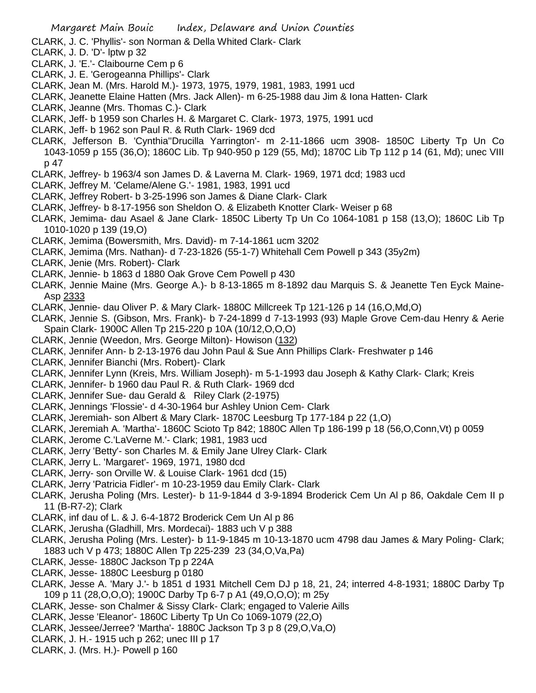- CLARK, J. C. 'Phyllis'- son Norman & Della Whited Clark- Clark
- CLARK, J. D. 'D'- lptw p 32
- CLARK, J. 'E.'- Claibourne Cem p 6
- CLARK, J. E. 'Gerogeanna Phillips'- Clark
- CLARK, Jean M. (Mrs. Harold M.)- 1973, 1975, 1979, 1981, 1983, 1991 ucd
- CLARK, Jeanette Elaine Hatten (Mrs. Jack Allen)- m 6-25-1988 dau Jim & Iona Hatten- Clark
- CLARK, Jeanne (Mrs. Thomas C.)- Clark
- CLARK, Jeff- b 1959 son Charles H. & Margaret C. Clark- 1973, 1975, 1991 ucd
- CLARK, Jeff- b 1962 son Paul R. & Ruth Clark- 1969 dcd
- CLARK, Jefferson B. 'Cynthia''Drucilla Yarrington'- m 2-11-1866 ucm 3908- 1850C Liberty Tp Un Co 1043-1059 p 155 (36,O); 1860C Lib. Tp 940-950 p 129 (55, Md); 1870C Lib Tp 112 p 14 (61, Md); unec VIII p 47
- CLARK, Jeffrey- b 1963/4 son James D. & Laverna M. Clark- 1969, 1971 dcd; 1983 ucd
- CLARK, Jeffrey M. 'Celame/Alene G.'- 1981, 1983, 1991 ucd
- CLARK, Jeffrey Robert- b 3-25-1996 son James & Diane Clark- Clark
- CLARK, Jeffrey- b 8-17-1956 son Sheldon O. & Elizabeth Knotter Clark- Weiser p 68
- CLARK, Jemima- dau Asael & Jane Clark- 1850C Liberty Tp Un Co 1064-1081 p 158 (13,O); 1860C Lib Tp 1010-1020 p 139 (19,O)
- CLARK, Jemima (Bowersmith, Mrs. David)- m 7-14-1861 ucm 3202
- CLARK, Jemima (Mrs. Nathan)- d 7-23-1826 (55-1-7) Whitehall Cem Powell p 343 (35y2m)
- CLARK, Jenie (Mrs. Robert)- Clark
- CLARK, Jennie- b 1863 d 1880 Oak Grove Cem Powell p 430
- CLARK, Jennie Maine (Mrs. George A.)- b 8-13-1865 m 8-1892 dau Marquis S. & Jeanette Ten Eyck Maine-Asp 2333
- CLARK, Jennie- dau Oliver P. & Mary Clark- 1880C Millcreek Tp 121-126 p 14 (16,O,Md,O)
- CLARK, Jennie S. (Gibson, Mrs. Frank)- b 7-24-1899 d 7-13-1993 (93) Maple Grove Cem-dau Henry & Aerie Spain Clark- 1900C Allen Tp 215-220 p 10A (10/12,O,O,O)
- CLARK, Jennie (Weedon, Mrs. George Milton)- Howison (132)
- CLARK, Jennifer Ann- b 2-13-1976 dau John Paul & Sue Ann Phillips Clark- Freshwater p 146
- CLARK, Jennifer Bianchi (Mrs. Robert)- Clark
- CLARK, Jennifer Lynn (Kreis, Mrs. William Joseph)- m 5-1-1993 dau Joseph & Kathy Clark- Clark; Kreis
- CLARK, Jennifer- b 1960 dau Paul R. & Ruth Clark- 1969 dcd
- CLARK, Jennifer Sue- dau Gerald & Riley Clark (2-1975)
- CLARK, Jennings 'Flossie'- d 4-30-1964 bur Ashley Union Cem- Clark
- CLARK, Jeremiah- son Albert & Mary Clark- 1870C Leesburg Tp 177-184 p 22 (1,O)
- CLARK, Jeremiah A. 'Martha'- 1860C Scioto Tp 842; 1880C Allen Tp 186-199 p 18 (56,O,Conn,Vt) p 0059
- CLARK, Jerome C.'LaVerne M.'- Clark; 1981, 1983 ucd
- CLARK, Jerry 'Betty'- son Charles M. & Emily Jane Ulrey Clark- Clark
- CLARK, Jerry L. 'Margaret'- 1969, 1971, 1980 dcd
- CLARK, Jerry- son Orville W. & Louise Clark- 1961 dcd (15)
- CLARK, Jerry 'Patricia Fidler'- m 10-23-1959 dau Emily Clark- Clark
- CLARK, Jerusha Poling (Mrs. Lester)- b 11-9-1844 d 3-9-1894 Broderick Cem Un Al p 86, Oakdale Cem II p 11 (B-R7-2); Clark
- CLARK, inf dau of L. & J. 6-4-1872 Broderick Cem Un Al p 86
- CLARK, Jerusha (Gladhill, Mrs. Mordecai)- 1883 uch V p 388
- CLARK, Jerusha Poling (Mrs. Lester)- b 11-9-1845 m 10-13-1870 ucm 4798 dau James & Mary Poling- Clark; 1883 uch V p 473; 1880C Allen Tp 225-239 23 (34,O,Va,Pa)
- CLARK, Jesse- 1880C Jackson Tp p 224A
- CLARK, Jesse- 1880C Leesburg p 0180
- CLARK, Jesse A. 'Mary J.'- b 1851 d 1931 Mitchell Cem DJ p 18, 21, 24; interred 4-8-1931; 1880C Darby Tp 109 p 11 (28,O,O,O); 1900C Darby Tp 6-7 p A1 (49,O,O,O); m 25y
- CLARK, Jesse- son Chalmer & Sissy Clark- Clark; engaged to Valerie Aills
- CLARK, Jesse 'Eleanor'- 1860C Liberty Tp Un Co 1069-1079 (22,O)
- CLARK, Jessee/Jerree? 'Martha'- 1880C Jackson Tp 3 p 8 (29,O,Va,O)
- CLARK, J. H.- 1915 uch p 262; unec III p 17
- CLARK, J. (Mrs. H.)- Powell p 160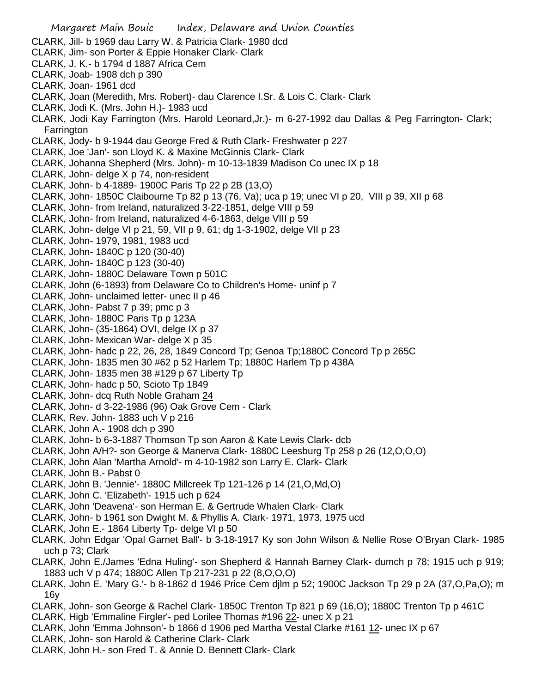- Margaret Main Bouic Index, Delaware and Union Counties CLARK, Jill- b 1969 dau Larry W. & Patricia Clark- 1980 dcd CLARK, Jim- son Porter & Eppie Honaker Clark- Clark CLARK, J. K.- b 1794 d 1887 Africa Cem CLARK, Joab- 1908 dch p 390 CLARK, Joan- 1961 dcd CLARK, Joan (Meredith, Mrs. Robert)- dau Clarence I.Sr. & Lois C. Clark- Clark CLARK, Jodi K. (Mrs. John H.)- 1983 ucd CLARK, Jodi Kay Farrington (Mrs. Harold Leonard,Jr.)- m 6-27-1992 dau Dallas & Peg Farrington- Clark; Farrington CLARK, Jody- b 9-1944 dau George Fred & Ruth Clark- Freshwater p 227 CLARK, Joe 'Jan'- son Lloyd K. & Maxine McGinnis Clark- Clark CLARK, Johanna Shepherd (Mrs. John)- m 10-13-1839 Madison Co unec IX p 18 CLARK, John- delge X p 74, non-resident CLARK, John- b 4-1889- 1900C Paris Tp 22 p 2B (13,O) CLARK, John- 1850C Claibourne Tp 82 p 13 (76, Va); uca p 19; unec VI p 20, VIII p 39, XII p 68 CLARK, John- from Ireland, naturalized 3-22-1851, delge VIII p 59 CLARK, John- from Ireland, naturalized 4-6-1863, delge VIII p 59 CLARK, John- delge VI p 21, 59, VII p 9, 61; dg 1-3-1902, delge VII p 23 CLARK, John- 1979, 1981, 1983 ucd CLARK, John- 1840C p 120 (30-40) CLARK, John- 1840C p 123 (30-40) CLARK, John- 1880C Delaware Town p 501C CLARK, John (6-1893) from Delaware Co to Children's Home- uninf p 7 CLARK, John- unclaimed letter- unec II p 46 CLARK, John- Pabst 7 p 39; pmc p 3 CLARK, John- 1880C Paris Tp p 123A CLARK, John- (35-1864) OVI, delge IX p 37 CLARK, John- Mexican War- delge X p 35 CLARK, John- hadc p 22, 26, 28, 1849 Concord Tp; Genoa Tp;1880C Concord Tp p 265C CLARK, John- 1835 men 30 #62 p 52 Harlem Tp; 1880C Harlem Tp p 438A CLARK, John- 1835 men 38 #129 p 67 Liberty Tp CLARK, John- hadc p 50, Scioto Tp 1849 CLARK, John- dcq Ruth Noble Graham 24 CLARK, John- d 3-22-1986 (96) Oak Grove Cem - Clark CLARK, Rev. John- 1883 uch V p 216 CLARK, John A.- 1908 dch p 390 CLARK, John- b 6-3-1887 Thomson Tp son Aaron & Kate Lewis Clark- dcb CLARK, John A/H?- son George & Manerva Clark- 1880C Leesburg Tp 258 p 26 (12,O,O,O) CLARK, John Alan 'Martha Arnold'- m 4-10-1982 son Larry E. Clark- Clark CLARK, John B.- Pabst 0 CLARK, John B. 'Jennie'- 1880C Millcreek Tp 121-126 p 14 (21,O,Md,O) CLARK, John C. 'Elizabeth'- 1915 uch p 624 CLARK, John 'Deavena'- son Herman E. & Gertrude Whalen Clark- Clark CLARK, John- b 1961 son Dwight M. & Phyllis A. Clark- 1971, 1973, 1975 ucd CLARK, John E.- 1864 Liberty Tp- delge VI p 50 CLARK, John Edgar 'Opal Garnet Ball'- b 3-18-1917 Ky son John Wilson & Nellie Rose O'Bryan Clark- 1985 uch p 73; Clark CLARK, John E./James 'Edna Huling'- son Shepherd & Hannah Barney Clark- dumch p 78; 1915 uch p 919; 1883 uch V p 474; 1880C Allen Tp 217-231 p 22 (8,O,O,O) CLARK, John E. 'Mary G.'- b 8-1862 d 1946 Price Cem djlm p 52; 1900C Jackson Tp 29 p 2A (37,O,Pa,O); m 16y CLARK, John- son George & Rachel Clark- 1850C Trenton Tp 821 p 69 (16,O); 1880C Trenton Tp p 461C CLARK, Higb 'Emmaline Firgler'- ped Lorilee Thomas #196 22- unec X p 21 CLARK, John 'Emma Johnson'- b 1866 d 1906 ped Martha Vestal Clarke #161 12- unec IX p 67
- CLARK, John- son Harold & Catherine Clark- Clark
- CLARK, John H.- son Fred T. & Annie D. Bennett Clark- Clark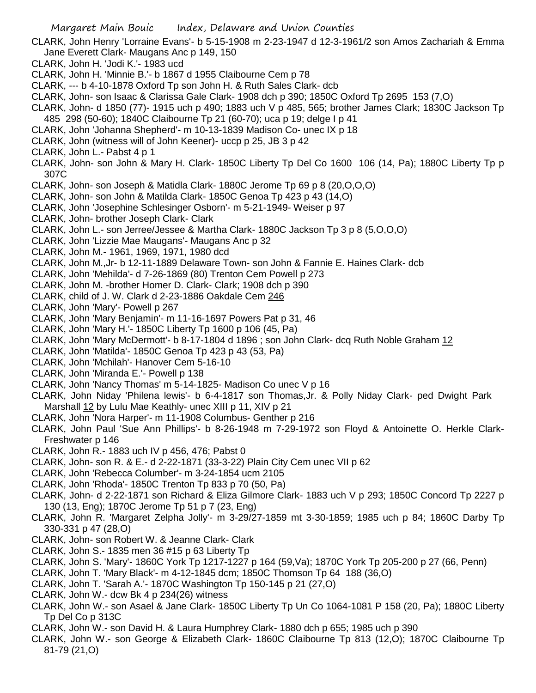- CLARK, John Henry 'Lorraine Evans'- b 5-15-1908 m 2-23-1947 d 12-3-1961/2 son Amos Zachariah & Emma Jane Everett Clark- Maugans Anc p 149, 150
- CLARK, John H. 'Jodi K.'- 1983 ucd
- CLARK, John H. 'Minnie B.'- b 1867 d 1955 Claibourne Cem p 78
- CLARK, --- b 4-10-1878 Oxford Tp son John H. & Ruth Sales Clark- dcb
- CLARK, John- son Isaac & Clarissa Gale Clark- 1908 dch p 390; 1850C Oxford Tp 2695 153 (7,O)
- CLARK, John- d 1850 (77)- 1915 uch p 490; 1883 uch V p 485, 565; brother James Clark; 1830C Jackson Tp 485 298 (50-60); 1840C Claibourne Tp 21 (60-70); uca p 19; delge I p 41
- CLARK, John 'Johanna Shepherd'- m 10-13-1839 Madison Co- unec IX p 18
- CLARK, John (witness will of John Keener)- uccp p 25, JB 3 p 42
- CLARK, John L.- Pabst 4 p 1
- CLARK, John- son John & Mary H. Clark- 1850C Liberty Tp Del Co 1600 106 (14, Pa); 1880C Liberty Tp p 307C
- CLARK, John- son Joseph & Matidla Clark- 1880C Jerome Tp 69 p 8 (20,O,O,O)
- CLARK, John- son John & Matilda Clark- 1850C Genoa Tp 423 p 43 (14,O)
- CLARK, John 'Josephine Schlesinger Osborn'- m 5-21-1949- Weiser p 97
- CLARK, John- brother Joseph Clark- Clark
- CLARK, John L.- son Jerree/Jessee & Martha Clark- 1880C Jackson Tp 3 p 8 (5,O,O,O)
- CLARK, John 'Lizzie Mae Maugans'- Maugans Anc p 32
- CLARK, John M.- 1961, 1969, 1971, 1980 dcd
- CLARK, John M.,Jr- b 12-11-1889 Delaware Town- son John & Fannie E. Haines Clark- dcb
- CLARK, John 'Mehilda'- d 7-26-1869 (80) Trenton Cem Powell p 273
- CLARK, John M. -brother Homer D. Clark- Clark; 1908 dch p 390
- CLARK, child of J. W. Clark d 2-23-1886 Oakdale Cem 246
- CLARK, John 'Mary'- Powell p 267
- CLARK, John 'Mary Benjamin'- m 11-16-1697 Powers Pat p 31, 46
- CLARK, John 'Mary H.'- 1850C Liberty Tp 1600 p 106 (45, Pa)
- CLARK, John 'Mary McDermott'- b 8-17-1804 d 1896 ; son John Clark- dcq Ruth Noble Graham 12
- CLARK, John 'Matilda'- 1850C Genoa Tp 423 p 43 (53, Pa)
- CLARK, John 'Mchilah'- Hanover Cem 5-16-10
- CLARK, John 'Miranda E.'- Powell p 138
- CLARK, John 'Nancy Thomas' m 5-14-1825- Madison Co unec V p 16
- CLARK, John Niday 'Philena lewis'- b 6-4-1817 son Thomas,Jr. & Polly Niday Clark- ped Dwight Park Marshall 12 by Lulu Mae Keathly- unec XIII p 11, XIV p 21
- CLARK, John 'Nora Harper'- m 11-1908 Columbus- Genther p 216
- CLARK, John Paul 'Sue Ann Phillips'- b 8-26-1948 m 7-29-1972 son Floyd & Antoinette O. Herkle Clark-Freshwater p 146
- CLARK, John R.- 1883 uch IV p 456, 476; Pabst 0
- CLARK, John- son R. & E.- d 2-22-1871 (33-3-22) Plain City Cem unec VII p 62
- CLARK, John 'Rebecca Columber'- m 3-24-1854 ucm 2105
- CLARK, John 'Rhoda'- 1850C Trenton Tp 833 p 70 (50, Pa)
- CLARK, John- d 2-22-1871 son Richard & Eliza Gilmore Clark- 1883 uch V p 293; 1850C Concord Tp 2227 p 130 (13, Eng); 1870C Jerome Tp 51 p 7 (23, Eng)
- CLARK, John R. 'Margaret Zelpha Jolly'- m 3-29/27-1859 mt 3-30-1859; 1985 uch p 84; 1860C Darby Tp 330-331 p 47 (28,O)
- CLARK, John- son Robert W. & Jeanne Clark- Clark
- CLARK, John S.- 1835 men 36 #15 p 63 Liberty Tp
- CLARK, John S. 'Mary'- 1860C York Tp 1217-1227 p 164 (59,Va); 1870C York Tp 205-200 p 27 (66, Penn)
- CLARK, John T. 'Mary Black'- m 4-12-1845 dcm; 1850C Thomson Tp 64 188 (36,O)
- CLARK, John T. 'Sarah A.'- 1870C Washington Tp 150-145 p 21 (27,O)
- CLARK, John W.- dcw Bk 4 p 234(26) witness
- CLARK, John W.- son Asael & Jane Clark- 1850C Liberty Tp Un Co 1064-1081 P 158 (20, Pa); 1880C Liberty Tp Del Co p 313C
- CLARK, John W.- son David H. & Laura Humphrey Clark- 1880 dch p 655; 1985 uch p 390
- CLARK, John W.- son George & Elizabeth Clark- 1860C Claibourne Tp 813 (12,O); 1870C Claibourne Tp 81-79 (21,O)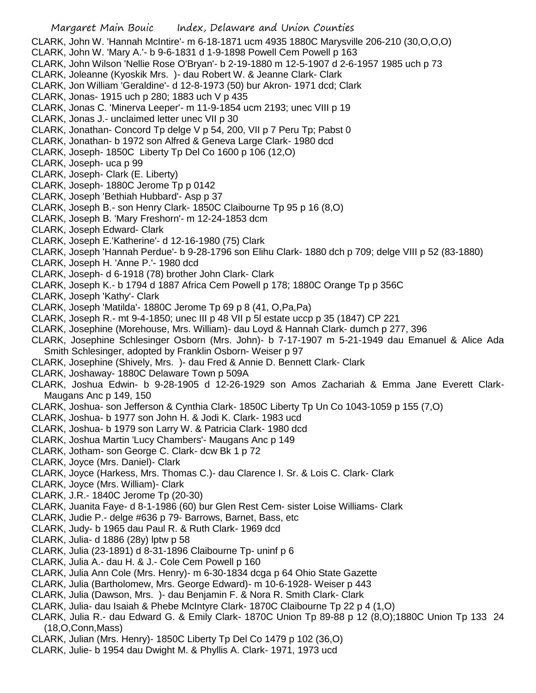Margaret Main Bouic Index, Delaware and Union Counties CLARK, John W. 'Hannah McIntire'- m 6-18-1871 ucm 4935 1880C Marysville 206-210 (30,O,O,O) CLARK, John W. 'Mary A.'- b 9-6-1831 d 1-9-1898 Powell Cem Powell p 163 CLARK, John Wilson 'Nellie Rose O'Bryan'- b 2-19-1880 m 12-5-1907 d 2-6-1957 1985 uch p 73 CLARK, Joleanne (Kyoskik Mrs. )- dau Robert W. & Jeanne Clark- Clark CLARK, Jon William 'Geraldine'- d 12-8-1973 (50) bur Akron- 1971 dcd; Clark CLARK, Jonas- 1915 uch p 280; 1883 uch V p 435 CLARK, Jonas C. 'Minerva Leeper'- m 11-9-1854 ucm 2193; unec VIII p 19 CLARK, Jonas J.- unclaimed letter unec VII p 30 CLARK, Jonathan- Concord Tp delge V p 54, 200, VII p 7 Peru Tp; Pabst 0 CLARK, Jonathan- b 1972 son Alfred & Geneva Large Clark- 1980 dcd CLARK, Joseph- 1850C Liberty Tp Del Co 1600 p 106 (12,O) CLARK, Joseph- uca p 99 CLARK, Joseph- Clark (E. Liberty) CLARK, Joseph- 1880C Jerome Tp p 0142 CLARK, Joseph 'Bethiah Hubbard'- Asp p 37 CLARK, Joseph B.- son Henry Clark- 1850C Claibourne Tp 95 p 16 (8,O) CLARK, Joseph B. 'Mary Freshorn'- m 12-24-1853 dcm CLARK, Joseph Edward- Clark CLARK, Joseph E.'Katherine'- d 12-16-1980 (75) Clark CLARK, Joseph 'Hannah Perdue'- b 9-28-1796 son Elihu Clark- 1880 dch p 709; delge VIII p 52 (83-1880) CLARK, Joseph H. 'Anne P.'- 1980 dcd CLARK, Joseph- d 6-1918 (78) brother John Clark- Clark CLARK, Joseph K.- b 1794 d 1887 Africa Cem Powell p 178; 1880C Orange Tp p 356C CLARK, Joseph 'Kathy'- Clark CLARK, Joseph 'Matilda'- 1880C Jerome Tp 69 p 8 (41, O,Pa,Pa) CLARK, Joseph R.- mt 9-4-1850; unec III p 48 VII p 5l estate uccp p 35 (1847) CP 221 CLARK, Josephine (Morehouse, Mrs. William)- dau Loyd & Hannah Clark- dumch p 277, 396 CLARK, Josephine Schlesinger Osborn (Mrs. John)- b 7-17-1907 m 5-21-1949 dau Emanuel & Alice Ada Smith Schlesinger, adopted by Franklin Osborn- Weiser p 97 CLARK, Josephine (Shively, Mrs. )- dau Fred & Annie D. Bennett Clark- Clark CLARK, Joshaway- 1880C Delaware Town p 509A CLARK, Joshua Edwin- b 9-28-1905 d 12-26-1929 son Amos Zachariah & Emma Jane Everett Clark-Maugans Anc p 149, 150 CLARK, Joshua- son Jefferson & Cynthia Clark- 1850C Liberty Tp Un Co 1043-1059 p 155 (7,O) CLARK, Joshua- b 1977 son John H. & Jodi K. Clark- 1983 ucd CLARK, Joshua- b 1979 son Larry W. & Patricia Clark- 1980 dcd CLARK, Joshua Martin 'Lucy Chambers'- Maugans Anc p 149 CLARK, Jotham- son George C. Clark- dcw Bk 1 p 72 CLARK, Joyce (Mrs. Daniel)- Clark CLARK, Joyce (Harkess, Mrs. Thomas C.)- dau Clarence I. Sr. & Lois C. Clark- Clark CLARK, Joyce (Mrs. William)- Clark CLARK, J.R.- 1840C Jerome Tp (20-30) CLARK, Juanita Faye- d 8-1-1986 (60) bur Glen Rest Cem- sister Loise Williams- Clark CLARK, Judie P.- delge #636 p 79- Barrows, Barnet, Bass, etc CLARK, Judy- b 1965 dau Paul R. & Ruth Clark- 1969 dcd CLARK, Julia- d 1886 (28y) lptw p 58 CLARK, Julia (23-1891) d 8-31-1896 Claibourne Tp- uninf p 6 CLARK, Julia A.- dau H. & J.- Cole Cem Powell p 160 CLARK, Julia Ann Cole (Mrs. Henry)- m 6-30-1834 dcga p 64 Ohio State Gazette CLARK, Julia (Bartholomew, Mrs. George Edward)- m 10-6-1928- Weiser p 443 CLARK, Julia (Dawson, Mrs. )- dau Benjamin F. & Nora R. Smith Clark- Clark CLARK, Julia- dau Isaiah & Phebe McIntyre Clark- 1870C Claibourne Tp 22 p 4 (1,O) CLARK, Julia R.- dau Edward G. & Emily Clark- 1870C Union Tp 89-88 p 12 (8,O);1880C Union Tp 133 24 (18,O,Conn,Mass) CLARK, Julian (Mrs. Henry)- 1850C Liberty Tp Del Co 1479 p 102 (36,O)

CLARK, Julie- b 1954 dau Dwight M. & Phyllis A. Clark- 1971, 1973 ucd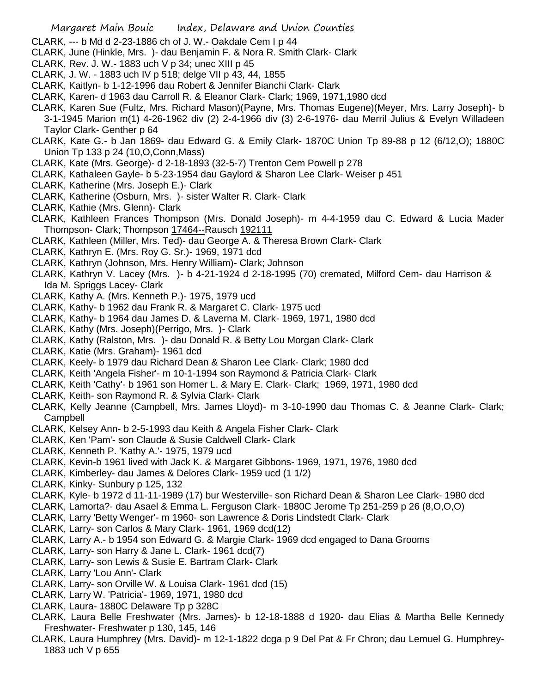- CLARK, --- b Md d 2-23-1886 ch of J. W.- Oakdale Cem I p 44
- CLARK, June (Hinkle, Mrs. )- dau Benjamin F. & Nora R. Smith Clark- Clark
- CLARK, Rev. J. W.- 1883 uch V p 34; unec XIII p 45
- CLARK, J. W. 1883 uch IV p 518; delge VII p 43, 44, 1855
- CLARK, Kaitlyn- b 1-12-1996 dau Robert & Jennifer Bianchi Clark- Clark
- CLARK, Karen- d 1963 dau Carroll R. & Eleanor Clark- Clark; 1969, 1971,1980 dcd
- CLARK, Karen Sue (Fultz, Mrs. Richard Mason)(Payne, Mrs. Thomas Eugene)(Meyer, Mrs. Larry Joseph)- b 3-1-1945 Marion m(1) 4-26-1962 div (2) 2-4-1966 div (3) 2-6-1976- dau Merril Julius & Evelyn Willadeen Taylor Clark- Genther p 64
- CLARK, Kate G.- b Jan 1869- dau Edward G. & Emily Clark- 1870C Union Tp 89-88 p 12 (6/12,O); 1880C Union Tp 133 p 24 (10,O,Conn,Mass)
- CLARK, Kate (Mrs. George)- d 2-18-1893 (32-5-7) Trenton Cem Powell p 278
- CLARK, Kathaleen Gayle- b 5-23-1954 dau Gaylord & Sharon Lee Clark- Weiser p 451
- CLARK, Katherine (Mrs. Joseph E.)- Clark
- CLARK, Katherine (Osburn, Mrs. )- sister Walter R. Clark- Clark
- CLARK, Kathie (Mrs. Glenn)- Clark
- CLARK, Kathleen Frances Thompson (Mrs. Donald Joseph)- m 4-4-1959 dau C. Edward & Lucia Mader Thompson- Clark; Thompson 17464--Rausch 192111
- CLARK, Kathleen (Miller, Mrs. Ted)- dau George A. & Theresa Brown Clark- Clark
- CLARK, Kathryn E. (Mrs. Roy G. Sr.)- 1969, 1971 dcd
- CLARK, Kathryn (Johnson, Mrs. Henry William)- Clark; Johnson
- CLARK, Kathryn V. Lacey (Mrs. )- b 4-21-1924 d 2-18-1995 (70) cremated, Milford Cem- dau Harrison & Ida M. Spriggs Lacey- Clark
- CLARK, Kathy A. (Mrs. Kenneth P.)- 1975, 1979 ucd
- CLARK, Kathy- b 1962 dau Frank R. & Margaret C. Clark- 1975 ucd
- CLARK, Kathy- b 1964 dau James D. & Laverna M. Clark- 1969, 1971, 1980 dcd
- CLARK, Kathy (Mrs. Joseph)(Perrigo, Mrs. )- Clark
- CLARK, Kathy (Ralston, Mrs. )- dau Donald R. & Betty Lou Morgan Clark- Clark
- CLARK, Katie (Mrs. Graham)- 1961 dcd
- CLARK, Keely- b 1979 dau Richard Dean & Sharon Lee Clark- Clark; 1980 dcd
- CLARK, Keith 'Angela Fisher'- m 10-1-1994 son Raymond & Patricia Clark- Clark
- CLARK, Keith 'Cathy'- b 1961 son Homer L. & Mary E. Clark- Clark; 1969, 1971, 1980 dcd
- CLARK, Keith- son Raymond R. & Sylvia Clark- Clark
- CLARK, Kelly Jeanne (Campbell, Mrs. James Lloyd)- m 3-10-1990 dau Thomas C. & Jeanne Clark- Clark; Campbell
- CLARK, Kelsey Ann- b 2-5-1993 dau Keith & Angela Fisher Clark- Clark
- CLARK, Ken 'Pam'- son Claude & Susie Caldwell Clark- Clark
- CLARK, Kenneth P. 'Kathy A.'- 1975, 1979 ucd
- CLARK, Kevin-b 1961 lived with Jack K. & Margaret Gibbons- 1969, 1971, 1976, 1980 dcd
- CLARK, Kimberley- dau James & Delores Clark- 1959 ucd (1 1/2)
- CLARK, Kinky- Sunbury p 125, 132
- CLARK, Kyle- b 1972 d 11-11-1989 (17) bur Westerville- son Richard Dean & Sharon Lee Clark- 1980 dcd
- CLARK, Lamorta?- dau Asael & Emma L. Ferguson Clark- 1880C Jerome Tp 251-259 p 26 (8,O,O,O)
- CLARK, Larry 'Betty Wenger'- m 1960- son Lawrence & Doris Lindstedt Clark- Clark
- CLARK, Larry- son Carlos & Mary Clark- 1961, 1969 dcd(12)
- CLARK, Larry A.- b 1954 son Edward G. & Margie Clark- 1969 dcd engaged to Dana Grooms
- CLARK, Larry- son Harry & Jane L. Clark- 1961 dcd(7)
- CLARK, Larry- son Lewis & Susie E. Bartram Clark- Clark
- CLARK, Larry 'Lou Ann'- Clark
- CLARK, Larry- son Orville W. & Louisa Clark- 1961 dcd (15)
- CLARK, Larry W. 'Patricia'- 1969, 1971, 1980 dcd
- CLARK, Laura- 1880C Delaware Tp p 328C
- CLARK, Laura Belle Freshwater (Mrs. James)- b 12-18-1888 d 1920- dau Elias & Martha Belle Kennedy Freshwater- Freshwater p 130, 145, 146
- CLARK, Laura Humphrey (Mrs. David)- m 12-1-1822 dcga p 9 Del Pat & Fr Chron; dau Lemuel G. Humphrey-1883 uch V p 655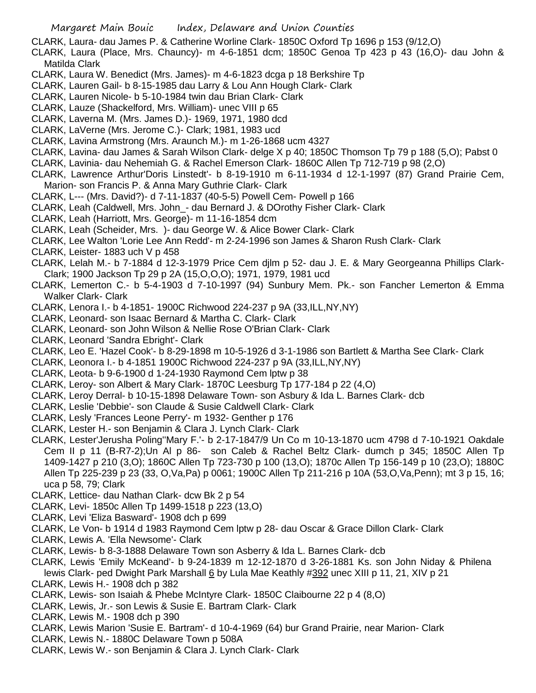CLARK, Laura- dau James P. & Catherine Worline Clark- 1850C Oxford Tp 1696 p 153 (9/12,O)

- CLARK, Laura (Place, Mrs. Chauncy)- m 4-6-1851 dcm; 1850C Genoa Tp 423 p 43 (16,O)- dau John & Matilda Clark
- CLARK, Laura W. Benedict (Mrs. James)- m 4-6-1823 dcga p 18 Berkshire Tp
- CLARK, Lauren Gail- b 8-15-1985 dau Larry & Lou Ann Hough Clark- Clark
- CLARK, Lauren Nicole- b 5-10-1984 twin dau Brian Clark- Clark
- CLARK, Lauze (Shackelford, Mrs. William)- unec VIII p 65
- CLARK, Laverna M. (Mrs. James D.)- 1969, 1971, 1980 dcd
- CLARK, LaVerne (Mrs. Jerome C.)- Clark; 1981, 1983 ucd
- CLARK, Lavina Armstrong (Mrs. Araunch M.)- m 1-26-1868 ucm 4327
- CLARK, Lavina- dau James & Sarah Wilson Clark- delge X p 40; 1850C Thomson Tp 79 p 188 (5,O); Pabst 0
- CLARK, Lavinia- dau Nehemiah G. & Rachel Emerson Clark- 1860C Allen Tp 712-719 p 98 (2,O)
- CLARK, Lawrence Arthur'Doris Linstedt'- b 8-19-1910 m 6-11-1934 d 12-1-1997 (87) Grand Prairie Cem, Marion- son Francis P. & Anna Mary Guthrie Clark- Clark
- CLARK, L--- (Mrs. David?)- d 7-11-1837 (40-5-5) Powell Cem- Powell p 166
- CLARK, Leah (Caldwell, Mrs. John\_- dau Bernard J. & DOrothy Fisher Clark- Clark
- CLARK, Leah (Harriott, Mrs. George)- m 11-16-1854 dcm
- CLARK, Leah (Scheider, Mrs. )- dau George W. & Alice Bower Clark- Clark
- CLARK, Lee Walton 'Lorie Lee Ann Redd'- m 2-24-1996 son James & Sharon Rush Clark- Clark
- CLARK, Leister- 1883 uch V p 458
- CLARK, Lelah M.- b 7-1884 d 12-3-1979 Price Cem djlm p 52- dau J. E. & Mary Georgeanna Phillips Clark-Clark; 1900 Jackson Tp 29 p 2A (15,O,O,O); 1971, 1979, 1981 ucd
- CLARK, Lemerton C.- b 5-4-1903 d 7-10-1997 (94) Sunbury Mem. Pk.- son Fancher Lemerton & Emma Walker Clark- Clark
- CLARK, Lenora I.- b 4-1851- 1900C Richwood 224-237 p 9A (33,ILL,NY,NY)
- CLARK, Leonard- son Isaac Bernard & Martha C. Clark- Clark
- CLARK, Leonard- son John Wilson & Nellie Rose O'Brian Clark- Clark
- CLARK, Leonard 'Sandra Ebright'- Clark
- CLARK, Leo E. 'Hazel Cook'- b 8-29-1898 m 10-5-1926 d 3-1-1986 son Bartlett & Martha See Clark- Clark
- CLARK, Leonora I.- b 4-1851 1900C Richwood 224-237 p 9A (33,ILL,NY,NY)
- CLARK, Leota- b 9-6-1900 d 1-24-1930 Raymond Cem lptw p 38
- CLARK, Leroy- son Albert & Mary Clark- 1870C Leesburg Tp 177-184 p 22 (4,O)
- CLARK, Leroy Derral- b 10-15-1898 Delaware Town- son Asbury & Ida L. Barnes Clark- dcb
- CLARK, Leslie 'Debbie'- son Claude & Susie Caldwell Clark- Clark
- CLARK, Lesly 'Frances Leone Perry'- m 1932- Genther p 176
- CLARK, Lester H.- son Benjamin & Clara J. Lynch Clark- Clark
- CLARK, Lester'Jerusha Poling''Mary F.'- b 2-17-1847/9 Un Co m 10-13-1870 ucm 4798 d 7-10-1921 Oakdale Cem II p 11 (B-R7-2);Un Al p 86- son Caleb & Rachel Beltz Clark- dumch p 345; 1850C Allen Tp 1409-1427 p 210 (3,O); 1860C Allen Tp 723-730 p 100 (13,O); 1870c Allen Tp 156-149 p 10 (23,O); 1880C Allen Tp 225-239 p 23 (33, O,Va,Pa) p 0061; 1900C Allen Tp 211-216 p 10A (53,O,Va,Penn); mt 3 p 15, 16; uca p 58, 79; Clark
- CLARK, Lettice- dau Nathan Clark- dcw Bk 2 p 54
- CLARK, Levi- 1850c Allen Tp 1499-1518 p 223 (13,O)
- CLARK, Levi 'Eliza Basward'- 1908 dch p 699
- CLARK, Le Von- b 1914 d 1983 Raymond Cem lptw p 28- dau Oscar & Grace Dillon Clark- Clark
- CLARK, Lewis A. 'Ella Newsome'- Clark
- CLARK, Lewis- b 8-3-1888 Delaware Town son Asberry & Ida L. Barnes Clark- dcb
- CLARK, Lewis 'Emily McKeand'- b 9-24-1839 m 12-12-1870 d 3-26-1881 Ks. son John Niday & Philena lewis Clark- ped Dwight Park Marshall 6 by Lula Mae Keathly #392 unec XIII p 11, 21, XIV p 21
- CLARK, Lewis H.- 1908 dch p 382
- CLARK, Lewis- son Isaiah & Phebe McIntyre Clark- 1850C Claibourne 22 p 4 (8,O)
- CLARK, Lewis, Jr.- son Lewis & Susie E. Bartram Clark- Clark
- CLARK, Lewis M.- 1908 dch p 390
- CLARK, Lewis Marion 'Susie E. Bartram'- d 10-4-1969 (64) bur Grand Prairie, near Marion- Clark
- CLARK, Lewis N.- 1880C Delaware Town p 508A
- CLARK, Lewis W.- son Benjamin & Clara J. Lynch Clark- Clark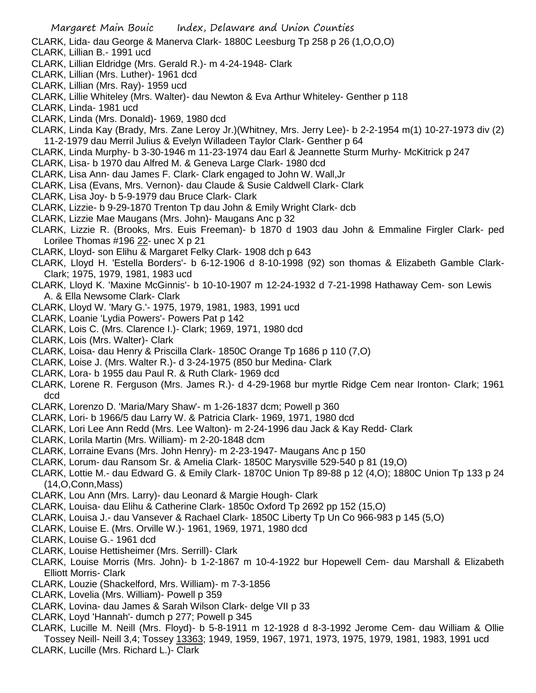- CLARK, Lida- dau George & Manerva Clark- 1880C Leesburg Tp 258 p 26 (1,O,O,O)
- CLARK, Lillian B.- 1991 ucd
- CLARK, Lillian Eldridge (Mrs. Gerald R.)- m 4-24-1948- Clark
- CLARK, Lillian (Mrs. Luther)- 1961 dcd
- CLARK, Lillian (Mrs. Ray)- 1959 ucd
- CLARK, Lillie Whiteley (Mrs. Walter)- dau Newton & Eva Arthur Whiteley- Genther p 118
- CLARK, Linda- 1981 ucd
- CLARK, Linda (Mrs. Donald)- 1969, 1980 dcd
- CLARK, Linda Kay (Brady, Mrs. Zane Leroy Jr.)(Whitney, Mrs. Jerry Lee)- b 2-2-1954 m(1) 10-27-1973 div (2) 11-2-1979 dau Merril Julius & Evelyn Willadeen Taylor Clark- Genther p 64
- CLARK, Linda Murphy- b 3-30-1946 m 11-23-1974 dau Earl & Jeannette Sturm Murhy- McKitrick p 247
- CLARK, Lisa- b 1970 dau Alfred M. & Geneva Large Clark- 1980 dcd
- CLARK, Lisa Ann- dau James F. Clark- Clark engaged to John W. Wall,Jr
- CLARK, Lisa (Evans, Mrs. Vernon)- dau Claude & Susie Caldwell Clark- Clark
- CLARK, Lisa Joy- b 5-9-1979 dau Bruce Clark- Clark
- CLARK, Lizzie- b 9-29-1870 Trenton Tp dau John & Emily Wright Clark- dcb
- CLARK, Lizzie Mae Maugans (Mrs. John)- Maugans Anc p 32
- CLARK, Lizzie R. (Brooks, Mrs. Euis Freeman)- b 1870 d 1903 dau John & Emmaline Firgler Clark- ped Lorilee Thomas #196 22- unec X p 21
- CLARK, Lloyd- son Elihu & Margaret Felky Clark- 1908 dch p 643
- CLARK, Lloyd H. 'Estella Borders'- b 6-12-1906 d 8-10-1998 (92) son thomas & Elizabeth Gamble Clark-Clark; 1975, 1979, 1981, 1983 ucd
- CLARK, Lloyd K. 'Maxine McGinnis'- b 10-10-1907 m 12-24-1932 d 7-21-1998 Hathaway Cem- son Lewis A. & Ella Newsome Clark- Clark
- CLARK, Lloyd W. 'Mary G.'- 1975, 1979, 1981, 1983, 1991 ucd
- CLARK, Loanie 'Lydia Powers'- Powers Pat p 142
- CLARK, Lois C. (Mrs. Clarence I.)- Clark; 1969, 1971, 1980 dcd
- CLARK, Lois (Mrs. Walter)- Clark
- CLARK, Loisa- dau Henry & Priscilla Clark- 1850C Orange Tp 1686 p 110 (7,O)
- CLARK, Loise J. (Mrs. Walter R.)- d 3-24-1975 (850 bur Medina- Clark
- CLARK, Lora- b 1955 dau Paul R. & Ruth Clark- 1969 dcd
- CLARK, Lorene R. Ferguson (Mrs. James R.)- d 4-29-1968 bur myrtle Ridge Cem near Ironton- Clark; 1961 dcd
- CLARK, Lorenzo D. 'Maria/Mary Shaw'- m 1-26-1837 dcm; Powell p 360
- CLARK, Lori- b 1966/5 dau Larry W. & Patricia Clark- 1969, 1971, 1980 dcd
- CLARK, Lori Lee Ann Redd (Mrs. Lee Walton)- m 2-24-1996 dau Jack & Kay Redd- Clark
- CLARK, Lorila Martin (Mrs. William)- m 2-20-1848 dcm
- CLARK, Lorraine Evans (Mrs. John Henry)- m 2-23-1947- Maugans Anc p 150
- CLARK, Lorum- dau Ransom Sr. & Amelia Clark- 1850C Marysville 529-540 p 81 (19,O)
- CLARK, Lottie M.- dau Edward G. & Emily Clark- 1870C Union Tp 89-88 p 12 (4,O); 1880C Union Tp 133 p 24 (14,O,Conn,Mass)
- CLARK, Lou Ann (Mrs. Larry)- dau Leonard & Margie Hough- Clark
- CLARK, Louisa- dau Elihu & Catherine Clark- 1850c Oxford Tp 2692 pp 152 (15,O)
- CLARK, Louisa J.- dau Vansever & Rachael Clark- 1850C Liberty Tp Un Co 966-983 p 145 (5,O)
- CLARK, Louise E. (Mrs. Orville W.)- 1961, 1969, 1971, 1980 dcd
- CLARK, Louise G.- 1961 dcd
- CLARK, Louise Hettisheimer (Mrs. Serrill)- Clark
- CLARK, Louise Morris (Mrs. John)- b 1-2-1867 m 10-4-1922 bur Hopewell Cem- dau Marshall & Elizabeth Elliott Morris- Clark
- CLARK, Louzie (Shackelford, Mrs. William)- m 7-3-1856
- CLARK, Lovelia (Mrs. William)- Powell p 359
- CLARK, Lovina- dau James & Sarah Wilson Clark- delge VII p 33
- CLARK, Loyd 'Hannah'- dumch p 277; Powell p 345
- CLARK, Lucille M. Neill (Mrs. Floyd)- b 5-8-1911 m 12-1928 d 8-3-1992 Jerome Cem- dau William & Ollie Tossey Neill- Neill 3,4; Tossey 13363; 1949, 1959, 1967, 1971, 1973, 1975, 1979, 1981, 1983, 1991 ucd CLARK, Lucille (Mrs. Richard L.)- Clark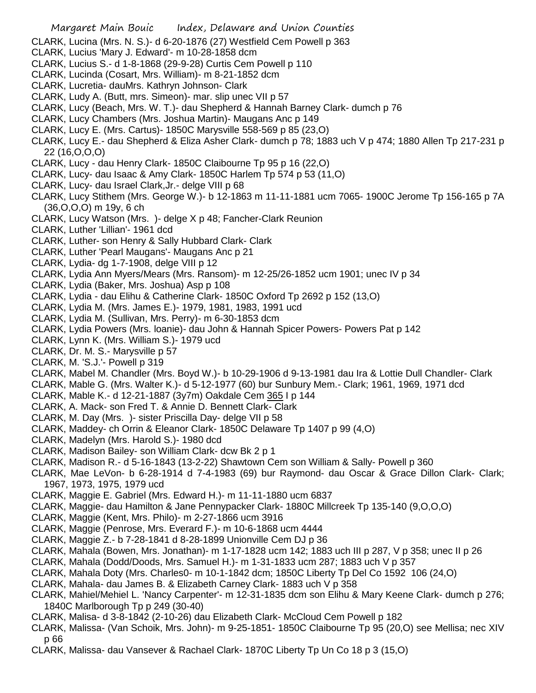CLARK, Lucina (Mrs. N. S.)- d 6-20-1876 (27) Westfield Cem Powell p 363

- CLARK, Lucius 'Mary J. Edward'- m 10-28-1858 dcm
- CLARK, Lucius S.- d 1-8-1868 (29-9-28) Curtis Cem Powell p 110
- CLARK, Lucinda (Cosart, Mrs. William)- m 8-21-1852 dcm
- CLARK, Lucretia- dauMrs. Kathryn Johnson- Clark
- CLARK, Ludy A. (Butt, mrs. Simeon)- mar. slip unec VII p 57
- CLARK, Lucy (Beach, Mrs. W. T.)- dau Shepherd & Hannah Barney Clark- dumch p 76
- CLARK, Lucy Chambers (Mrs. Joshua Martin)- Maugans Anc p 149
- CLARK, Lucy E. (Mrs. Cartus)- 1850C Marysville 558-569 p 85 (23,O)
- CLARK, Lucy E.- dau Shepherd & Eliza Asher Clark- dumch p 78; 1883 uch V p 474; 1880 Allen Tp 217-231 p 22 (16,O,O,O)
- CLARK, Lucy dau Henry Clark- 1850C Claibourne Tp 95 p 16 (22,O)
- CLARK, Lucy- dau Isaac & Amy Clark- 1850C Harlem Tp 574 p 53 (11,O)
- CLARK, Lucy- dau Israel Clark,Jr.- delge VIII p 68
- CLARK, Lucy Stithem (Mrs. George W.)- b 12-1863 m 11-11-1881 ucm 7065- 1900C Jerome Tp 156-165 p 7A (36,O,O,O) m 19y, 6 ch
- CLARK, Lucy Watson (Mrs. )- delge X p 48; Fancher-Clark Reunion
- CLARK, Luther 'Lillian'- 1961 dcd
- CLARK, Luther- son Henry & Sally Hubbard Clark- Clark
- CLARK, Luther 'Pearl Maugans'- Maugans Anc p 21
- CLARK, Lydia- dg 1-7-1908, delge VIII p 12
- CLARK, Lydia Ann Myers/Mears (Mrs. Ransom)- m 12-25/26-1852 ucm 1901; unec IV p 34
- CLARK, Lydia (Baker, Mrs. Joshua) Asp p 108
- CLARK, Lydia dau Elihu & Catherine Clark- 1850C Oxford Tp 2692 p 152 (13,O)
- CLARK, Lydia M. (Mrs. James E.)- 1979, 1981, 1983, 1991 ucd
- CLARK, Lydia M. (Sullivan, Mrs. Perry)- m 6-30-1853 dcm
- CLARK, Lydia Powers (Mrs. loanie)- dau John & Hannah Spicer Powers- Powers Pat p 142
- CLARK, Lynn K. (Mrs. William S.)- 1979 ucd
- CLARK, Dr. M. S.- Marysville p 57
- CLARK, M. 'S.J.'- Powell p 319
- CLARK, Mabel M. Chandler (Mrs. Boyd W.)- b 10-29-1906 d 9-13-1981 dau Ira & Lottie Dull Chandler- Clark
- CLARK, Mable G. (Mrs. Walter K.)- d 5-12-1977 (60) bur Sunbury Mem.- Clark; 1961, 1969, 1971 dcd
- CLARK, Mable K.- d 12-21-1887 (3y7m) Oakdale Cem 365 I p 144
- CLARK, A. Mack- son Fred T. & Annie D. Bennett Clark- Clark
- CLARK, M. Day (Mrs. )- sister Priscilla Day- delge VII p 58
- CLARK, Maddey- ch Orrin & Eleanor Clark- 1850C Delaware Tp 1407 p 99 (4,O)
- CLARK, Madelyn (Mrs. Harold S.)- 1980 dcd
- CLARK, Madison Bailey- son William Clark- dcw Bk 2 p 1
- CLARK, Madison R.- d 5-16-1843 (13-2-22) Shawtown Cem son William & Sally- Powell p 360
- CLARK, Mae LeVon- b 6-28-1914 d 7-4-1983 (69) bur Raymond- dau Oscar & Grace Dillon Clark- Clark; 1967, 1973, 1975, 1979 ucd
- CLARK, Maggie E. Gabriel (Mrs. Edward H.)- m 11-11-1880 ucm 6837
- CLARK, Maggie- dau Hamilton & Jane Pennypacker Clark- 1880C Millcreek Tp 135-140 (9,O,O,O)
- CLARK, Maggie (Kent, Mrs. Philo)- m 2-27-1866 ucm 3916
- CLARK, Maggie (Penrose, Mrs. Everard F.)- m 10-6-1868 ucm 4444
- CLARK, Maggie Z.- b 7-28-1841 d 8-28-1899 Unionville Cem DJ p 36
- CLARK, Mahala (Bowen, Mrs. Jonathan)- m 1-17-1828 ucm 142; 1883 uch III p 287, V p 358; unec II p 26
- CLARK, Mahala (Dodd/Doods, Mrs. Samuel H.)- m 1-31-1833 ucm 287; 1883 uch V p 357
- CLARK, Mahala Doty (Mrs. Charles0- m 10-1-1842 dcm; 1850C Liberty Tp Del Co 1592 106 (24,O)
- CLARK, Mahala- dau James B. & Elizabeth Carney Clark- 1883 uch V p 358
- CLARK, Mahiel/Mehiel L. 'Nancy Carpenter'- m 12-31-1835 dcm son Elihu & Mary Keene Clark- dumch p 276; 1840C Marlborough Tp p 249 (30-40)
- CLARK, Malisa- d 3-8-1842 (2-10-26) dau Elizabeth Clark- McCloud Cem Powell p 182
- CLARK, Malissa- (Van Schoik, Mrs. John)- m 9-25-1851- 1850C Claibourne Tp 95 (20,O) see Mellisa; nec XIV p 66
- CLARK, Malissa- dau Vansever & Rachael Clark- 1870C Liberty Tp Un Co 18 p 3 (15,O)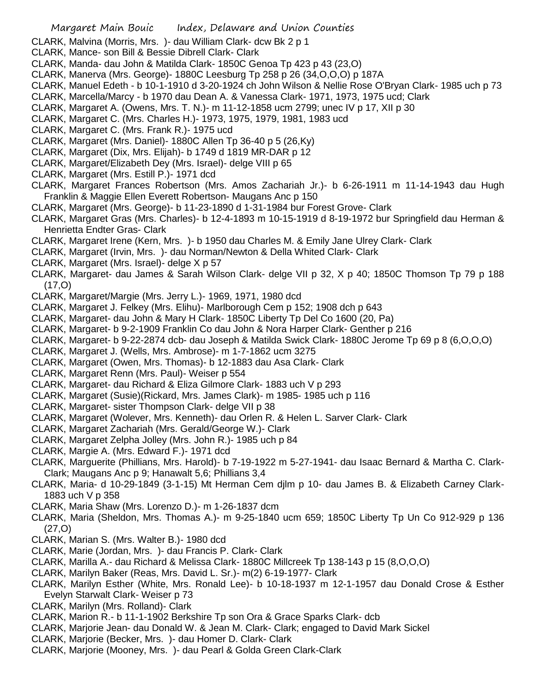- CLARK, Malvina (Morris, Mrs. )- dau William Clark- dcw Bk 2 p 1
- CLARK, Mance- son Bill & Bessie Dibrell Clark- Clark
- CLARK, Manda- dau John & Matilda Clark- 1850C Genoa Tp 423 p 43 (23,O)
- CLARK, Manerva (Mrs. George)- 1880C Leesburg Tp 258 p 26 (34,O,O,O) p 187A
- CLARK, Manuel Edeth b 10-1-1910 d 3-20-1924 ch John Wilson & Nellie Rose O'Bryan Clark- 1985 uch p 73
- CLARK, Marcella/Marcy b 1970 dau Dean A. & Vanessa Clark- 1971, 1973, 1975 ucd; Clark
- CLARK, Margaret A. (Owens, Mrs. T. N.)- m 11-12-1858 ucm 2799; unec IV p 17, XII p 30
- CLARK, Margaret C. (Mrs. Charles H.)- 1973, 1975, 1979, 1981, 1983 ucd
- CLARK, Margaret C. (Mrs. Frank R.)- 1975 ucd
- CLARK, Margaret (Mrs. Daniel)- 1880C Allen Tp 36-40 p 5 (26,Ky)
- CLARK, Margaret (Dix, Mrs. Elijah)- b 1749 d 1819 MR-DAR p 12
- CLARK, Margaret/Elizabeth Dey (Mrs. Israel)- delge VIII p 65
- CLARK, Margaret (Mrs. Estill P.)- 1971 dcd
- CLARK, Margaret Frances Robertson (Mrs. Amos Zachariah Jr.)- b 6-26-1911 m 11-14-1943 dau Hugh Franklin & Maggie Ellen Everett Robertson- Maugans Anc p 150
- CLARK, Margaret (Mrs. George)- b 11-23-1890 d 1-31-1984 bur Forest Grove- Clark
- CLARK, Margaret Gras (Mrs. Charles)- b 12-4-1893 m 10-15-1919 d 8-19-1972 bur Springfield dau Herman & Henrietta Endter Gras- Clark
- CLARK, Margaret Irene (Kern, Mrs. )- b 1950 dau Charles M. & Emily Jane Ulrey Clark- Clark
- CLARK, Margaret (Irvin, Mrs. )- dau Norman/Newton & Della Whited Clark- Clark
- CLARK, Margaret (Mrs. Israel)- delge X p 57
- CLARK, Margaret- dau James & Sarah Wilson Clark- delge VII p 32, X p 40; 1850C Thomson Tp 79 p 188  $(17, 0)$
- CLARK, Margaret/Margie (Mrs. Jerry L.)- 1969, 1971, 1980 dcd
- CLARK, Margaret J. Felkey (Mrs. Elihu)- Marlborough Cem p 152; 1908 dch p 643
- CLARK, Margaret- dau John & Mary H Clark- 1850C Liberty Tp Del Co 1600 (20, Pa)
- CLARK, Margaret- b 9-2-1909 Franklin Co dau John & Nora Harper Clark- Genther p 216
- CLARK, Margaret- b 9-22-2874 dcb- dau Joseph & Matilda Swick Clark- 1880C Jerome Tp 69 p 8 (6,O,O,O)
- CLARK, Margaret J. (Wells, Mrs. Ambrose)- m 1-7-1862 ucm 3275
- CLARK, Margaret (Owen, Mrs. Thomas)- b 12-1883 dau Asa Clark- Clark
- CLARK, Margaret Renn (Mrs. Paul)- Weiser p 554
- CLARK, Margaret- dau Richard & Eliza Gilmore Clark- 1883 uch V p 293
- CLARK, Margaret (Susie)(Rickard, Mrs. James Clark)- m 1985- 1985 uch p 116
- CLARK, Margaret- sister Thompson Clark- delge VII p 38
- CLARK, Margaret (Wolever, Mrs. Kenneth)- dau Orlen R. & Helen L. Sarver Clark- Clark
- CLARK, Margaret Zachariah (Mrs. Gerald/George W.)- Clark
- CLARK, Margaret Zelpha Jolley (Mrs. John R.)- 1985 uch p 84
- CLARK, Margie A. (Mrs. Edward F.)- 1971 dcd
- CLARK, Marguerite (Phillians, Mrs. Harold)- b 7-19-1922 m 5-27-1941- dau Isaac Bernard & Martha C. Clark-Clark; Maugans Anc p 9; Hanawalt 5,6; Phillians 3,4
- CLARK, Maria- d 10-29-1849 (3-1-15) Mt Herman Cem djlm p 10- dau James B. & Elizabeth Carney Clark-1883 uch V p 358
- CLARK, Maria Shaw (Mrs. Lorenzo D.)- m 1-26-1837 dcm
- CLARK, Maria (Sheldon, Mrs. Thomas A.)- m 9-25-1840 ucm 659; 1850C Liberty Tp Un Co 912-929 p 136 (27,O)
- CLARK, Marian S. (Mrs. Walter B.)- 1980 dcd
- CLARK, Marie (Jordan, Mrs. )- dau Francis P. Clark- Clark
- CLARK, Marilla A.- dau Richard & Melissa Clark- 1880C Millcreek Tp 138-143 p 15 (8,O,O,O)
- CLARK, Marilyn Baker (Reas, Mrs. David L. Sr.)- m(2) 6-19-1977- Clark
- CLARK, Marilyn Esther (White, Mrs. Ronald Lee)- b 10-18-1937 m 12-1-1957 dau Donald Crose & Esther Evelyn Starwalt Clark- Weiser p 73
- CLARK, Marilyn (Mrs. Rolland)- Clark
- CLARK, Marion R.- b 11-1-1902 Berkshire Tp son Ora & Grace Sparks Clark- dcb
- CLARK, Marjorie Jean- dau Donald W. & Jean M. Clark- Clark; engaged to David Mark Sickel
- CLARK, Marjorie (Becker, Mrs. )- dau Homer D. Clark- Clark
- CLARK, Marjorie (Mooney, Mrs. )- dau Pearl & Golda Green Clark-Clark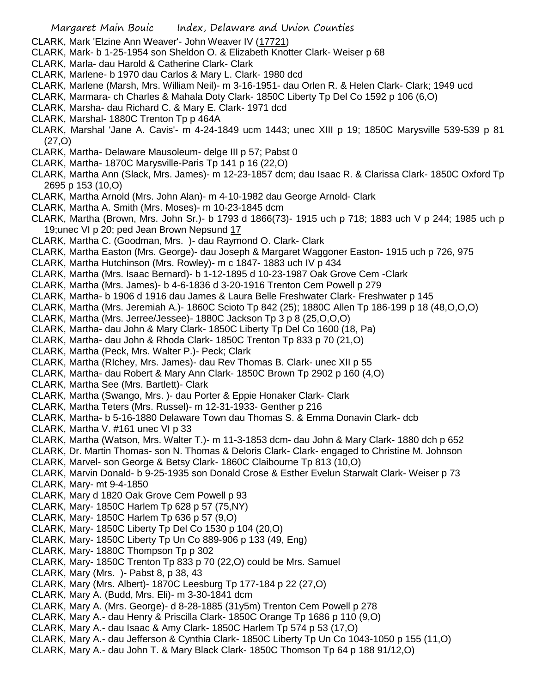- CLARK, Mark 'Elzine Ann Weaver'- John Weaver IV (17721)
- CLARK, Mark- b 1-25-1954 son Sheldon O. & Elizabeth Knotter Clark- Weiser p 68
- CLARK, Marla- dau Harold & Catherine Clark- Clark
- CLARK, Marlene- b 1970 dau Carlos & Mary L. Clark- 1980 dcd
- CLARK, Marlene (Marsh, Mrs. William Neil)- m 3-16-1951- dau Orlen R. & Helen Clark- Clark; 1949 ucd
- CLARK, Marmara- ch Charles & Mahala Doty Clark- 1850C Liberty Tp Del Co 1592 p 106 (6,O)
- CLARK, Marsha- dau Richard C. & Mary E. Clark- 1971 dcd
- CLARK, Marshal- 1880C Trenton Tp p 464A
- CLARK, Marshal 'Jane A. Cavis'- m 4-24-1849 ucm 1443; unec XIII p 19; 1850C Marysville 539-539 p 81 (27,O)
- CLARK, Martha- Delaware Mausoleum- delge III p 57; Pabst 0
- CLARK, Martha- 1870C Marysville-Paris Tp 141 p 16 (22,O)
- CLARK, Martha Ann (Slack, Mrs. James)- m 12-23-1857 dcm; dau Isaac R. & Clarissa Clark- 1850C Oxford Tp 2695 p 153 (10,O)
- CLARK, Martha Arnold (Mrs. John Alan)- m 4-10-1982 dau George Arnold- Clark
- CLARK, Martha A. Smith (Mrs. Moses)- m 10-23-1845 dcm
- CLARK, Martha (Brown, Mrs. John Sr.)- b 1793 d 1866(73)- 1915 uch p 718; 1883 uch V p 244; 1985 uch p 19; unec VI p 20; ped Jean Brown Nepsund 17
- CLARK, Martha C. (Goodman, Mrs. )- dau Raymond O. Clark- Clark
- CLARK, Martha Easton (Mrs. George)- dau Joseph & Margaret Waggoner Easton- 1915 uch p 726, 975
- CLARK, Martha Hutchinson (Mrs. Rowley)- m c 1847- 1883 uch IV p 434
- CLARK, Martha (Mrs. Isaac Bernard)- b 1-12-1895 d 10-23-1987 Oak Grove Cem -Clark
- CLARK, Martha (Mrs. James)- b 4-6-1836 d 3-20-1916 Trenton Cem Powell p 279
- CLARK, Martha- b 1906 d 1916 dau James & Laura Belle Freshwater Clark- Freshwater p 145
- CLARK, Martha (Mrs. Jeremiah A.)- 1860C Scioto Tp 842 (25); 1880C Allen Tp 186-199 p 18 (48,O,O,O)
- CLARK, Martha (Mrs. Jerree/Jessee)- 1880C Jackson Tp 3 p 8 (25,O,O,O)
- CLARK, Martha- dau John & Mary Clark- 1850C Liberty Tp Del Co 1600 (18, Pa)
- CLARK, Martha- dau John & Rhoda Clark- 1850C Trenton Tp 833 p 70 (21,O)
- CLARK, Martha (Peck, Mrs. Walter P.)- Peck; Clark
- CLARK, Martha (RIchey, Mrs. James)- dau Rev Thomas B. Clark- unec XII p 55
- CLARK, Martha- dau Robert & Mary Ann Clark- 1850C Brown Tp 2902 p 160 (4,O)
- CLARK, Martha See (Mrs. Bartlett)- Clark
- CLARK, Martha (Swango, Mrs. )- dau Porter & Eppie Honaker Clark- Clark
- CLARK, Martha Teters (Mrs. Russel)- m 12-31-1933- Genther p 216
- CLARK, Martha- b 5-16-1880 Delaware Town dau Thomas S. & Emma Donavin Clark- dcb
- CLARK, Martha V. #161 unec VI p 33
- CLARK, Martha (Watson, Mrs. Walter T.)- m 11-3-1853 dcm- dau John & Mary Clark- 1880 dch p 652
- CLARK, Dr. Martin Thomas- son N. Thomas & Deloris Clark- Clark- engaged to Christine M. Johnson
- CLARK, Marvel- son George & Betsy Clark- 1860C Claibourne Tp 813 (10,O)
- CLARK, Marvin Donald- b 9-25-1935 son Donald Crose & Esther Evelun Starwalt Clark- Weiser p 73 CLARK, Mary- mt 9-4-1850
- CLARK, Mary d 1820 Oak Grove Cem Powell p 93
- CLARK, Mary- 1850C Harlem Tp 628 p 57 (75,NY)
- CLARK, Mary- 1850C Harlem Tp 636 p 57 (9,O)
- CLARK, Mary- 1850C Liberty Tp Del Co 1530 p 104 (20,O)
- CLARK, Mary- 1850C Liberty Tp Un Co 889-906 p 133 (49, Eng)
- CLARK, Mary- 1880C Thompson Tp p 302
- CLARK, Mary- 1850C Trenton Tp 833 p 70 (22,O) could be Mrs. Samuel
- CLARK, Mary (Mrs. )- Pabst 8, p 38, 43
- CLARK, Mary (Mrs. Albert)- 1870C Leesburg Tp 177-184 p 22 (27,O)
- CLARK, Mary A. (Budd, Mrs. Eli)- m 3-30-1841 dcm
- CLARK, Mary A. (Mrs. George)- d 8-28-1885 (31y5m) Trenton Cem Powell p 278
- CLARK, Mary A.- dau Henry & Priscilla Clark- 1850C Orange Tp 1686 p 110 (9,O)
- CLARK, Mary A.- dau Isaac & Amy Clark- 1850C Harlem Tp 574 p 53 (17,O)
- CLARK, Mary A.- dau Jefferson & Cynthia Clark- 1850C Liberty Tp Un Co 1043-1050 p 155 (11,O)
- CLARK, Mary A.- dau John T. & Mary Black Clark- 1850C Thomson Tp 64 p 188 91/12,O)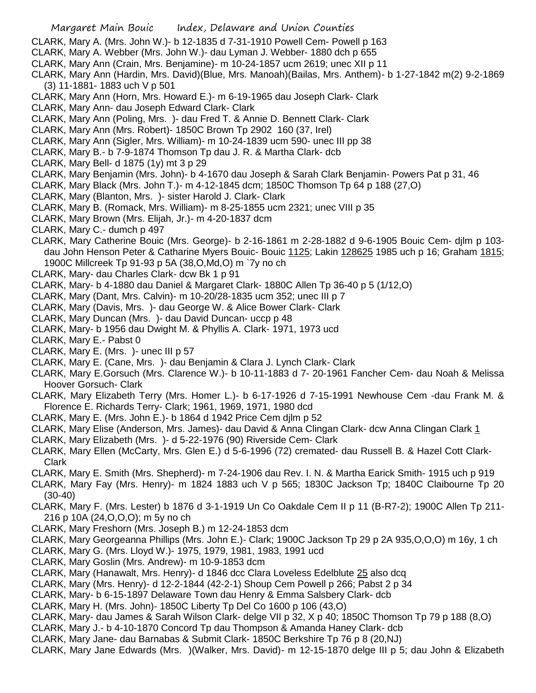- CLARK, Mary A. (Mrs. John W.)- b 12-1835 d 7-31-1910 Powell Cem- Powell p 163
- CLARK, Mary A. Webber (Mrs. John W.)- dau Lyman J. Webber- 1880 dch p 655
- CLARK, Mary Ann (Crain, Mrs. Benjamine)- m 10-24-1857 ucm 2619; unec XII p 11
- CLARK, Mary Ann (Hardin, Mrs. David)(Blue, Mrs. Manoah)(Bailas, Mrs. Anthem)- b 1-27-1842 m(2) 9-2-1869 (3) 11-1881- 1883 uch V p 501
- CLARK, Mary Ann (Horn, Mrs. Howard E.)- m 6-19-1965 dau Joseph Clark- Clark
- CLARK, Mary Ann- dau Joseph Edward Clark- Clark
- CLARK, Mary Ann (Poling, Mrs. )- dau Fred T. & Annie D. Bennett Clark- Clark
- CLARK, Mary Ann (Mrs. Robert)- 1850C Brown Tp 2902 160 (37, Irel)
- CLARK, Mary Ann (Sigler, Mrs. William)- m 10-24-1839 ucm 590- unec III pp 38
- CLARK, Mary B.- b 7-9-1874 Thomson Tp dau J. R. & Martha Clark- dcb
- CLARK, Mary Bell- d 1875 (1y) mt 3 p 29
- CLARK, Mary Benjamin (Mrs. John)- b 4-1670 dau Joseph & Sarah Clark Benjamin- Powers Pat p 31, 46
- CLARK, Mary Black (Mrs. John T.)- m 4-12-1845 dcm; 1850C Thomson Tp 64 p 188 (27,O)
- CLARK, Mary (Blanton, Mrs. )- sister Harold J. Clark- Clark
- CLARK, Mary B. (Romack, Mrs. William)- m 8-25-1855 ucm 2321; unec VIII p 35
- CLARK, Mary Brown (Mrs. Elijah, Jr.)- m 4-20-1837 dcm
- CLARK, Mary C.- dumch p 497
- CLARK, Mary Catherine Bouic (Mrs. George)- b 2-16-1861 m 2-28-1882 d 9-6-1905 Bouic Cem- djlm p 103 dau John Henson Peter & Catharine Myers Bouic- Bouic 1125; Lakin 128625 1985 uch p 16; Graham 1815; 1900C Millcreek Tp 91-93 p 5A (38,O,Md,O) m `7y no ch
- CLARK, Mary- dau Charles Clark- dcw Bk 1 p 91
- CLARK, Mary- b 4-1880 dau Daniel & Margaret Clark- 1880C Allen Tp 36-40 p 5 (1/12,O)
- CLARK, Mary (Dant, Mrs. Calvin)- m 10-20/28-1835 ucm 352; unec III p 7
- CLARK, Mary (Davis, Mrs. )- dau George W. & Alice Bower Clark- Clark
- CLARK, Mary Duncan (Mrs. )- dau David Duncan- uccp p 48
- CLARK, Mary- b 1956 dau Dwight M. & Phyllis A. Clark- 1971, 1973 ucd
- CLARK, Mary E.- Pabst 0
- CLARK, Mary E. (Mrs. )- unec III p 57
- CLARK, Mary E. (Cane, Mrs. )- dau Benjamin & Clara J. Lynch Clark- Clark
- CLARK, Mary E.Gorsuch (Mrs. Clarence W.)- b 10-11-1883 d 7- 20-1961 Fancher Cem- dau Noah & Melissa Hoover Gorsuch- Clark
- CLARK, Mary Elizabeth Terry (Mrs. Homer L.)- b 6-17-1926 d 7-15-1991 Newhouse Cem -dau Frank M. & Florence E. Richards Terry- Clark; 1961, 1969, 1971, 1980 dcd
- CLARK, Mary E. (Mrs. John E.)- b 1864 d 1942 Price Cem djlm p 52
- CLARK, Mary Elise (Anderson, Mrs. James)- dau David & Anna Clingan Clark- dcw Anna Clingan Clark 1
- CLARK, Mary Elizabeth (Mrs. )- d 5-22-1976 (90) Riverside Cem- Clark
- CLARK, Mary Ellen (McCarty, Mrs. Glen E.) d 5-6-1996 (72) cremated- dau Russell B. & Hazel Cott Clark-Clark
- CLARK, Mary E. Smith (Mrs. Shepherd)- m 7-24-1906 dau Rev. I. N. & Martha Earick Smith- 1915 uch p 919
- CLARK, Mary Fay (Mrs. Henry)- m 1824 1883 uch V p 565; 1830C Jackson Tp; 1840C Claibourne Tp 20 (30-40)
- CLARK, Mary F. (Mrs. Lester) b 1876 d 3-1-1919 Un Co Oakdale Cem II p 11 (B-R7-2); 1900C Allen Tp 211- 216 p 10A (24,O,O,O); m 5y no ch
- CLARK, Mary Freshorn (Mrs. Joseph B.) m 12-24-1853 dcm
- CLARK, Mary Georgeanna Phillips (Mrs. John E.)- Clark; 1900C Jackson Tp 29 p 2A 935,O,O,O) m 16y, 1 ch
- CLARK, Mary G. (Mrs. Lloyd W.)- 1975, 1979, 1981, 1983, 1991 ucd
- CLARK, Mary Goslin (Mrs. Andrew)- m 10-9-1853 dcm
- CLARK, Mary (Hanawalt, Mrs. Henry)- d 1846 dcc Clara Loveless Edelblute 25 also dcq
- CLARK, Mary (Mrs. Henry)- d 12-2-1844 (42-2-1) Shoup Cem Powell p 266; Pabst 2 p 34
- CLARK, Mary- b 6-15-1897 Delaware Town dau Henry & Emma Salsbery Clark- dcb
- CLARK, Mary H. (Mrs. John)- 1850C Liberty Tp Del Co 1600 p 106 (43,O)
- CLARK, Mary- dau James & Sarah Wilson Clark- delge VII p 32, X p 40; 1850C Thomson Tp 79 p 188 (8,O)
- CLARK, Mary J.- b 4-10-1870 Concord Tp dau Thompson & Amanda Haney Clark- dcb
- CLARK, Mary Jane- dau Barnabas & Submit Clark- 1850C Berkshire Tp 76 p 8 (20,NJ)
- CLARK, Mary Jane Edwards (Mrs. )(Walker, Mrs. David)- m 12-15-1870 delge III p 5; dau John & Elizabeth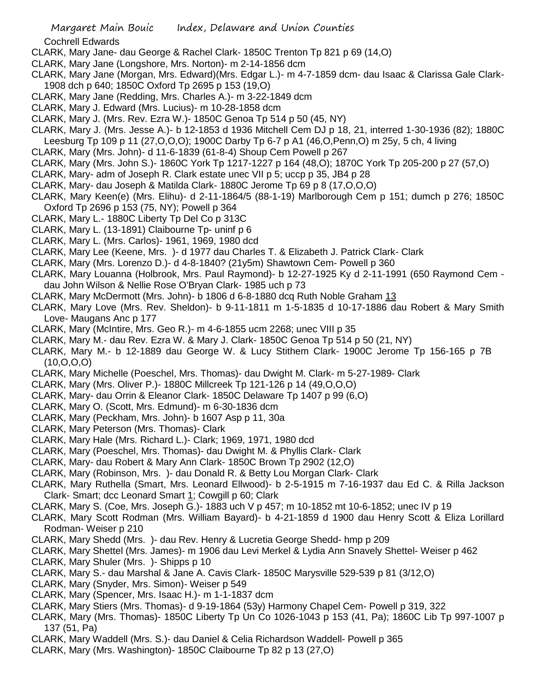Cochrell Edwards

- CLARK, Mary Jane- dau George & Rachel Clark- 1850C Trenton Tp 821 p 69 (14,O)
- CLARK, Mary Jane (Longshore, Mrs. Norton)- m 2-14-1856 dcm
- CLARK, Mary Jane (Morgan, Mrs. Edward)(Mrs. Edgar L.)- m 4-7-1859 dcm- dau Isaac & Clarissa Gale Clark-1908 dch p 640; 1850C Oxford Tp 2695 p 153 (19,O)
- CLARK, Mary Jane (Redding, Mrs. Charles A.)- m 3-22-1849 dcm
- CLARK, Mary J. Edward (Mrs. Lucius)- m 10-28-1858 dcm
- CLARK, Mary J. (Mrs. Rev. Ezra W.)- 1850C Genoa Tp 514 p 50 (45, NY)
- CLARK, Mary J. (Mrs. Jesse A.)- b 12-1853 d 1936 Mitchell Cem DJ p 18, 21, interred 1-30-1936 (82); 1880C Leesburg Tp 109 p 11 (27,O,O,O); 1900C Darby Tp 6-7 p A1 (46,O,Penn,O) m 25y, 5 ch, 4 living
- CLARK, Mary (Mrs. John)- d 11-6-1839 (61-8-4) Shoup Cem Powell p 267
- CLARK, Mary (Mrs. John S.)- 1860C York Tp 1217-1227 p 164 (48,O); 1870C York Tp 205-200 p 27 (57,O)
- CLARK, Mary- adm of Joseph R. Clark estate unec VII p 5; uccp p 35, JB4 p 28
- CLARK, Mary- dau Joseph & Matilda Clark- 1880C Jerome Tp 69 p 8 (17,O,O,O)
- CLARK, Mary Keen(e) (Mrs. Elihu)- d 2-11-1864/5 (88-1-19) Marlborough Cem p 151; dumch p 276; 1850C Oxford Tp 2696 p 153 (75, NY); Powell p 364
- CLARK, Mary L.- 1880C Liberty Tp Del Co p 313C
- CLARK, Mary L. (13-1891) Claibourne Tp- uninf p 6
- CLARK, Mary L. (Mrs. Carlos)- 1961, 1969, 1980 dcd
- CLARK, Mary Lee (Keene, Mrs. )- d 1977 dau Charles T. & Elizabeth J. Patrick Clark- Clark
- CLARK, Mary (Mrs. Lorenzo D.)- d 4-8-1840? (21y5m) Shawtown Cem- Powell p 360
- CLARK, Mary Louanna (Holbrook, Mrs. Paul Raymond)- b 12-27-1925 Ky d 2-11-1991 (650 Raymond Cem dau John Wilson & Nellie Rose O'Bryan Clark- 1985 uch p 73
- CLARK, Mary McDermott (Mrs. John)- b 1806 d 6-8-1880 dcq Ruth Noble Graham 13
- CLARK, Mary Love (Mrs. Rev. Sheldon)- b 9-11-1811 m 1-5-1835 d 10-17-1886 dau Robert & Mary Smith Love- Maugans Anc p 177
- CLARK, Mary (McIntire, Mrs. Geo R.)- m 4-6-1855 ucm 2268; unec VIII p 35
- CLARK, Mary M.- dau Rev. Ezra W. & Mary J. Clark- 1850C Genoa Tp 514 p 50 (21, NY)
- CLARK, Mary M.- b 12-1889 dau George W. & Lucy Stithem Clark- 1900C Jerome Tp 156-165 p 7B (10,O,O,O)
- CLARK, Mary Michelle (Poeschel, Mrs. Thomas)- dau Dwight M. Clark- m 5-27-1989- Clark
- CLARK, Mary (Mrs. Oliver P.)- 1880C Millcreek Tp 121-126 p 14 (49,O,O,O)
- CLARK, Mary- dau Orrin & Eleanor Clark- 1850C Delaware Tp 1407 p 99 (6,O)
- CLARK, Mary O. (Scott, Mrs. Edmund)- m 6-30-1836 dcm
- CLARK, Mary (Peckham, Mrs. John)- b 1607 Asp p 11, 30a
- CLARK, Mary Peterson (Mrs. Thomas)- Clark
- CLARK, Mary Hale (Mrs. Richard L.)- Clark; 1969, 1971, 1980 dcd
- CLARK, Mary (Poeschel, Mrs. Thomas)- dau Dwight M. & Phyllis Clark- Clark
- CLARK, Mary- dau Robert & Mary Ann Clark- 1850C Brown Tp 2902 (12,O)
- CLARK, Mary (Robinson, Mrs. )- dau Donald R. & Betty Lou Morgan Clark- Clark
- CLARK, Mary Ruthella (Smart, Mrs. Leonard Ellwood)- b 2-5-1915 m 7-16-1937 dau Ed C. & Rilla Jackson Clark- Smart; dcc Leonard Smart 1; Cowgill p 60; Clark
- CLARK, Mary S. (Coe, Mrs. Joseph G.)- 1883 uch V p 457; m 10-1852 mt 10-6-1852; unec IV p 19
- CLARK, Mary Scott Rodman (Mrs. William Bayard)- b 4-21-1859 d 1900 dau Henry Scott & Eliza Lorillard Rodman- Weiser p 210
- CLARK, Mary Shedd (Mrs. )- dau Rev. Henry & Lucretia George Shedd- hmp p 209
- CLARK, Mary Shettel (Mrs. James)- m 1906 dau Levi Merkel & Lydia Ann Snavely Shettel- Weiser p 462
- CLARK, Mary Shuler (Mrs. )- Shipps p 10
- CLARK, Mary S.- dau Marshal & Jane A. Cavis Clark- 1850C Marysville 529-539 p 81 (3/12,O)
- CLARK, Mary (Snyder, Mrs. Simon)- Weiser p 549
- CLARK, Mary (Spencer, Mrs. Isaac H.)- m 1-1-1837 dcm
- CLARK, Mary Stiers (Mrs. Thomas)- d 9-19-1864 (53y) Harmony Chapel Cem- Powell p 319, 322
- CLARK, Mary (Mrs. Thomas)- 1850C Liberty Tp Un Co 1026-1043 p 153 (41, Pa); 1860C Lib Tp 997-1007 p 137 (51, Pa)
- CLARK, Mary Waddell (Mrs. S.)- dau Daniel & Celia Richardson Waddell- Powell p 365
- CLARK, Mary (Mrs. Washington)- 1850C Claibourne Tp 82 p 13 (27,O)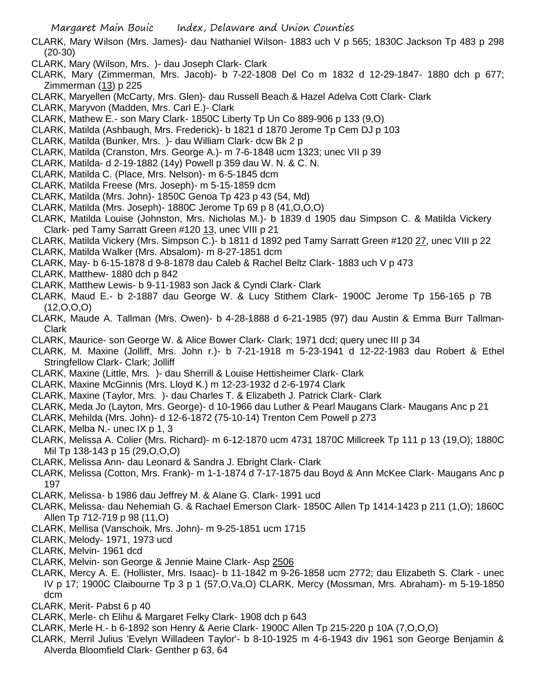- CLARK, Mary Wilson (Mrs. James)- dau Nathaniel Wilson- 1883 uch V p 565; 1830C Jackson Tp 483 p 298 (20-30)
- CLARK, Mary (Wilson, Mrs. )- dau Joseph Clark- Clark
- CLARK, Mary (Zimmerman, Mrs. Jacob)- b 7-22-1808 Del Co m 1832 d 12-29-1847- 1880 dch p 677; Zimmerman  $(13)$  p 225
- CLARK, Maryellen (McCarty, Mrs. Glen)- dau Russell Beach & Hazel Adelva Cott Clark- Clark
- CLARK, Maryvon (Madden, Mrs. Carl E.)- Clark
- CLARK, Mathew E.- son Mary Clark- 1850C Liberty Tp Un Co 889-906 p 133 (9,O)
- CLARK, Matilda (Ashbaugh, Mrs. Frederick)- b 1821 d 1870 Jerome Tp Cem DJ p 103
- CLARK, Matilda (Bunker, Mrs. )- dau William Clark- dcw Bk 2 p
- CLARK, Matilda (Cranston, Mrs. George A.)- m 7-6-1848 ucm 1323; unec VII p 39
- CLARK, Matilda- d 2-19-1882 (14y) Powell p 359 dau W. N. & C. N.
- CLARK, Matilda C. (Place, Mrs. Nelson)- m 6-5-1845 dcm
- CLARK, Matilda Freese (Mrs. Joseph)- m 5-15-1859 dcm
- CLARK, Matilda (Mrs. John)- 1850C Genoa Tp 423 p 43 (54, Md)
- CLARK, Matilda (Mrs. Joseph)- 1880C Jerome Tp 69 p 8 (41,O,O,O)
- CLARK, Matilda Louise (Johnston, Mrs. Nicholas M.)- b 1839 d 1905 dau Simpson C. & Matilda Vickery Clark- ped Tamy Sarratt Green #120 13, unec VIII p 21
- CLARK, Matilda Vickery (Mrs. Simpson C.)- b 1811 d 1892 ped Tamy Sarratt Green #120 27, unec VIII p 22
- CLARK, Matilda Walker (Mrs. Absalom)- m 8-27-1851 dcm
- CLARK, May- b 6-15-1878 d 9-8-1878 dau Caleb & Rachel Beltz Clark- 1883 uch V p 473
- CLARK, Matthew- 1880 dch p 842
- CLARK, Matthew Lewis- b 9-11-1983 son Jack & Cyndi Clark- Clark
- CLARK, Maud E.- b 2-1887 dau George W. & Lucy Stithem Clark- 1900C Jerome Tp 156-165 p 7B (12,O,O,O)
- CLARK, Maude A. Tallman (Mrs. Owen)- b 4-28-1888 d 6-21-1985 (97) dau Austin & Emma Burr Tallman-Clark
- CLARK, Maurice- son George W. & Alice Bower Clark- Clark; 1971 dcd; query unec III p 34
- CLARK, M. Maxine (Jolliff, Mrs. John r.)- b 7-21-1918 m 5-23-1941 d 12-22-1983 dau Robert & Ethel Stringfellow Clark- Clark; Jolliff
- CLARK, Maxine (Little, Mrs. )- dau Sherrill & Louise Hettisheimer Clark- Clark
- CLARK, Maxine McGinnis (Mrs. Lloyd K.) m 12-23-1932 d 2-6-1974 Clark
- CLARK, Maxine (Taylor, Mrs. )- dau Charles T. & Elizabeth J. Patrick Clark- Clark
- CLARK, Meda Jo (Layton, Mrs. George)- d 10-1966 dau Luther & Pearl Maugans Clark- Maugans Anc p 21
- CLARK, Mehilda (Mrs. John)- d 12-6-1872 (75-10-14) Trenton Cem Powell p 273
- CLARK, Melba N.- unec IX p 1, 3
- CLARK, Melissa A. Colier (Mrs. Richard)- m 6-12-1870 ucm 4731 1870C Millcreek Tp 111 p 13 (19,O); 1880C Mil Tp 138-143 p 15 (29,O,O,O)
- CLARK, Melissa Ann- dau Leonard & Sandra J. Ebright Clark- Clark
- CLARK, Melissa (Cotton, Mrs. Frank)- m 1-1-1874 d 7-17-1875 dau Boyd & Ann McKee Clark- Maugans Anc p 197
- CLARK, Melissa- b 1986 dau Jeffrey M. & Alane G. Clark- 1991 ucd
- CLARK, Melissa- dau Nehemiah G. & Rachael Emerson Clark- 1850C Allen Tp 1414-1423 p 211 (1,O); 1860C Allen Tp 712-719 p 98 (11,O)
- CLARK, Mellisa (Vanschoik, Mrs. John)- m 9-25-1851 ucm 1715
- CLARK, Melody- 1971, 1973 ucd
- CLARK, Melvin- 1961 dcd
- CLARK, Melvin- son George & Jennie Maine Clark- Asp 2506
- CLARK, Mercy A. E. (Hollister, Mrs. Isaac)- b 11-1842 m 9-26-1858 ucm 2772; dau Elizabeth S. Clark unec IV p 17; 1900C Claibourne Tp 3 p 1 (57,O,Va,O) CLARK, Mercy (Mossman, Mrs. Abraham)- m 5-19-1850 dcm
- CLARK, Merit- Pabst 6 p 40
- CLARK, Merle- ch Elihu & Margaret Felky Clark- 1908 dch p 643
- CLARK, Merle H.- b 6-1892 son Henry & Aerie Clark- 1900C Allen Tp 215-220 p 10A (7,O,O,O)
- CLARK, Merril Julius 'Evelyn Willadeen Taylor'- b 8-10-1925 m 4-6-1943 div 1961 son George Benjamin & Alverda Bloomfield Clark- Genther p 63, 64

Margaret Main Bouic Index, Delaware and Union Counties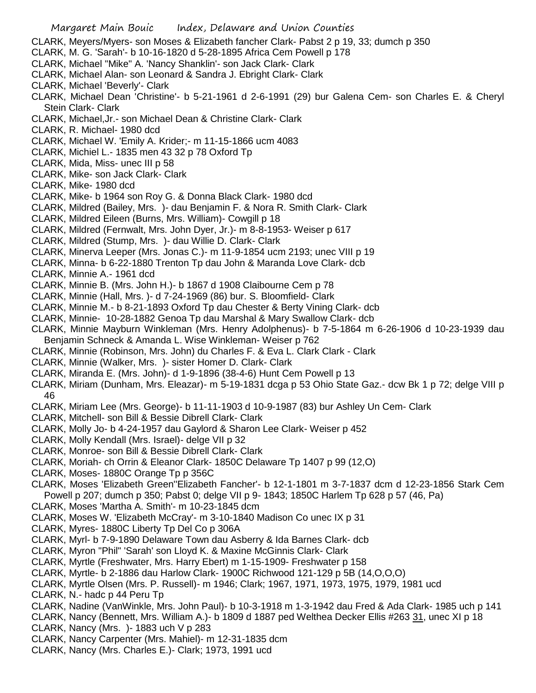- CLARK, Meyers/Myers- son Moses & Elizabeth fancher Clark- Pabst 2 p 19, 33; dumch p 350
- CLARK, M. G. 'Sarah'- b 10-16-1820 d 5-28-1895 Africa Cem Powell p 178
- CLARK, Michael "Mike" A. 'Nancy Shanklin'- son Jack Clark- Clark
- CLARK, Michael Alan- son Leonard & Sandra J. Ebright Clark- Clark
- CLARK, Michael 'Beverly'- Clark
- CLARK, Michael Dean 'Christine'- b 5-21-1961 d 2-6-1991 (29) bur Galena Cem- son Charles E. & Cheryl Stein Clark- Clark
- CLARK, Michael,Jr.- son Michael Dean & Christine Clark- Clark
- CLARK, R. Michael- 1980 dcd
- CLARK, Michael W. 'Emily A. Krider;- m 11-15-1866 ucm 4083
- CLARK, Michiel L.- 1835 men 43 32 p 78 Oxford Tp
- CLARK, Mida, Miss- unec III p 58
- CLARK, Mike- son Jack Clark- Clark
- CLARK, Mike- 1980 dcd
- CLARK, Mike- b 1964 son Roy G. & Donna Black Clark- 1980 dcd
- CLARK, Mildred (Bailey, Mrs. )- dau Benjamin F. & Nora R. Smith Clark- Clark
- CLARK, Mildred Eileen (Burns, Mrs. William)- Cowgill p 18
- CLARK, Mildred (Fernwalt, Mrs. John Dyer, Jr.)- m 8-8-1953- Weiser p 617
- CLARK, Mildred (Stump, Mrs. )- dau Willie D. Clark- Clark
- CLARK, Minerva Leeper (Mrs. Jonas C.)- m 11-9-1854 ucm 2193; unec VIII p 19
- CLARK, Minna- b 6-22-1880 Trenton Tp dau John & Maranda Love Clark- dcb
- CLARK, Minnie A.- 1961 dcd
- CLARK, Minnie B. (Mrs. John H.)- b 1867 d 1908 Claibourne Cem p 78
- CLARK, Minnie (Hall, Mrs. )- d 7-24-1969 (86) bur. S. Bloomfield- Clark
- CLARK, Minnie M.- b 8-21-1893 Oxford Tp dau Chester & Berty Vining Clark- dcb
- CLARK, Minnie- 10-28-1882 Genoa Tp dau Marshal & Mary Swallow Clark- dcb
- CLARK, Minnie Mayburn Winkleman (Mrs. Henry Adolphenus)- b 7-5-1864 m 6-26-1906 d 10-23-1939 dau Benjamin Schneck & Amanda L. Wise Winkleman- Weiser p 762
- CLARK, Minnie (Robinson, Mrs. John) du Charles F. & Eva L. Clark Clark Clark
- CLARK, Minnie (Walker, Mrs. )- sister Homer D. Clark- Clark
- CLARK, Miranda E. (Mrs. John)- d 1-9-1896 (38-4-6) Hunt Cem Powell p 13
- CLARK, Miriam (Dunham, Mrs. Eleazar)- m 5-19-1831 dcga p 53 Ohio State Gaz.- dcw Bk 1 p 72; delge VIII p 46
- CLARK, Miriam Lee (Mrs. George)- b 11-11-1903 d 10-9-1987 (83) bur Ashley Un Cem- Clark
- CLARK, Mitchell- son Bill & Bessie Dibrell Clark- Clark
- CLARK, Molly Jo- b 4-24-1957 dau Gaylord & Sharon Lee Clark- Weiser p 452
- CLARK, Molly Kendall (Mrs. Israel)- delge VII p 32
- CLARK, Monroe- son Bill & Bessie Dibrell Clark- Clark
- CLARK, Moriah- ch Orrin & Eleanor Clark- 1850C Delaware Tp 1407 p 99 (12,O)
- CLARK, Moses- 1880C Orange Tp p 356C
- CLARK, Moses 'Elizabeth Green''Elizabeth Fancher'- b 12-1-1801 m 3-7-1837 dcm d 12-23-1856 Stark Cem Powell p 207; dumch p 350; Pabst 0; delge VII p 9- 1843; 1850C Harlem Tp 628 p 57 (46, Pa)
- CLARK, Moses 'Martha A. Smith'- m 10-23-1845 dcm
- CLARK, Moses W. 'Elizabeth McCray'- m 3-10-1840 Madison Co unec IX p 31
- CLARK, Myres- 1880C Liberty Tp Del Co p 306A
- CLARK, Myrl- b 7-9-1890 Delaware Town dau Asberry & Ida Barnes Clark- dcb
- CLARK, Myron "Phil" 'Sarah' son Lloyd K. & Maxine McGinnis Clark- Clark
- CLARK, Myrtle (Freshwater, Mrs. Harry Ebert) m 1-15-1909- Freshwater p 158
- CLARK, Myrtle- b 2-1886 dau Harlow Clark- 1900C Richwood 121-129 p 5B (14,O,O,O)
- CLARK, Myrtle Olsen (Mrs. P. Russell)- m 1946; Clark; 1967, 1971, 1973, 1975, 1979, 1981 ucd
- CLARK, N.- hadc p 44 Peru Tp
- CLARK, Nadine (VanWinkle, Mrs. John Paul)- b 10-3-1918 m 1-3-1942 dau Fred & Ada Clark- 1985 uch p 141
- CLARK, Nancy (Bennett, Mrs. William A.)- b 1809 d 1887 ped Welthea Decker Ellis #263 31, unec XI p 18
- CLARK, Nancy (Mrs. )- 1883 uch V p 283
- CLARK, Nancy Carpenter (Mrs. Mahiel)- m 12-31-1835 dcm
- CLARK, Nancy (Mrs. Charles E.)- Clark; 1973, 1991 ucd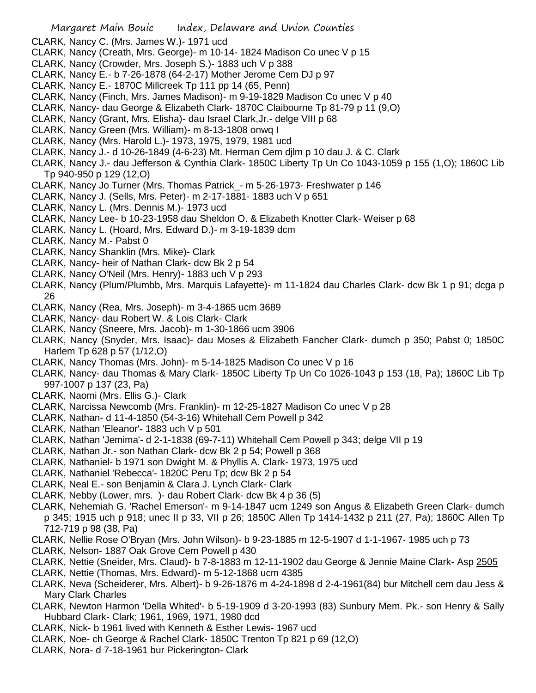- CLARK, Nancy C. (Mrs. James W.)- 1971 ucd
- CLARK, Nancy (Creath, Mrs. George)- m 10-14- 1824 Madison Co unec V p 15
- CLARK, Nancy (Crowder, Mrs. Joseph S.)- 1883 uch V p 388
- CLARK, Nancy E.- b 7-26-1878 (64-2-17) Mother Jerome Cem DJ p 97
- CLARK, Nancy E.- 1870C Millcreek Tp 111 pp 14 (65, Penn)
- CLARK, Nancy (Finch, Mrs. James Madison)- m 9-19-1829 Madison Co unec V p 40
- CLARK, Nancy- dau George & Elizabeth Clark- 1870C Claibourne Tp 81-79 p 11 (9,O)
- CLARK, Nancy (Grant, Mrs. Elisha)- dau Israel Clark,Jr.- delge VIII p 68
- CLARK, Nancy Green (Mrs. William)- m 8-13-1808 onwq I
- CLARK, Nancy (Mrs. Harold L.)- 1973, 1975, 1979, 1981 ucd
- CLARK, Nancy J.- d 10-26-1849 (4-6-23) Mt. Herman Cem djlm p 10 dau J. & C. Clark
- CLARK, Nancy J.- dau Jefferson & Cynthia Clark- 1850C Liberty Tp Un Co 1043-1059 p 155 (1,O); 1860C Lib Tp 940-950 p 129 (12,O)
- CLARK, Nancy Jo Turner (Mrs. Thomas Patrick\_- m 5-26-1973- Freshwater p 146
- CLARK, Nancy J. (Sells, Mrs. Peter)- m 2-17-1881- 1883 uch V p 651
- CLARK, Nancy L. (Mrs. Dennis M.)- 1973 ucd
- CLARK, Nancy Lee- b 10-23-1958 dau Sheldon O. & Elizabeth Knotter Clark- Weiser p 68
- CLARK, Nancy L. (Hoard, Mrs. Edward D.)- m 3-19-1839 dcm
- CLARK, Nancy M.- Pabst 0
- CLARK, Nancy Shanklin (Mrs. Mike)- Clark
- CLARK, Nancy- heir of Nathan Clark- dcw Bk 2 p 54
- CLARK, Nancy O'Neil (Mrs. Henry)- 1883 uch V p 293
- CLARK, Nancy (Plum/Plumbb, Mrs. Marquis Lafayette)- m 11-1824 dau Charles Clark- dcw Bk 1 p 91; dcga p 26
- CLARK, Nancy (Rea, Mrs. Joseph)- m 3-4-1865 ucm 3689
- CLARK, Nancy- dau Robert W. & Lois Clark- Clark
- CLARK, Nancy (Sneere, Mrs. Jacob)- m 1-30-1866 ucm 3906
- CLARK, Nancy (Snyder, Mrs. Isaac)- dau Moses & Elizabeth Fancher Clark- dumch p 350; Pabst 0; 1850C Harlem Tp 628 p 57 (1/12,O)
- CLARK, Nancy Thomas (Mrs. John)- m 5-14-1825 Madison Co unec V p 16
- CLARK, Nancy- dau Thomas & Mary Clark- 1850C Liberty Tp Un Co 1026-1043 p 153 (18, Pa); 1860C Lib Tp 997-1007 p 137 (23, Pa)
- CLARK, Naomi (Mrs. Ellis G.)- Clark
- CLARK, Narcissa Newcomb (Mrs. Franklin)- m 12-25-1827 Madison Co unec V p 28
- CLARK, Nathan- d 11-4-1850 (54-3-16) Whitehall Cem Powell p 342
- CLARK, Nathan 'Eleanor'- 1883 uch V p 501
- CLARK, Nathan 'Jemima'- d 2-1-1838 (69-7-11) Whitehall Cem Powell p 343; delge VII p 19
- CLARK, Nathan Jr.- son Nathan Clark- dcw Bk 2 p 54; Powell p 368
- CLARK, Nathaniel- b 1971 son Dwight M. & Phyllis A. Clark- 1973, 1975 ucd
- CLARK, Nathaniel 'Rebecca'- 1820C Peru Tp; dcw Bk 2 p 54
- CLARK, Neal E.- son Benjamin & Clara J. Lynch Clark- Clark
- CLARK, Nebby (Lower, mrs. )- dau Robert Clark- dcw Bk 4 p 36 (5)
- CLARK, Nehemiah G. 'Rachel Emerson'- m 9-14-1847 ucm 1249 son Angus & Elizabeth Green Clark- dumch p 345; 1915 uch p 918; unec II p 33, VII p 26; 1850C Allen Tp 1414-1432 p 211 (27, Pa); 1860C Allen Tp 712-719 p 98 (38, Pa)
- CLARK, Nellie Rose O'Bryan (Mrs. John Wilson)- b 9-23-1885 m 12-5-1907 d 1-1-1967- 1985 uch p 73
- CLARK, Nelson- 1887 Oak Grove Cem Powell p 430
- CLARK, Nettie (Sneider, Mrs. Claud)- b 7-8-1883 m 12-11-1902 dau George & Jennie Maine Clark- Asp 2505
- CLARK, Nettie (Thomas, Mrs. Edward)- m 5-12-1868 ucm 4385
- CLARK, Neva (Scheiderer, Mrs. Albert)- b 9-26-1876 m 4-24-1898 d 2-4-1961(84) bur Mitchell cem dau Jess & Mary Clark Charles
- CLARK, Newton Harmon 'Della Whited'- b 5-19-1909 d 3-20-1993 (83) Sunbury Mem. Pk.- son Henry & Sally Hubbard Clark- Clark; 1961, 1969, 1971, 1980 dcd
- CLARK, Nick- b 1961 lived with Kenneth & Esther Lewis- 1967 ucd
- CLARK, Noe- ch George & Rachel Clark- 1850C Trenton Tp 821 p 69 (12,O)
- CLARK, Nora- d 7-18-1961 bur Pickerington- Clark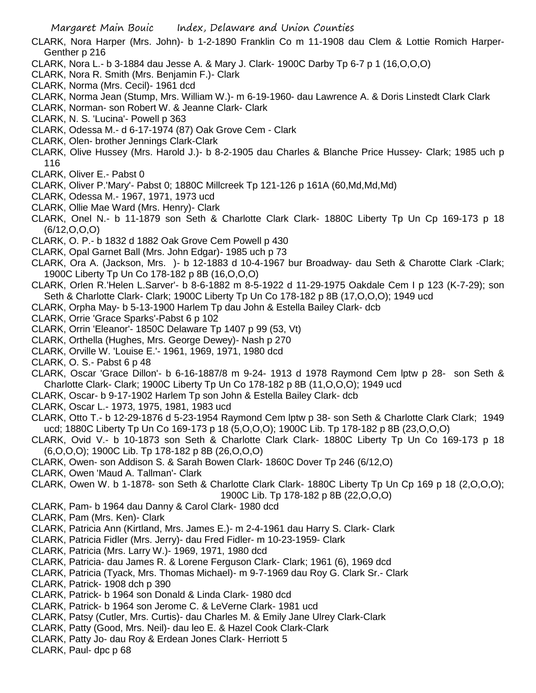- CLARK, Nora Harper (Mrs. John)- b 1-2-1890 Franklin Co m 11-1908 dau Clem & Lottie Romich Harper-Genther p 216
- CLARK, Nora L.- b 3-1884 dau Jesse A. & Mary J. Clark- 1900C Darby Tp 6-7 p 1 (16,O,O,O)
- CLARK, Nora R. Smith (Mrs. Benjamin F.)- Clark
- CLARK, Norma (Mrs. Cecil)- 1961 dcd
- CLARK, Norma Jean (Stump, Mrs. William W.)- m 6-19-1960- dau Lawrence A. & Doris Linstedt Clark Clark
- CLARK, Norman- son Robert W. & Jeanne Clark- Clark
- CLARK, N. S. 'Lucina'- Powell p 363
- CLARK, Odessa M.- d 6-17-1974 (87) Oak Grove Cem Clark
- CLARK, Olen- brother Jennings Clark-Clark
- CLARK, Olive Hussey (Mrs. Harold J.)- b 8-2-1905 dau Charles & Blanche Price Hussey- Clark; 1985 uch p 116
- CLARK, Oliver E.- Pabst 0
- CLARK, Oliver P.'Mary'- Pabst 0; 1880C Millcreek Tp 121-126 p 161A (60,Md,Md,Md)
- CLARK, Odessa M.- 1967, 1971, 1973 ucd
- CLARK, Ollie Mae Ward (Mrs. Henry)- Clark
- CLARK, Onel N.- b 11-1879 son Seth & Charlotte Clark Clark- 1880C Liberty Tp Un Cp 169-173 p 18 (6/12,O,O,O)
- CLARK, O. P.- b 1832 d 1882 Oak Grove Cem Powell p 430
- CLARK, Opal Garnet Ball (Mrs. John Edgar)- 1985 uch p 73
- CLARK, Ora A. (Jackson, Mrs. )- b 12-1883 d 10-4-1967 bur Broadway- dau Seth & Charotte Clark -Clark; 1900C Liberty Tp Un Co 178-182 p 8B (16,O,O,O)
- CLARK, Orlen R.'Helen L.Sarver'- b 8-6-1882 m 8-5-1922 d 11-29-1975 Oakdale Cem I p 123 (K-7-29); son Seth & Charlotte Clark- Clark; 1900C Liberty Tp Un Co 178-182 p 8B (17,O,O,O); 1949 ucd
- CLARK, Orpha May- b 5-13-1900 Harlem Tp dau John & Estella Bailey Clark- dcb
- CLARK, Orrie 'Grace Sparks'-Pabst 6 p 102
- CLARK, Orrin 'Eleanor'- 1850C Delaware Tp 1407 p 99 (53, Vt)
- CLARK, Orthella (Hughes, Mrs. George Dewey)- Nash p 270
- CLARK, Orville W. 'Louise E.'- 1961, 1969, 1971, 1980 dcd
- CLARK, O. S.- Pabst 6 p 48
- CLARK, Oscar 'Grace Dillon'- b 6-16-1887/8 m 9-24- 1913 d 1978 Raymond Cem lptw p 28- son Seth & Charlotte Clark- Clark; 1900C Liberty Tp Un Co 178-182 p 8B (11,O,O,O); 1949 ucd
- CLARK, Oscar- b 9-17-1902 Harlem Tp son John & Estella Bailey Clark- dcb
- CLARK, Oscar L.- 1973, 1975, 1981, 1983 ucd
- CLARK, Otto T.- b 12-29-1876 d 5-23-1954 Raymond Cem lptw p 38- son Seth & Charlotte Clark Clark; 1949 ucd; 1880C Liberty Tp Un Co 169-173 p 18 (5,O,O,O); 1900C Lib. Tp 178-182 p 8B (23,O,O,O)
- CLARK, Ovid V.- b 10-1873 son Seth & Charlotte Clark Clark- 1880C Liberty Tp Un Co 169-173 p 18 (6,O,O,O); 1900C Lib. Tp 178-182 p 8B (26,O,O,O)
- CLARK, Owen- son Addison S. & Sarah Bowen Clark- 1860C Dover Tp 246 (6/12,O)
- CLARK, Owen 'Maud A. Tallman'- Clark
- CLARK, Owen W. b 1-1878- son Seth & Charlotte Clark Clark- 1880C Liberty Tp Un Cp 169 p 18 (2,O,O,O); 1900C Lib. Tp 178-182 p 8B (22,O,O,O)
- CLARK, Pam- b 1964 dau Danny & Carol Clark- 1980 dcd
- CLARK, Pam (Mrs. Ken)- Clark
- CLARK, Patricia Ann (Kirtland, Mrs. James E.)- m 2-4-1961 dau Harry S. Clark- Clark
- CLARK, Patricia Fidler (Mrs. Jerry)- dau Fred Fidler- m 10-23-1959- Clark
- CLARK, Patricia (Mrs. Larry W.)- 1969, 1971, 1980 dcd
- CLARK, Patricia- dau James R. & Lorene Ferguson Clark- Clark; 1961 (6), 1969 dcd
- CLARK, Patricia (Tyack, Mrs. Thomas Michael)- m 9-7-1969 dau Roy G. Clark Sr.- Clark
- CLARK, Patrick- 1908 dch p 390
- CLARK, Patrick- b 1964 son Donald & Linda Clark- 1980 dcd
- CLARK, Patrick- b 1964 son Jerome C. & LeVerne Clark- 1981 ucd
- CLARK, Patsy (Cutler, Mrs. Curtis)- dau Charles M. & Emily Jane Ulrey Clark-Clark
- CLARK, Patty (Good, Mrs. Neil)- dau leo E. & Hazel Cook Clark-Clark
- CLARK, Patty Jo- dau Roy & Erdean Jones Clark- Herriott 5
- CLARK, Paul- dpc p 68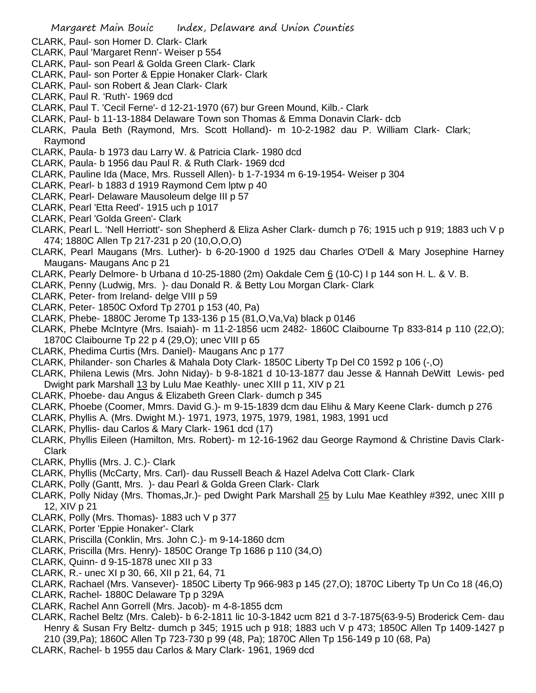- CLARK, Paul- son Homer D. Clark- Clark
- CLARK, Paul 'Margaret Renn'- Weiser p 554
- CLARK, Paul- son Pearl & Golda Green Clark- Clark
- CLARK, Paul- son Porter & Eppie Honaker Clark- Clark
- CLARK, Paul- son Robert & Jean Clark- Clark
- CLARK, Paul R. 'Ruth'- 1969 dcd
- CLARK, Paul T. 'Cecil Ferne'- d 12-21-1970 (67) bur Green Mound, Kilb.- Clark
- CLARK, Paul- b 11-13-1884 Delaware Town son Thomas & Emma Donavin Clark- dcb
- CLARK, Paula Beth (Raymond, Mrs. Scott Holland)- m 10-2-1982 dau P. William Clark- Clark; Raymond
- CLARK, Paula- b 1973 dau Larry W. & Patricia Clark- 1980 dcd
- CLARK, Paula- b 1956 dau Paul R. & Ruth Clark- 1969 dcd
- CLARK, Pauline Ida (Mace, Mrs. Russell Allen)- b 1-7-1934 m 6-19-1954- Weiser p 304
- CLARK, Pearl- b 1883 d 1919 Raymond Cem lptw p 40
- CLARK, Pearl- Delaware Mausoleum delge III p 57
- CLARK, Pearl 'Etta Reed'- 1915 uch p 1017
- CLARK, Pearl 'Golda Green'- Clark
- CLARK, Pearl L. 'Nell Herriott'- son Shepherd & Eliza Asher Clark- dumch p 76; 1915 uch p 919; 1883 uch V p 474; 1880C Allen Tp 217-231 p 20 (10,O,O,O)
- CLARK, Pearl Maugans (Mrs. Luther)- b 6-20-1900 d 1925 dau Charles O'Dell & Mary Josephine Harney Maugans- Maugans Anc p 21
- CLARK, Pearly Delmore- b Urbana d 10-25-1880 (2m) Oakdale Cem 6 (10-C) I p 144 son H. L. & V. B.
- CLARK, Penny (Ludwig, Mrs. )- dau Donald R. & Betty Lou Morgan Clark- Clark
- CLARK, Peter- from Ireland- delge VIII p 59
- CLARK, Peter- 1850C Oxford Tp 2701 p 153 (40, Pa)
- CLARK, Phebe- 1880C Jerome Tp 133-136 p 15 (81,O,Va,Va) black p 0146
- CLARK, Phebe McIntyre (Mrs. Isaiah)- m 11-2-1856 ucm 2482- 1860C Claibourne Tp 833-814 p 110 (22,O); 1870C Claibourne Tp 22 p 4 (29,O); unec VIII p 65
- CLARK, Phedima Curtis (Mrs. Daniel)- Maugans Anc p 177
- CLARK, Philander- son Charles & Mahala Doty Clark- 1850C Liberty Tp Del C0 1592 p 106 (-,O)
- CLARK, Philena Lewis (Mrs. John Niday)- b 9-8-1821 d 10-13-1877 dau Jesse & Hannah DeWitt Lewis- ped Dwight park Marshall 13 by Lulu Mae Keathly- unec XIII p 11, XIV p 21
- CLARK, Phoebe- dau Angus & Elizabeth Green Clark- dumch p 345
- CLARK, Phoebe (Coomer, Mmrs. David G.)- m 9-15-1839 dcm dau Elihu & Mary Keene Clark- dumch p 276
- CLARK, Phyllis A. (Mrs. Dwight M.)- 1971, 1973, 1975, 1979, 1981, 1983, 1991 ucd
- CLARK, Phyllis- dau Carlos & Mary Clark- 1961 dcd (17)
- CLARK, Phyllis Eileen (Hamilton, Mrs. Robert)- m 12-16-1962 dau George Raymond & Christine Davis Clark-Clark
- CLARK, Phyllis (Mrs. J. C.)- Clark
- CLARK, Phyllis (McCarty, Mrs. Carl)- dau Russell Beach & Hazel Adelva Cott Clark- Clark
- CLARK, Polly (Gantt, Mrs. )- dau Pearl & Golda Green Clark- Clark
- CLARK, Polly Niday (Mrs. Thomas,Jr.)- ped Dwight Park Marshall 25 by Lulu Mae Keathley #392, unec XIII p 12, XIV p 21
- CLARK, Polly (Mrs. Thomas)- 1883 uch V p 377
- CLARK, Porter 'Eppie Honaker'- Clark
- CLARK, Priscilla (Conklin, Mrs. John C.)- m 9-14-1860 dcm
- CLARK, Priscilla (Mrs. Henry)- 1850C Orange Tp 1686 p 110 (34,O)
- CLARK, Quinn- d 9-15-1878 unec XII p 33
- CLARK, R.- unec XI p 30, 66, XII p 21, 64, 71
- CLARK, Rachael (Mrs. Vansever)- 1850C Liberty Tp 966-983 p 145 (27,O); 1870C Liberty Tp Un Co 18 (46,O)
- CLARK, Rachel- 1880C Delaware Tp p 329A
- CLARK, Rachel Ann Gorrell (Mrs. Jacob)- m 4-8-1855 dcm
- CLARK, Rachel Beltz (Mrs. Caleb)- b 6-2-1811 lic 10-3-1842 ucm 821 d 3-7-1875(63-9-5) Broderick Cem- dau Henry & Susan Fry Beltz- dumch p 345; 1915 uch p 918; 1883 uch V p 473; 1850C Allen Tp 1409-1427 p
- 210 (39,Pa); 1860C Allen Tp 723-730 p 99 (48, Pa); 1870C Allen Tp 156-149 p 10 (68, Pa)
- CLARK, Rachel- b 1955 dau Carlos & Mary Clark- 1961, 1969 dcd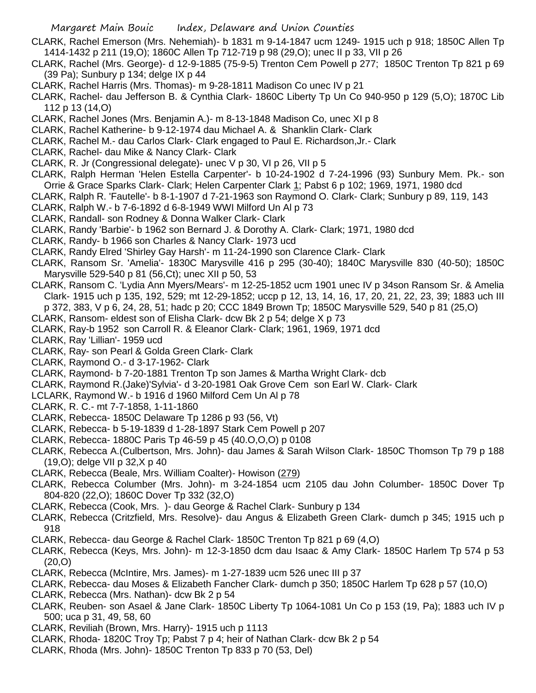CLARK, Rachel Emerson (Mrs. Nehemiah)- b 1831 m 9-14-1847 ucm 1249- 1915 uch p 918; 1850C Allen Tp 1414-1432 p 211 (19,O); 1860C Allen Tp 712-719 p 98 (29,O); unec II p 33, VII p 26

- CLARK, Rachel (Mrs. George)- d 12-9-1885 (75-9-5) Trenton Cem Powell p 277; 1850C Trenton Tp 821 p 69 (39 Pa); Sunbury p 134; delge IX p 44
- CLARK, Rachel Harris (Mrs. Thomas)- m 9-28-1811 Madison Co unec IV p 21
- CLARK, Rachel- dau Jefferson B. & Cynthia Clark- 1860C Liberty Tp Un Co 940-950 p 129 (5,O); 1870C Lib 112 p 13 (14,O)
- CLARK, Rachel Jones (Mrs. Benjamin A.)- m 8-13-1848 Madison Co, unec XI p 8
- CLARK, Rachel Katherine- b 9-12-1974 dau Michael A. & Shanklin Clark- Clark
- CLARK, Rachel M.- dau Carlos Clark- Clark engaged to Paul E. Richardson,Jr.- Clark
- CLARK, Rachel- dau Mike & Nancy Clark- Clark
- CLARK, R. Jr (Congressional delegate)- unec V p 30, VI p 26, VII p 5
- CLARK, Ralph Herman 'Helen Estella Carpenter'- b 10-24-1902 d 7-24-1996 (93) Sunbury Mem. Pk.- son Orrie & Grace Sparks Clark- Clark; Helen Carpenter Clark 1; Pabst 6 p 102; 1969, 1971, 1980 dcd
- CLARK, Ralph R. 'Fautelle'- b 8-1-1907 d 7-21-1963 son Raymond O. Clark- Clark; Sunbury p 89, 119, 143
- CLARK, Ralph W.- b 7-6-1892 d 6-8-1949 WWI Milford Un Al p 73
- CLARK, Randall- son Rodney & Donna Walker Clark- Clark
- CLARK, Randy 'Barbie'- b 1962 son Bernard J. & Dorothy A. Clark- Clark; 1971, 1980 dcd
- CLARK, Randy- b 1966 son Charles & Nancy Clark- 1973 ucd
- CLARK, Randy Elred 'Shirley Gay Harsh'- m 11-24-1990 son Clarence Clark- Clark
- CLARK, Ransom Sr. 'Amelia'- 1830C Marysville 416 p 295 (30-40); 1840C Marysville 830 (40-50); 1850C Marysville 529-540 p 81 (56,Ct); unec XII p 50, 53
- CLARK, Ransom C. 'Lydia Ann Myers/Mears'- m 12-25-1852 ucm 1901 unec IV p 34son Ransom Sr. & Amelia Clark- 1915 uch p 135, 192, 529; mt 12-29-1852; uccp p 12, 13, 14, 16, 17, 20, 21, 22, 23, 39; 1883 uch III p 372, 383, V p 6, 24, 28, 51; hadc p 20; CCC 1849 Brown Tp; 1850C Marysville 529, 540 p 81 (25,O)
- CLARK, Ransom- eldest son of Elisha Clark- dcw Bk 2 p 54; delge X p 73
- CLARK, Ray-b 1952 son Carroll R. & Eleanor Clark- Clark; 1961, 1969, 1971 dcd
- CLARK, Ray 'Lillian'- 1959 ucd
- CLARK, Ray- son Pearl & Golda Green Clark- Clark
- CLARK, Raymond O.- d 3-17-1962- Clark
- CLARK, Raymond- b 7-20-1881 Trenton Tp son James & Martha Wright Clark- dcb
- CLARK, Raymond R.(Jake)'Sylvia'- d 3-20-1981 Oak Grove Cem son Earl W. Clark- Clark
- LCLARK, Raymond W.- b 1916 d 1960 Milford Cem Un Al p 78
- CLARK, R. C.- mt 7-7-1858, 1-11-1860
- CLARK, Rebecca- 1850C Delaware Tp 1286 p 93 (56, Vt)
- CLARK, Rebecca- b 5-19-1839 d 1-28-1897 Stark Cem Powell p 207
- CLARK, Rebecca- 1880C Paris Tp 46-59 p 45 (40.O,O,O) p 0108
- CLARK, Rebecca A.(Culbertson, Mrs. John)- dau James & Sarah Wilson Clark- 1850C Thomson Tp 79 p 188 (19,O); delge VII p 32,X p 40
- CLARK, Rebecca (Beale, Mrs. William Coalter)- Howison (279)
- CLARK, Rebecca Columber (Mrs. John)- m 3-24-1854 ucm 2105 dau John Columber- 1850C Dover Tp 804-820 (22,O); 1860C Dover Tp 332 (32,O)
- CLARK, Rebecca (Cook, Mrs. )- dau George & Rachel Clark- Sunbury p 134
- CLARK, Rebecca (Critzfield, Mrs. Resolve)- dau Angus & Elizabeth Green Clark- dumch p 345; 1915 uch p 918
- CLARK, Rebecca- dau George & Rachel Clark- 1850C Trenton Tp 821 p 69 (4,O)
- CLARK, Rebecca (Keys, Mrs. John)- m 12-3-1850 dcm dau Isaac & Amy Clark- 1850C Harlem Tp 574 p 53 (20,O)
- CLARK, Rebecca (McIntire, Mrs. James)- m 1-27-1839 ucm 526 unec III p 37
- CLARK, Rebecca- dau Moses & Elizabeth Fancher Clark- dumch p 350; 1850C Harlem Tp 628 p 57 (10,O)
- CLARK, Rebecca (Mrs. Nathan)- dcw Bk 2 p 54
- CLARK, Reuben- son Asael & Jane Clark- 1850C Liberty Tp 1064-1081 Un Co p 153 (19, Pa); 1883 uch IV p 500; uca p 31, 49, 58, 60
- CLARK, Reviliah (Brown, Mrs. Harry)- 1915 uch p 1113
- CLARK, Rhoda- 1820C Troy Tp; Pabst 7 p 4; heir of Nathan Clark- dcw Bk 2 p 54
- CLARK, Rhoda (Mrs. John)- 1850C Trenton Tp 833 p 70 (53, Del)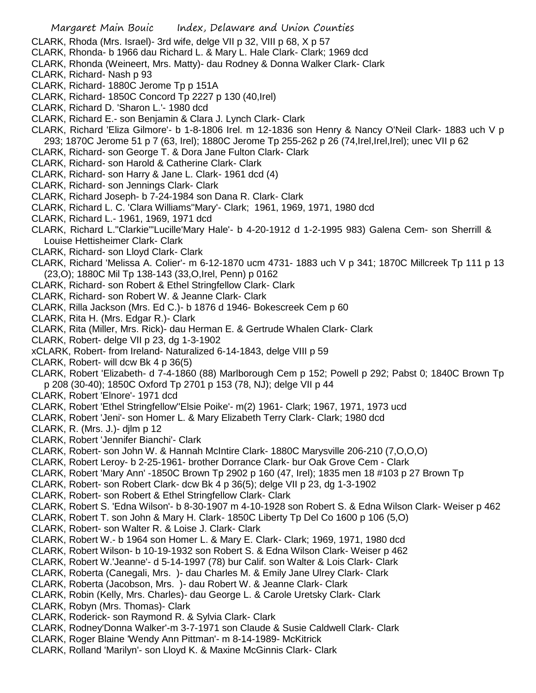- CLARK, Rhoda (Mrs. Israel)- 3rd wife, delge VII p 32, VIII p 68, X p 57
- CLARK, Rhonda- b 1966 dau Richard L. & Mary L. Hale Clark- Clark; 1969 dcd
- CLARK, Rhonda (Weineert, Mrs. Matty)- dau Rodney & Donna Walker Clark- Clark
- CLARK, Richard- Nash p 93
- CLARK, Richard- 1880C Jerome Tp p 151A
- CLARK, Richard- 1850C Concord Tp 2227 p 130 (40,Irel)
- CLARK, Richard D. 'Sharon L.'- 1980 dcd
- CLARK, Richard E.- son Benjamin & Clara J. Lynch Clark- Clark
- CLARK, Richard 'Eliza Gilmore'- b 1-8-1806 Irel. m 12-1836 son Henry & Nancy O'Neil Clark- 1883 uch V p 293; 1870C Jerome 51 p 7 (63, Irel); 1880C Jerome Tp 255-262 p 26 (74,Irel,Irel,Irel); unec VII p 62
- CLARK, Richard- son George T. & Dora Jane Fulton Clark- Clark
- CLARK, Richard- son Harold & Catherine Clark- Clark
- CLARK, Richard- son Harry & Jane L. Clark- 1961 dcd (4)
- CLARK, Richard- son Jennings Clark- Clark
- CLARK, Richard Joseph- b 7-24-1984 son Dana R. Clark- Clark
- CLARK, Richard L. C. 'Clara Williams''Mary'- Clark; 1961, 1969, 1971, 1980 dcd
- CLARK, Richard L.- 1961, 1969, 1971 dcd
- CLARK, Richard L."Clarkie"'Lucille'Mary Hale'- b 4-20-1912 d 1-2-1995 983) Galena Cem- son Sherrill & Louise Hettisheimer Clark- Clark
- CLARK, Richard- son Lloyd Clark- Clark
- CLARK, Richard 'Melissa A. Colier'- m 6-12-1870 ucm 4731- 1883 uch V p 341; 1870C Millcreek Tp 111 p 13 (23,O); 1880C Mil Tp 138-143 (33,O,Irel, Penn) p 0162
- CLARK, Richard- son Robert & Ethel Stringfellow Clark- Clark
- CLARK, Richard- son Robert W. & Jeanne Clark- Clark
- CLARK, Rilla Jackson (Mrs. Ed C.)- b 1876 d 1946- Bokescreek Cem p 60
- CLARK, Rita H. (Mrs. Edgar R.)- Clark
- CLARK, Rita (Miller, Mrs. Rick)- dau Herman E. & Gertrude Whalen Clark- Clark
- CLARK, Robert- delge VII p 23, dg 1-3-1902
- xCLARK, Robert- from Ireland- Naturalized 6-14-1843, delge VIII p 59
- CLARK, Robert- will dcw Bk 4 p 36(5)
- CLARK, Robert 'Elizabeth- d 7-4-1860 (88) Marlborough Cem p 152; Powell p 292; Pabst 0; 1840C Brown Tp p 208 (30-40); 1850C Oxford Tp 2701 p 153 (78, NJ); delge VII p 44
- CLARK, Robert 'Elnore'- 1971 dcd
- CLARK, Robert 'Ethel Stringfellow''Elsie Poike'- m(2) 1961- Clark; 1967, 1971, 1973 ucd
- CLARK, Robert 'Jeni'- son Homer L. & Mary Elizabeth Terry Clark- Clark; 1980 dcd
- CLARK, R. (Mrs. J.)- djlm p 12
- CLARK, Robert 'Jennifer Bianchi'- Clark
- CLARK, Robert- son John W. & Hannah McIntire Clark- 1880C Marysville 206-210 (7,O,O,O)
- CLARK, Robert Leroy- b 2-25-1961- brother Dorrance Clark- bur Oak Grove Cem Clark
- CLARK, Robert 'Mary Ann' -1850C Brown Tp 2902 p 160 (47, Irel); 1835 men 18 #103 p 27 Brown Tp
- CLARK, Robert- son Robert Clark- dcw Bk 4 p 36(5); delge VII p 23, dg 1-3-1902
- CLARK, Robert- son Robert & Ethel Stringfellow Clark- Clark
- CLARK, Robert S. 'Edna Wilson'- b 8-30-1907 m 4-10-1928 son Robert S. & Edna Wilson Clark- Weiser p 462
- CLARK, Robert T. son John & Mary H. Clark- 1850C Liberty Tp Del Co 1600 p 106 (5,O)
- CLARK, Robert- son Walter R. & Loise J. Clark- Clark
- CLARK, Robert W.- b 1964 son Homer L. & Mary E. Clark- Clark; 1969, 1971, 1980 dcd
- CLARK, Robert Wilson- b 10-19-1932 son Robert S. & Edna Wilson Clark- Weiser p 462
- CLARK, Robert W.'Jeanne'- d 5-14-1997 (78) bur Calif. son Walter & Lois Clark- Clark
- CLARK, Roberta (Canegali, Mrs. )- dau Charles M. & Emily Jane Ulrey Clark- Clark
- CLARK, Roberta (Jacobson, Mrs. )- dau Robert W. & Jeanne Clark- Clark
- CLARK, Robin (Kelly, Mrs. Charles)- dau George L. & Carole Uretsky Clark- Clark
- CLARK, Robyn (Mrs. Thomas)- Clark
- CLARK, Roderick- son Raymond R. & Sylvia Clark- Clark
- CLARK, Rodney'Donna Walker'-m 3-7-1971 son Claude & Susie Caldwell Clark- Clark
- CLARK, Roger Blaine 'Wendy Ann Pittman'- m 8-14-1989- McKitrick
- CLARK, Rolland 'Marilyn'- son Lloyd K. & Maxine McGinnis Clark- Clark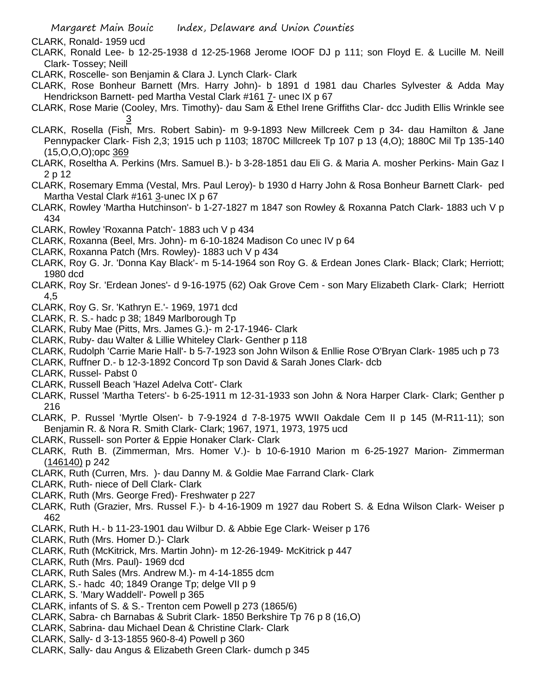- CLARK, Ronald- 1959 ucd
- CLARK, Ronald Lee- b 12-25-1938 d 12-25-1968 Jerome IOOF DJ p 111; son Floyd E. & Lucille M. Neill Clark- Tossey; Neill
- CLARK, Roscelle- son Benjamin & Clara J. Lynch Clark- Clark
- CLARK, Rose Bonheur Barnett (Mrs. Harry John)- b 1891 d 1981 dau Charles Sylvester & Adda May Hendrickson Barnett- ped Martha Vestal Clark #161 7- unec IX p 67
- CLARK, Rose Marie (Cooley, Mrs. Timothy)- dau Sam & Ethel Irene Griffiths Clar- dcc Judith Ellis Wrinkle see 3
- CLARK, Rosella (Fish, Mrs. Robert Sabin)- m 9-9-1893 New Millcreek Cem p 34- dau Hamilton & Jane Pennypacker Clark- Fish 2,3; 1915 uch p 1103; 1870C Millcreek Tp 107 p 13 (4,O); 1880C Mil Tp 135-140 (15,O,O,O);opc 369
- CLARK, Roseltha A. Perkins (Mrs. Samuel B.)- b 3-28-1851 dau Eli G. & Maria A. mosher Perkins- Main Gaz I 2 p 12
- CLARK, Rosemary Emma (Vestal, Mrs. Paul Leroy)- b 1930 d Harry John & Rosa Bonheur Barnett Clark- ped Martha Vestal Clark #161 3-unec IX p 67
- CLARK, Rowley 'Martha Hutchinson'- b 1-27-1827 m 1847 son Rowley & Roxanna Patch Clark- 1883 uch V p 434
- CLARK, Rowley 'Roxanna Patch'- 1883 uch V p 434
- CLARK, Roxanna (Beel, Mrs. John)- m 6-10-1824 Madison Co unec IV p 64
- CLARK, Roxanna Patch (Mrs. Rowley)- 1883 uch V p 434
- CLARK, Roy G. Jr. 'Donna Kay Black'- m 5-14-1964 son Roy G. & Erdean Jones Clark- Black; Clark; Herriott; 1980 dcd
- CLARK, Roy Sr. 'Erdean Jones'- d 9-16-1975 (62) Oak Grove Cem son Mary Elizabeth Clark- Clark; Herriott 4,5
- CLARK, Roy G. Sr. 'Kathryn E.'- 1969, 1971 dcd
- CLARK, R. S.- hadc p 38; 1849 Marlborough Tp
- CLARK, Ruby Mae (Pitts, Mrs. James G.)- m 2-17-1946- Clark
- CLARK, Ruby- dau Walter & Lillie Whiteley Clark- Genther p 118
- CLARK, Rudolph 'Carrie Marie Hall'- b 5-7-1923 son John Wilson & Enllie Rose O'Bryan Clark- 1985 uch p 73
- CLARK, Ruffner D.- b 12-3-1892 Concord Tp son David & Sarah Jones Clark- dcb
- CLARK, Russel- Pabst 0
- CLARK, Russell Beach 'Hazel Adelva Cott'- Clark
- CLARK, Russel 'Martha Teters'- b 6-25-1911 m 12-31-1933 son John & Nora Harper Clark- Clark; Genther p 216
- CLARK, P. Russel 'Myrtle Olsen'- b 7-9-1924 d 7-8-1975 WWII Oakdale Cem II p 145 (M-R11-11); son Benjamin R. & Nora R. Smith Clark- Clark; 1967, 1971, 1973, 1975 ucd
- CLARK, Russell- son Porter & Eppie Honaker Clark- Clark
- CLARK, Ruth B. (Zimmerman, Mrs. Homer V.)- b 10-6-1910 Marion m 6-25-1927 Marion- Zimmerman (146140) p 242
- CLARK, Ruth (Curren, Mrs. )- dau Danny M. & Goldie Mae Farrand Clark- Clark
- CLARK, Ruth- niece of Dell Clark- Clark
- CLARK, Ruth (Mrs. George Fred)- Freshwater p 227
- CLARK, Ruth (Grazier, Mrs. Russel F.)- b 4-16-1909 m 1927 dau Robert S. & Edna Wilson Clark- Weiser p 462
- CLARK, Ruth H.- b 11-23-1901 dau Wilbur D. & Abbie Ege Clark- Weiser p 176
- CLARK, Ruth (Mrs. Homer D.)- Clark
- CLARK, Ruth (McKitrick, Mrs. Martin John)- m 12-26-1949- McKitrick p 447
- CLARK, Ruth (Mrs. Paul)- 1969 dcd
- CLARK, Ruth Sales (Mrs. Andrew M.)- m 4-14-1855 dcm
- CLARK, S.- hadc 40; 1849 Orange Tp; delge VII p 9
- CLARK, S. 'Mary Waddell'- Powell p 365
- CLARK, infants of S. & S.- Trenton cem Powell p 273 (1865/6)
- CLARK, Sabra- ch Barnabas & Subrit Clark- 1850 Berkshire Tp 76 p 8 (16,O)
- CLARK, Sabrina- dau Michael Dean & Christine Clark- Clark
- CLARK, Sally- d 3-13-1855 960-8-4) Powell p 360
- CLARK, Sally- dau Angus & Elizabeth Green Clark- dumch p 345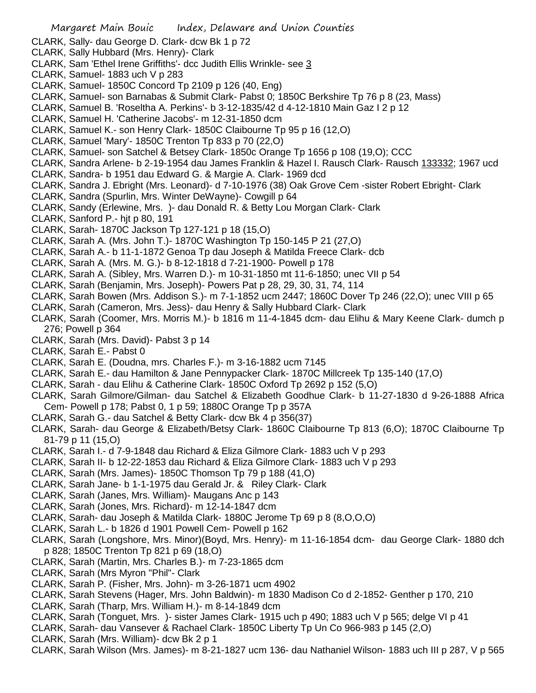- CLARK, Sally- dau George D. Clark- dcw Bk 1 p 72
- CLARK, Sally Hubbard (Mrs. Henry)- Clark
- CLARK, Sam 'Ethel Irene Griffiths'- dcc Judith Ellis Wrinkle- see 3
- CLARK, Samuel- 1883 uch V p 283
- CLARK, Samuel- 1850C Concord Tp 2109 p 126 (40, Eng)
- CLARK, Samuel- son Barnabas & Submit Clark- Pabst 0; 1850C Berkshire Tp 76 p 8 (23, Mass)
- CLARK, Samuel B. 'Roseltha A. Perkins'- b 3-12-1835/42 d 4-12-1810 Main Gaz I 2 p 12
- CLARK, Samuel H. 'Catherine Jacobs'- m 12-31-1850 dcm
- CLARK, Samuel K.- son Henry Clark- 1850C Claibourne Tp 95 p 16 (12,O)
- CLARK, Samuel 'Mary'- 1850C Trenton Tp 833 p 70 (22,O)
- CLARK, Samuel- son Satchel & Betsey Clark- 1850c Orange Tp 1656 p 108 (19,O); CCC
- CLARK, Sandra Arlene- b 2-19-1954 dau James Franklin & Hazel I. Rausch Clark- Rausch 133332; 1967 ucd
- CLARK, Sandra- b 1951 dau Edward G. & Margie A. Clark- 1969 dcd
- CLARK, Sandra J. Ebright (Mrs. Leonard)- d 7-10-1976 (38) Oak Grove Cem -sister Robert Ebright- Clark
- CLARK, Sandra (Spurlin, Mrs. Winter DeWayne)- Cowgill p 64
- CLARK, Sandy (Erlewine, Mrs. )- dau Donald R. & Betty Lou Morgan Clark- Clark
- CLARK, Sanford P.- hjt p 80, 191
- CLARK, Sarah- 1870C Jackson Tp 127-121 p 18 (15,O)
- CLARK, Sarah A. (Mrs. John T.)- 1870C Washington Tp 150-145 P 21 (27,O)
- CLARK, Sarah A.- b 11-1-1872 Genoa Tp dau Joseph & Matilda Freece Clark- dcb
- CLARK, Sarah A. (Mrs. M. G.)- b 8-12-1818 d 7-21-1900- Powell p 178
- CLARK, Sarah A. (Sibley, Mrs. Warren D.)- m 10-31-1850 mt 11-6-1850; unec VII p 54
- CLARK, Sarah (Benjamin, Mrs. Joseph)- Powers Pat p 28, 29, 30, 31, 74, 114
- CLARK, Sarah Bowen (Mrs. Addison S.)- m 7-1-1852 ucm 2447; 1860C Dover Tp 246 (22,O); unec VIII p 65
- CLARK, Sarah (Cameron, Mrs. Jess)- dau Henry & Sally Hubbard Clark- Clark
- CLARK, Sarah (Coomer, Mrs. Morris M.)- b 1816 m 11-4-1845 dcm- dau Elihu & Mary Keene Clark- dumch p 276; Powell p 364
- CLARK, Sarah (Mrs. David)- Pabst 3 p 14
- CLARK, Sarah E.- Pabst 0
- CLARK, Sarah E. (Doudna, mrs. Charles F.)- m 3-16-1882 ucm 7145
- CLARK, Sarah E.- dau Hamilton & Jane Pennypacker Clark- 1870C Millcreek Tp 135-140 (17,O)
- CLARK, Sarah dau Elihu & Catherine Clark- 1850C Oxford Tp 2692 p 152 (5,O)
- CLARK, Sarah Gilmore/Gilman- dau Satchel & Elizabeth Goodhue Clark- b 11-27-1830 d 9-26-1888 Africa Cem- Powell p 178; Pabst 0, 1 p 59; 1880C Orange Tp p 357A
- CLARK, Sarah G.- dau Satchel & Betty Clark- dcw Bk 4 p 356(37)
- CLARK, Sarah- dau George & Elizabeth/Betsy Clark- 1860C Claibourne Tp 813 (6,O); 1870C Claibourne Tp 81-79 p 11 (15,O)
- CLARK, Sarah I.- d 7-9-1848 dau Richard & Eliza Gilmore Clark- 1883 uch V p 293
- CLARK, Sarah II- b 12-22-1853 dau Richard & Eliza Gilmore Clark- 1883 uch V p 293
- CLARK, Sarah (Mrs. James)- 1850C Thomson Tp 79 p 188 (41,O)
- CLARK, Sarah Jane- b 1-1-1975 dau Gerald Jr. & Riley Clark- Clark
- CLARK, Sarah (Janes, Mrs. William)- Maugans Anc p 143
- CLARK, Sarah (Jones, Mrs. Richard)- m 12-14-1847 dcm
- CLARK, Sarah- dau Joseph & Matilda Clark- 1880C Jerome Tp 69 p 8 (8,O,O,O)
- CLARK, Sarah L.- b 1826 d 1901 Powell Cem- Powell p 162
- CLARK, Sarah (Longshore, Mrs. Minor)(Boyd, Mrs. Henry)- m 11-16-1854 dcm- dau George Clark- 1880 dch p 828; 1850C Trenton Tp 821 p 69 (18,O)
- CLARK, Sarah (Martin, Mrs. Charles B.)- m 7-23-1865 dcm
- CLARK, Sarah (Mrs Myron "Phil"- Clark
- CLARK, Sarah P. (Fisher, Mrs. John)- m 3-26-1871 ucm 4902
- CLARK, Sarah Stevens (Hager, Mrs. John Baldwin)- m 1830 Madison Co d 2-1852- Genther p 170, 210
- CLARK, Sarah (Tharp, Mrs. William H.)- m 8-14-1849 dcm
- CLARK, Sarah (Tonguet, Mrs. )- sister James Clark- 1915 uch p 490; 1883 uch V p 565; delge VI p 41
- CLARK, Sarah- dau Vansever & Rachael Clark- 1850C Liberty Tp Un Co 966-983 p 145 (2,O)
- CLARK, Sarah (Mrs. William)- dcw Bk 2 p 1
- CLARK, Sarah Wilson (Mrs. James)- m 8-21-1827 ucm 136- dau Nathaniel Wilson- 1883 uch III p 287, V p 565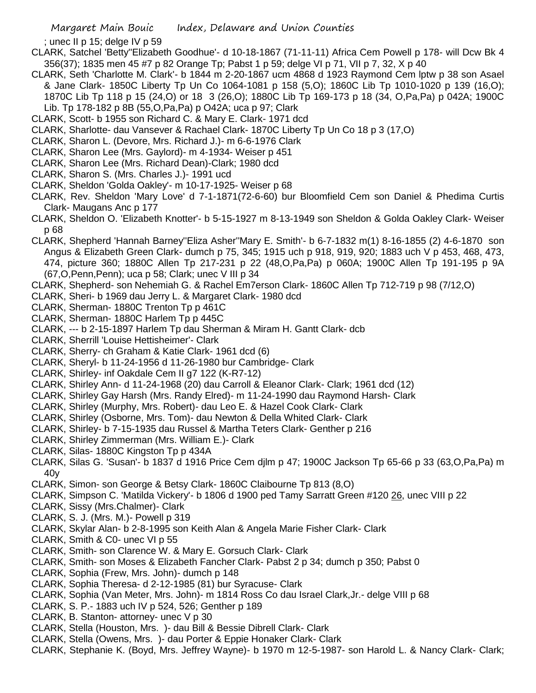; unec II p 15; delge IV p 59

- CLARK, Satchel 'Betty''Elizabeth Goodhue'- d 10-18-1867 (71-11-11) Africa Cem Powell p 178- will Dcw Bk 4 356(37); 1835 men 45 #7 p 82 Orange Tp; Pabst 1 p 59; delge VI p 71, VII p 7, 32, X p 40
- CLARK, Seth 'Charlotte M. Clark'- b 1844 m 2-20-1867 ucm 4868 d 1923 Raymond Cem lptw p 38 son Asael & Jane Clark- 1850C Liberty Tp Un Co 1064-1081 p 158 (5,O); 1860C Lib Tp 1010-1020 p 139 (16,O); 1870C Lib Tp 118 p 15 (24,O) or 18 3 (26,O); 1880C Lib Tp 169-173 p 18 (34, O,Pa,Pa) p 042A; 1900C Lib. Tp 178-182 p 8B (55,O,Pa,Pa) p O42A; uca p 97; Clark
- CLARK, Scott- b 1955 son Richard C. & Mary E. Clark- 1971 dcd
- CLARK, Sharlotte- dau Vansever & Rachael Clark- 1870C Liberty Tp Un Co 18 p 3 (17,O)
- CLARK, Sharon L. (Devore, Mrs. Richard J.)- m 6-6-1976 Clark
- CLARK, Sharon Lee (Mrs. Gaylord)- m 4-1934- Weiser p 451
- CLARK, Sharon Lee (Mrs. Richard Dean)-Clark; 1980 dcd
- CLARK, Sharon S. (Mrs. Charles J.)- 1991 ucd
- CLARK, Sheldon 'Golda Oakley'- m 10-17-1925- Weiser p 68
- CLARK, Rev. Sheldon 'Mary Love' d 7-1-1871(72-6-60) bur Bloomfield Cem son Daniel & Phedima Curtis Clark- Maugans Anc p 177
- CLARK, Sheldon O. 'Elizabeth Knotter'- b 5-15-1927 m 8-13-1949 son Sheldon & Golda Oakley Clark- Weiser p 68
- CLARK, Shepherd 'Hannah Barney''Eliza Asher''Mary E. Smith'- b 6-7-1832 m(1) 8-16-1855 (2) 4-6-1870 son Angus & Elizabeth Green Clark- dumch p 75, 345; 1915 uch p 918, 919, 920; 1883 uch V p 453, 468, 473, 474, picture 360; 1880C Allen Tp 217-231 p 22 (48,O,Pa,Pa) p 060A; 1900C Allen Tp 191-195 p 9A (67,O,Penn,Penn); uca p 58; Clark; unec V III p 34
- CLARK, Shepherd- son Nehemiah G. & Rachel Em7erson Clark- 1860C Allen Tp 712-719 p 98 (7/12,O)
- CLARK, Sheri- b 1969 dau Jerry L. & Margaret Clark- 1980 dcd
- CLARK, Sherman- 1880C Trenton Tp p 461C
- CLARK, Sherman- 1880C Harlem Tp p 445C
- CLARK, --- b 2-15-1897 Harlem Tp dau Sherman & Miram H. Gantt Clark- dcb
- CLARK, Sherrill 'Louise Hettisheimer'- Clark
- CLARK, Sherry- ch Graham & Katie Clark- 1961 dcd (6)
- CLARK, Sheryl- b 11-24-1956 d 11-26-1980 bur Cambridge- Clark
- CLARK, Shirley- inf Oakdale Cem II g7 122 (K-R7-12)
- CLARK, Shirley Ann- d 11-24-1968 (20) dau Carroll & Eleanor Clark- Clark; 1961 dcd (12)
- CLARK, Shirley Gay Harsh (Mrs. Randy Elred)- m 11-24-1990 dau Raymond Harsh- Clark
- CLARK, Shirley (Murphy, Mrs. Robert)- dau Leo E. & Hazel Cook Clark- Clark
- CLARK, Shirley (Osborne, Mrs. Tom)- dau Newton & Della Whited Clark- Clark
- CLARK, Shirley- b 7-15-1935 dau Russel & Martha Teters Clark- Genther p 216
- CLARK, Shirley Zimmerman (Mrs. William E.)- Clark
- CLARK, Silas- 1880C Kingston Tp p 434A
- CLARK, Silas G. 'Susan'- b 1837 d 1916 Price Cem djlm p 47; 1900C Jackson Tp 65-66 p 33 (63,O,Pa,Pa) m 40y
- CLARK, Simon- son George & Betsy Clark- 1860C Claibourne Tp 813 (8,O)
- CLARK, Simpson C. 'Matilda Vickery'- b 1806 d 1900 ped Tamy Sarratt Green #120 26, unec VIII p 22
- CLARK, Sissy (Mrs.Chalmer)- Clark
- CLARK, S. J. (Mrs. M.)- Powell p 319
- CLARK, Skylar Alan- b 2-8-1995 son Keith Alan & Angela Marie Fisher Clark- Clark
- CLARK, Smith & C0- unec VI p 55
- CLARK, Smith- son Clarence W. & Mary E. Gorsuch Clark- Clark
- CLARK, Smith- son Moses & Elizabeth Fancher Clark- Pabst 2 p 34; dumch p 350; Pabst 0
- CLARK, Sophia (Frew, Mrs. John)- dumch p 148
- CLARK, Sophia Theresa- d 2-12-1985 (81) bur Syracuse- Clark
- CLARK, Sophia (Van Meter, Mrs. John)- m 1814 Ross Co dau Israel Clark,Jr.- delge VIII p 68
- CLARK, S. P.- 1883 uch IV p 524, 526; Genther p 189
- CLARK, B. Stanton- attorney- unec V p 30
- CLARK, Stella (Houston, Mrs. )- dau Bill & Bessie Dibrell Clark- Clark
- CLARK, Stella (Owens, Mrs. )- dau Porter & Eppie Honaker Clark- Clark
- CLARK, Stephanie K. (Boyd, Mrs. Jeffrey Wayne)- b 1970 m 12-5-1987- son Harold L. & Nancy Clark- Clark;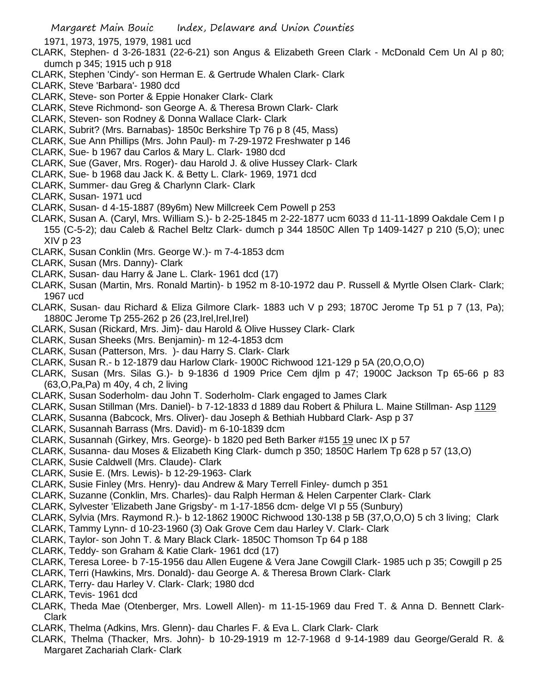1971, 1973, 1975, 1979, 1981 ucd

- CLARK, Stephen- d 3-26-1831 (22-6-21) son Angus & Elizabeth Green Clark McDonald Cem Un Al p 80; dumch p 345; 1915 uch p 918
- CLARK, Stephen 'Cindy'- son Herman E. & Gertrude Whalen Clark- Clark
- CLARK, Steve 'Barbara'- 1980 dcd
- CLARK, Steve- son Porter & Eppie Honaker Clark- Clark
- CLARK, Steve Richmond- son George A. & Theresa Brown Clark- Clark
- CLARK, Steven- son Rodney & Donna Wallace Clark- Clark
- CLARK, Subrit? (Mrs. Barnabas)- 1850c Berkshire Tp 76 p 8 (45, Mass)
- CLARK, Sue Ann Phillips (Mrs. John Paul)- m 7-29-1972 Freshwater p 146
- CLARK, Sue- b 1967 dau Carlos & Mary L. Clark- 1980 dcd
- CLARK, Sue (Gaver, Mrs. Roger)- dau Harold J. & olive Hussey Clark- Clark
- CLARK, Sue- b 1968 dau Jack K. & Betty L. Clark- 1969, 1971 dcd
- CLARK, Summer- dau Greg & Charlynn Clark- Clark
- CLARK, Susan- 1971 ucd
- CLARK, Susan- d 4-15-1887 (89y6m) New Millcreek Cem Powell p 253
- CLARK, Susan A. (Caryl, Mrs. William S.)- b 2-25-1845 m 2-22-1877 ucm 6033 d 11-11-1899 Oakdale Cem I p 155 (C-5-2); dau Caleb & Rachel Beltz Clark- dumch p 344 1850C Allen Tp 1409-1427 p 210 (5,O); unec XIV p 23
- CLARK, Susan Conklin (Mrs. George W.)- m 7-4-1853 dcm
- CLARK, Susan (Mrs. Danny)- Clark
- CLARK, Susan- dau Harry & Jane L. Clark- 1961 dcd (17)
- CLARK, Susan (Martin, Mrs. Ronald Martin)- b 1952 m 8-10-1972 dau P. Russell & Myrtle Olsen Clark- Clark; 1967 ucd
- CLARK, Susan- dau Richard & Eliza Gilmore Clark- 1883 uch V p 293; 1870C Jerome Tp 51 p 7 (13, Pa); 1880C Jerome Tp 255-262 p 26 (23,Irel,Irel,Irel)
- CLARK, Susan (Rickard, Mrs. Jim)- dau Harold & Olive Hussey Clark- Clark
- CLARK, Susan Sheeks (Mrs. Benjamin)- m 12-4-1853 dcm
- CLARK, Susan (Patterson, Mrs. )- dau Harry S. Clark- Clark
- CLARK, Susan R.- b 12-1879 dau Harlow Clark- 1900C Richwood 121-129 p 5A (20,O,O,O)
- CLARK, Susan (Mrs. Silas G.)- b 9-1836 d 1909 Price Cem djlm p 47; 1900C Jackson Tp 65-66 p 83 (63,O,Pa,Pa) m 40y, 4 ch, 2 living
- CLARK, Susan Soderholm- dau John T. Soderholm- Clark engaged to James Clark
- CLARK, Susan Stillman (Mrs. Daniel)- b 7-12-1833 d 1889 dau Robert & Philura L. Maine Stillman- Asp 1129
- CLARK, Susanna (Babcock, Mrs. Oliver)- dau Joseph & Bethiah Hubbard Clark- Asp p 37
- CLARK, Susannah Barrass (Mrs. David)- m 6-10-1839 dcm
- CLARK, Susannah (Girkey, Mrs. George)- b 1820 ped Beth Barker #155 19 unec IX p 57
- CLARK, Susanna- dau Moses & Elizabeth King Clark- dumch p 350; 1850C Harlem Tp 628 p 57 (13,O)
- CLARK, Susie Caldwell (Mrs. Claude)- Clark
- CLARK, Susie E. (Mrs. Lewis)- b 12-29-1963- Clark
- CLARK, Susie Finley (Mrs. Henry)- dau Andrew & Mary Terrell Finley- dumch p 351
- CLARK, Suzanne (Conklin, Mrs. Charles)- dau Ralph Herman & Helen Carpenter Clark- Clark
- CLARK, Sylvester 'Elizabeth Jane Grigsby'- m 1-17-1856 dcm- delge VI p 55 (Sunbury)
- CLARK, Sylvia (Mrs. Raymond R.)- b 12-1862 1900C Richwood 130-138 p 5B (37,O,O,O) 5 ch 3 living; Clark
- CLARK, Tammy Lynn- d 10-23-1960 (3) Oak Grove Cem dau Harley V. Clark- Clark
- CLARK, Taylor- son John T. & Mary Black Clark- 1850C Thomson Tp 64 p 188
- CLARK, Teddy- son Graham & Katie Clark- 1961 dcd (17)
- CLARK, Teresa Loree- b 7-15-1956 dau Allen Eugene & Vera Jane Cowgill Clark- 1985 uch p 35; Cowgill p 25
- CLARK, Terri (Hawkins, Mrs. Donald)- dau George A. & Theresa Brown Clark- Clark
- CLARK, Terry- dau Harley V. Clark- Clark; 1980 dcd
- CLARK, Tevis- 1961 dcd
- CLARK, Theda Mae (Otenberger, Mrs. Lowell Allen)- m 11-15-1969 dau Fred T. & Anna D. Bennett Clark-Clark
- CLARK, Thelma (Adkins, Mrs. Glenn)- dau Charles F. & Eva L. Clark Clark- Clark
- CLARK, Thelma (Thacker, Mrs. John)- b 10-29-1919 m 12-7-1968 d 9-14-1989 dau George/Gerald R. & Margaret Zachariah Clark- Clark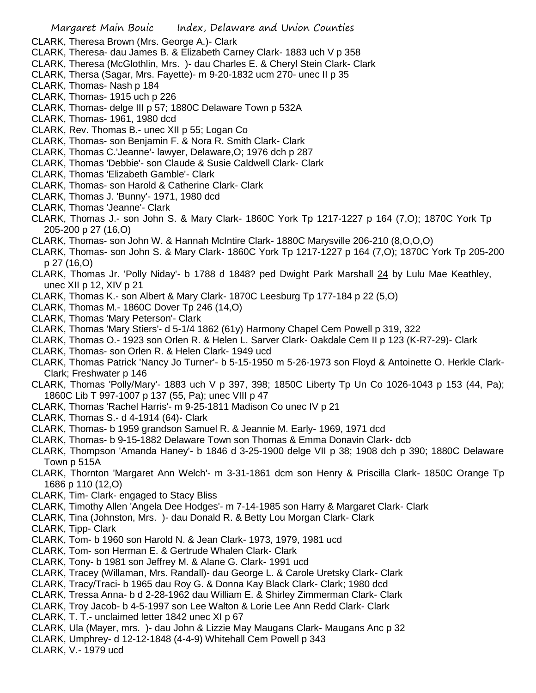CLARK, Theresa Brown (Mrs. George A.)- Clark

- CLARK, Theresa- dau James B. & Elizabeth Carney Clark- 1883 uch V p 358
- CLARK, Theresa (McGlothlin, Mrs. )- dau Charles E. & Cheryl Stein Clark- Clark
- CLARK, Thersa (Sagar, Mrs. Fayette)- m 9-20-1832 ucm 270- unec II p 35
- CLARK, Thomas- Nash p 184
- CLARK, Thomas- 1915 uch p 226
- CLARK, Thomas- delge III p 57; 1880C Delaware Town p 532A
- CLARK, Thomas- 1961, 1980 dcd
- CLARK, Rev. Thomas B.- unec XII p 55; Logan Co
- CLARK, Thomas- son Benjamin F. & Nora R. Smith Clark- Clark
- CLARK, Thomas C.'Jeanne'- lawyer, Delaware,O; 1976 dch p 287
- CLARK, Thomas 'Debbie'- son Claude & Susie Caldwell Clark- Clark
- CLARK, Thomas 'Elizabeth Gamble'- Clark
- CLARK, Thomas- son Harold & Catherine Clark- Clark
- CLARK, Thomas J. 'Bunny'- 1971, 1980 dcd
- CLARK, Thomas 'Jeanne'- Clark
- CLARK, Thomas J.- son John S. & Mary Clark- 1860C York Tp 1217-1227 p 164 (7,O); 1870C York Tp 205-200 p 27 (16,O)
- CLARK, Thomas- son John W. & Hannah McIntire Clark- 1880C Marysville 206-210 (8,O,O,O)
- CLARK, Thomas- son John S. & Mary Clark- 1860C York Tp 1217-1227 p 164 (7,O); 1870C York Tp 205-200 p 27 (16,O)
- CLARK, Thomas Jr. 'Polly Niday'- b 1788 d 1848? ped Dwight Park Marshall 24 by Lulu Mae Keathley, unec XII p 12, XIV p 21
- CLARK, Thomas K.- son Albert & Mary Clark- 1870C Leesburg Tp 177-184 p 22 (5,O)
- CLARK, Thomas M.- 1860C Dover Tp 246 (14,O)
- CLARK, Thomas 'Mary Peterson'- Clark
- CLARK, Thomas 'Mary Stiers'- d 5-1/4 1862 (61y) Harmony Chapel Cem Powell p 319, 322
- CLARK, Thomas O.- 1923 son Orlen R. & Helen L. Sarver Clark- Oakdale Cem II p 123 (K-R7-29)- Clark
- CLARK, Thomas- son Orlen R. & Helen Clark- 1949 ucd
- CLARK, Thomas Patrick 'Nancy Jo Turner'- b 5-15-1950 m 5-26-1973 son Floyd & Antoinette O. Herkle Clark-Clark; Freshwater p 146
- CLARK, Thomas 'Polly/Mary'- 1883 uch V p 397, 398; 1850C Liberty Tp Un Co 1026-1043 p 153 (44, Pa); 1860C Lib T 997-1007 p 137 (55, Pa); unec VIII p 47
- CLARK, Thomas 'Rachel Harris'- m 9-25-1811 Madison Co unec IV p 21
- CLARK, Thomas S.- d 4-1914 (64)- Clark
- CLARK, Thomas- b 1959 grandson Samuel R. & Jeannie M. Early- 1969, 1971 dcd
- CLARK, Thomas- b 9-15-1882 Delaware Town son Thomas & Emma Donavin Clark- dcb
- CLARK, Thompson 'Amanda Haney'- b 1846 d 3-25-1900 delge VII p 38; 1908 dch p 390; 1880C Delaware Town p 515A
- CLARK, Thornton 'Margaret Ann Welch'- m 3-31-1861 dcm son Henry & Priscilla Clark- 1850C Orange Tp 1686 p 110 (12,O)
- CLARK, Tim- Clark- engaged to Stacy Bliss
- CLARK, Timothy Allen 'Angela Dee Hodges'- m 7-14-1985 son Harry & Margaret Clark- Clark
- CLARK, Tina (Johnston, Mrs. )- dau Donald R. & Betty Lou Morgan Clark- Clark
- CLARK, Tipp- Clark
- CLARK, Tom- b 1960 son Harold N. & Jean Clark- 1973, 1979, 1981 ucd
- CLARK, Tom- son Herman E. & Gertrude Whalen Clark- Clark
- CLARK, Tony- b 1981 son Jeffrey M. & Alane G. Clark- 1991 ucd
- CLARK, Tracey (Willaman, Mrs. Randall)- dau George L. & Carole Uretsky Clark- Clark
- CLARK, Tracy/Traci- b 1965 dau Roy G. & Donna Kay Black Clark- Clark; 1980 dcd
- CLARK, Tressa Anna- b d 2-28-1962 dau William E. & Shirley Zimmerman Clark- Clark
- CLARK, Troy Jacob- b 4-5-1997 son Lee Walton & Lorie Lee Ann Redd Clark- Clark
- CLARK, T. T.- unclaimed letter 1842 unec XI p 67
- CLARK, Ula (Mayer, mrs. )- dau John & Lizzie May Maugans Clark- Maugans Anc p 32
- CLARK, Umphrey- d 12-12-1848 (4-4-9) Whitehall Cem Powell p 343
- CLARK, V.- 1979 ucd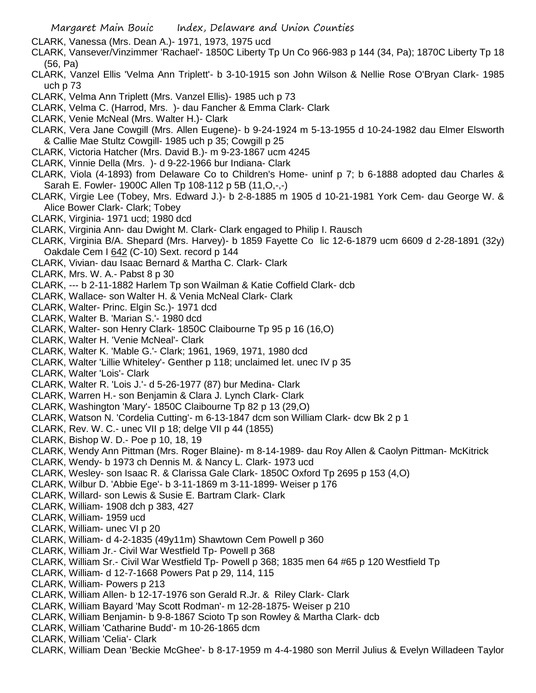- Margaret Main Bouic Index, Delaware and Union Counties
- CLARK, Vanessa (Mrs. Dean A.)- 1971, 1973, 1975 ucd
- CLARK, Vansever/Vinzimmer 'Rachael'- 1850C Liberty Tp Un Co 966-983 p 144 (34, Pa); 1870C Liberty Tp 18 (56, Pa)
- CLARK, Vanzel Ellis 'Velma Ann Triplett'- b 3-10-1915 son John Wilson & Nellie Rose O'Bryan Clark- 1985 uch p 73
- CLARK, Velma Ann Triplett (Mrs. Vanzel Ellis)- 1985 uch p 73
- CLARK, Velma C. (Harrod, Mrs. )- dau Fancher & Emma Clark- Clark
- CLARK, Venie McNeal (Mrs. Walter H.)- Clark
- CLARK, Vera Jane Cowgill (Mrs. Allen Eugene)- b 9-24-1924 m 5-13-1955 d 10-24-1982 dau Elmer Elsworth & Callie Mae Stultz Cowgill- 1985 uch p 35; Cowgill p 25
- CLARK, Victoria Hatcher (Mrs. David B.)- m 9-23-1867 ucm 4245
- CLARK, Vinnie Della (Mrs. )- d 9-22-1966 bur Indiana- Clark
- CLARK, Viola (4-1893) from Delaware Co to Children's Home- uninf p 7; b 6-1888 adopted dau Charles & Sarah E. Fowler- 1900C Allen Tp 108-112 p 5B (11,O,-,-)
- CLARK, Virgie Lee (Tobey, Mrs. Edward J.)- b 2-8-1885 m 1905 d 10-21-1981 York Cem- dau George W. & Alice Bower Clark- Clark; Tobey
- CLARK, Virginia- 1971 ucd; 1980 dcd
- CLARK, Virginia Ann- dau Dwight M. Clark- Clark engaged to Philip I. Rausch
- CLARK, Virginia B/A. Shepard (Mrs. Harvey)- b 1859 Fayette Co lic 12-6-1879 ucm 6609 d 2-28-1891 (32y) Oakdale Cem I 642 (C-10) Sext. record p 144
- CLARK, Vivian- dau Isaac Bernard & Martha C. Clark- Clark
- CLARK, Mrs. W. A.- Pabst 8 p 30
- CLARK, --- b 2-11-1882 Harlem Tp son Wailman & Katie Coffield Clark- dcb
- CLARK, Wallace- son Walter H. & Venia McNeal Clark- Clark
- CLARK, Walter- Princ. Elgin Sc.)- 1971 dcd
- CLARK, Walter B. 'Marian S.'- 1980 dcd
- CLARK, Walter- son Henry Clark- 1850C Claibourne Tp 95 p 16 (16,O)
- CLARK, Walter H. 'Venie McNeal'- Clark
- CLARK, Walter K. 'Mable G.'- Clark; 1961, 1969, 1971, 1980 dcd
- CLARK, Walter 'Lillie Whiteley'- Genther p 118; unclaimed let. unec IV p 35
- CLARK, Walter 'Lois'- Clark
- CLARK, Walter R. 'Lois J.'- d 5-26-1977 (87) bur Medina- Clark
- CLARK, Warren H.- son Benjamin & Clara J. Lynch Clark- Clark
- CLARK, Washington 'Mary'- 1850C Claibourne Tp 82 p 13 (29,O)
- CLARK, Watson N. 'Cordelia Cutting'- m 6-13-1847 dcm son William Clark- dcw Bk 2 p 1
- CLARK, Rev. W. C.- unec VII p 18; delge VII p 44 (1855)
- CLARK, Bishop W. D.- Poe p 10, 18, 19
- CLARK, Wendy Ann Pittman (Mrs. Roger Blaine)- m 8-14-1989- dau Roy Allen & Caolyn Pittman- McKitrick
- CLARK, Wendy- b 1973 ch Dennis M. & Nancy L. Clark- 1973 ucd
- CLARK, Wesley- son Isaac R. & Clarissa Gale Clark- 1850C Oxford Tp 2695 p 153 (4,O)
- CLARK, Wilbur D. 'Abbie Ege'- b 3-11-1869 m 3-11-1899- Weiser p 176
- CLARK, Willard- son Lewis & Susie E. Bartram Clark- Clark
- CLARK, William- 1908 dch p 383, 427
- CLARK, William- 1959 ucd
- CLARK, William- unec VI p 20
- CLARK, William- d 4-2-1835 (49y11m) Shawtown Cem Powell p 360
- CLARK, William Jr.- Civil War Westfield Tp- Powell p 368
- CLARK, William Sr.- Civil War Westfield Tp- Powell p 368; 1835 men 64 #65 p 120 Westfield Tp
- CLARK, William- d 12-7-1668 Powers Pat p 29, 114, 115
- CLARK, William- Powers p 213
- CLARK, William Allen- b 12-17-1976 son Gerald R.Jr. & Riley Clark- Clark
- CLARK, William Bayard 'May Scott Rodman'- m 12-28-1875- Weiser p 210
- CLARK, William Benjamin- b 9-8-1867 Scioto Tp son Rowley & Martha Clark- dcb
- CLARK, William 'Catharine Budd'- m 10-26-1865 dcm
- CLARK, William 'Celia'- Clark
- CLARK, William Dean 'Beckie McGhee'- b 8-17-1959 m 4-4-1980 son Merril Julius & Evelyn Willadeen Taylor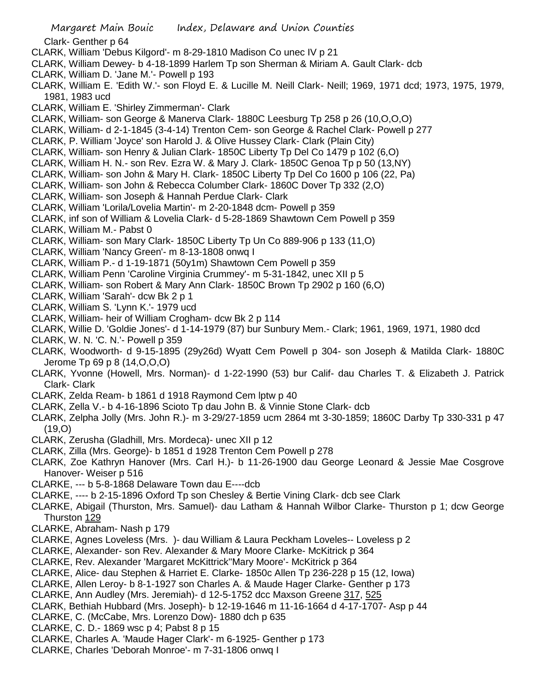Clark- Genther p 64

- CLARK, William 'Debus Kilgord'- m 8-29-1810 Madison Co unec IV p 21
- CLARK, William Dewey- b 4-18-1899 Harlem Tp son Sherman & Miriam A. Gault Clark- dcb
- CLARK, William D. 'Jane M.'- Powell p 193
- CLARK, William E. 'Edith W.'- son Floyd E. & Lucille M. Neill Clark- Neill; 1969, 1971 dcd; 1973, 1975, 1979, 1981, 1983 ucd
- CLARK, William E. 'Shirley Zimmerman'- Clark
- CLARK, William- son George & Manerva Clark- 1880C Leesburg Tp 258 p 26 (10,O,O,O)
- CLARK, William- d 2-1-1845 (3-4-14) Trenton Cem- son George & Rachel Clark- Powell p 277
- CLARK, P. William 'Joyce' son Harold J. & Olive Hussey Clark- Clark (Plain City)
- CLARK, William- son Henry & Julian Clark- 1850C Liberty Tp Del Co 1479 p 102 (6,O)
- CLARK, William H. N.- son Rev. Ezra W. & Mary J. Clark- 1850C Genoa Tp p 50 (13,NY)
- CLARK, William- son John & Mary H. Clark- 1850C Liberty Tp Del Co 1600 p 106 (22, Pa)
- CLARK, William- son John & Rebecca Columber Clark- 1860C Dover Tp 332 (2,O)
- CLARK, William- son Joseph & Hannah Perdue Clark- Clark
- CLARK, William 'Lorila/Lovelia Martin'- m 2-20-1848 dcm- Powell p 359
- CLARK, inf son of William & Lovelia Clark- d 5-28-1869 Shawtown Cem Powell p 359
- CLARK, William M.- Pabst 0
- CLARK, William- son Mary Clark- 1850C Liberty Tp Un Co 889-906 p 133 (11,O)
- CLARK, William 'Nancy Green'- m 8-13-1808 onwq I
- CLARK, William P.- d 1-19-1871 (50y1m) Shawtown Cem Powell p 359
- CLARK, William Penn 'Caroline Virginia Crummey'- m 5-31-1842, unec XII p 5
- CLARK, William- son Robert & Mary Ann Clark- 1850C Brown Tp 2902 p 160 (6,O)
- CLARK, William 'Sarah'- dcw Bk 2 p 1
- CLARK, William S. 'Lynn K.'- 1979 ucd
- CLARK, William- heir of William Crogham- dcw Bk 2 p 114
- CLARK, Willie D. 'Goldie Jones'- d 1-14-1979 (87) bur Sunbury Mem.- Clark; 1961, 1969, 1971, 1980 dcd
- CLARK, W. N. 'C. N.'- Powell p 359
- CLARK, Woodworth- d 9-15-1895 (29y26d) Wyatt Cem Powell p 304- son Joseph & Matilda Clark- 1880C Jerome Tp 69 p 8 (14,O,O,O)
- CLARK, Yvonne (Howell, Mrs. Norman)- d 1-22-1990 (53) bur Calif- dau Charles T. & Elizabeth J. Patrick Clark- Clark
- CLARK, Zelda Ream- b 1861 d 1918 Raymond Cem lptw p 40
- CLARK, Zella V.- b 4-16-1896 Scioto Tp dau John B. & Vinnie Stone Clark- dcb
- CLARK, Zelpha Jolly (Mrs. John R.)- m 3-29/27-1859 ucm 2864 mt 3-30-1859; 1860C Darby Tp 330-331 p 47 (19,O)
- CLARK, Zerusha (Gladhill, Mrs. Mordeca)- unec XII p 12
- CLARK, Zilla (Mrs. George)- b 1851 d 1928 Trenton Cem Powell p 278
- CLARK, Zoe Kathryn Hanover (Mrs. Carl H.)- b 11-26-1900 dau George Leonard & Jessie Mae Cosgrove Hanover- Weiser p 516
- CLARKE, --- b 5-8-1868 Delaware Town dau E----dcb
- CLARKE, ---- b 2-15-1896 Oxford Tp son Chesley & Bertie Vining Clark- dcb see Clark
- CLARKE, Abigail (Thurston, Mrs. Samuel)- dau Latham & Hannah Wilbor Clarke- Thurston p 1; dcw George Thurston 129
- CLARKE, Abraham- Nash p 179
- CLARKE, Agnes Loveless (Mrs. )- dau William & Laura Peckham Loveles-- Loveless p 2
- CLARKE, Alexander- son Rev. Alexander & Mary Moore Clarke- McKitrick p 364
- CLARKE, Rev. Alexander 'Margaret McKittrick''Mary Moore'- McKitrick p 364
- CLARKE, Alice- dau Stephen & Harriet E. Clarke- 1850c Allen Tp 236-228 p 15 (12, Iowa)
- CLARKE, Allen Leroy- b 8-1-1927 son Charles A. & Maude Hager Clarke- Genther p 173
- CLARKE, Ann Audley (Mrs. Jeremiah)- d 12-5-1752 dcc Maxson Greene 317, 525
- CLARK, Bethiah Hubbard (Mrs. Joseph)- b 12-19-1646 m 11-16-1664 d 4-17-1707- Asp p 44
- CLARKE, C. (McCabe, Mrs. Lorenzo Dow)- 1880 dch p 635
- CLARKE, C. D.- 1869 wsc p 4; Pabst 8 p 15
- CLARKE, Charles A. 'Maude Hager Clark'- m 6-1925- Genther p 173
- CLARKE, Charles 'Deborah Monroe'- m 7-31-1806 onwq I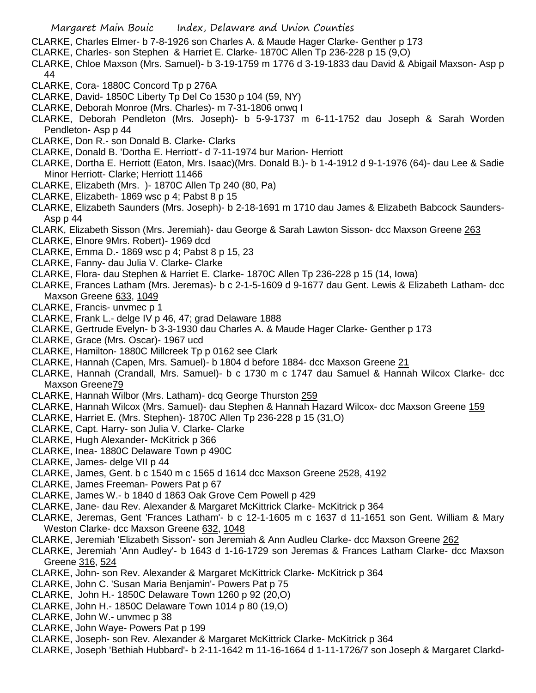- CLARKE, Charles Elmer- b 7-8-1926 son Charles A. & Maude Hager Clarke- Genther p 173
- CLARKE, Charles- son Stephen & Harriet E. Clarke- 1870C Allen Tp 236-228 p 15 (9,O)
- CLARKE, Chloe Maxson (Mrs. Samuel)- b 3-19-1759 m 1776 d 3-19-1833 dau David & Abigail Maxson- Asp p 44
- CLARKE, Cora- 1880C Concord Tp p 276A
- CLARKE, David- 1850C Liberty Tp Del Co 1530 p 104 (59, NY)
- CLARKE, Deborah Monroe (Mrs. Charles)- m 7-31-1806 onwq I
- CLARKE, Deborah Pendleton (Mrs. Joseph)- b 5-9-1737 m 6-11-1752 dau Joseph & Sarah Worden Pendleton- Asp p 44
- CLARKE, Don R.- son Donald B. Clarke- Clarks
- CLARKE, Donald B. 'Dortha E. Herriott'- d 7-11-1974 bur Marion- Herriott
- CLARKE, Dortha E. Herriott (Eaton, Mrs. Isaac)(Mrs. Donald B.)- b 1-4-1912 d 9-1-1976 (64)- dau Lee & Sadie Minor Herriott- Clarke; Herriott 11466
- CLARKE, Elizabeth (Mrs. )- 1870C Allen Tp 240 (80, Pa)
- CLARKE, Elizabeth- 1869 wsc p 4; Pabst 8 p 15
- CLARKE, Elizabeth Saunders (Mrs. Joseph)- b 2-18-1691 m 1710 dau James & Elizabeth Babcock Saunders-Asp p 44
- CLARK, Elizabeth Sisson (Mrs. Jeremiah)- dau George & Sarah Lawton Sisson- dcc Maxson Greene 263
- CLARKE, Elnore 9Mrs. Robert)- 1969 dcd
- CLARKE, Emma D.- 1869 wsc p 4; Pabst 8 p 15, 23
- CLARKE, Fanny- dau Julia V. Clarke- Clarke
- CLARKE, Flora- dau Stephen & Harriet E. Clarke- 1870C Allen Tp 236-228 p 15 (14, Iowa)
- CLARKE, Frances Latham (Mrs. Jeremas)- b c 2-1-5-1609 d 9-1677 dau Gent. Lewis & Elizabeth Latham- dcc Maxson Greene 633, 1049
- CLARKE, Francis- unvmec p 1
- CLARKE, Frank L.- delge IV p 46, 47; grad Delaware 1888
- CLARKE, Gertrude Evelyn- b 3-3-1930 dau Charles A. & Maude Hager Clarke- Genther p 173
- CLARKE, Grace (Mrs. Oscar)- 1967 ucd
- CLARKE, Hamilton- 1880C Millcreek Tp p 0162 see Clark
- CLARKE, Hannah (Capen, Mrs. Samuel)- b 1804 d before 1884- dcc Maxson Greene 21
- CLARKE, Hannah (Crandall, Mrs. Samuel)- b c 1730 m c 1747 dau Samuel & Hannah Wilcox Clarke- dcc Maxson Greene79
- CLARKE, Hannah Wilbor (Mrs. Latham)- dcq George Thurston 259
- CLARKE, Hannah Wilcox (Mrs. Samuel)- dau Stephen & Hannah Hazard Wilcox- dcc Maxson Greene 159
- CLARKE, Harriet E. (Mrs. Stephen)- 1870C Allen Tp 236-228 p 15 (31,O)
- CLARKE, Capt. Harry- son Julia V. Clarke- Clarke
- CLARKE, Hugh Alexander- McKitrick p 366
- CLARKE, Inea- 1880C Delaware Town p 490C
- CLARKE, James- delge VII p 44
- CLARKE, James, Gent. b c 1540 m c 1565 d 1614 dcc Maxson Greene 2528, 4192
- CLARKE, James Freeman- Powers Pat p 67
- CLARKE, James W.- b 1840 d 1863 Oak Grove Cem Powell p 429
- CLARKE, Jane- dau Rev. Alexander & Margaret McKittrick Clarke- McKitrick p 364
- CLARKE, Jeremas, Gent 'Frances Latham'- b c 12-1-1605 m c 1637 d 11-1651 son Gent. William & Mary Weston Clarke- dcc Maxson Greene 632, 1048
- CLARKE, Jeremiah 'Elizabeth Sisson'- son Jeremiah & Ann Audleu Clarke- dcc Maxson Greene 262
- CLARKE, Jeremiah 'Ann Audley'- b 1643 d 1-16-1729 son Jeremas & Frances Latham Clarke- dcc Maxson Greene 316, 524
- CLARKE, John- son Rev. Alexander & Margaret McKittrick Clarke- McKitrick p 364
- CLARKE, John C. 'Susan Maria Benjamin'- Powers Pat p 75
- CLARKE, John H.- 1850C Delaware Town 1260 p 92 (20,O)
- CLARKE, John H.- 1850C Delaware Town 1014 p 80 (19,O)
- CLARKE, John W.- unvmec p 38
- CLARKE, John Waye- Powers Pat p 199
- CLARKE, Joseph- son Rev. Alexander & Margaret McKittrick Clarke- McKitrick p 364
- CLARKE, Joseph 'Bethiah Hubbard'- b 2-11-1642 m 11-16-1664 d 1-11-1726/7 son Joseph & Margaret Clarkd-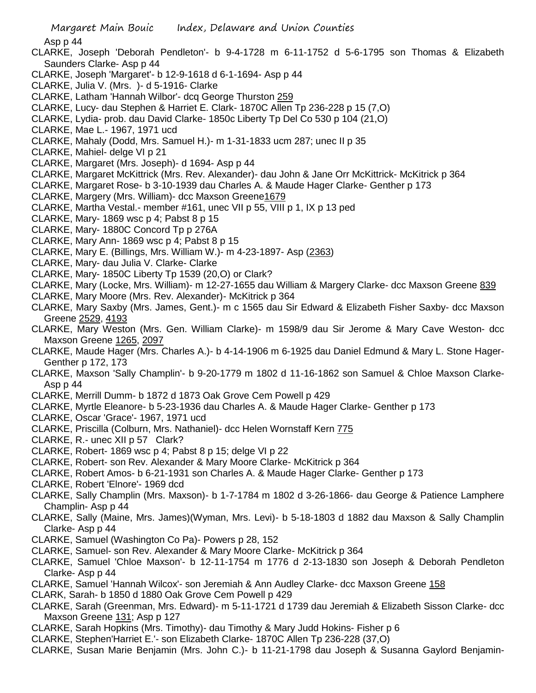Asp p 44

- CLARKE, Joseph 'Deborah Pendleton'- b 9-4-1728 m 6-11-1752 d 5-6-1795 son Thomas & Elizabeth Saunders Clarke- Asp p 44
- CLARKE, Joseph 'Margaret'- b 12-9-1618 d 6-1-1694- Asp p 44
- CLARKE, Julia V. (Mrs. )- d 5-1916- Clarke
- CLARKE, Latham 'Hannah Wilbor'- dcq George Thurston 259
- CLARKE, Lucy- dau Stephen & Harriet E. Clark- 1870C Allen Tp 236-228 p 15 (7,O)
- CLARKE, Lydia- prob. dau David Clarke- 1850c Liberty Tp Del Co 530 p 104 (21,O)
- CLARKE, Mae L.- 1967, 1971 ucd
- CLARKE, Mahaly (Dodd, Mrs. Samuel H.)- m 1-31-1833 ucm 287; unec II p 35
- CLARKE, Mahiel- delge VI p 21
- CLARKE, Margaret (Mrs. Joseph)- d 1694- Asp p 44
- CLARKE, Margaret McKittrick (Mrs. Rev. Alexander)- dau John & Jane Orr McKittrick- McKitrick p 364
- CLARKE, Margaret Rose- b 3-10-1939 dau Charles A. & Maude Hager Clarke- Genther p 173
- CLARKE, Margery (Mrs. William)- dcc Maxson Greene1679
- CLARKE, Martha Vestal.- member #161, unec VII p 55, VIII p 1, IX p 13 ped
- CLARKE, Mary- 1869 wsc p 4; Pabst 8 p 15
- CLARKE, Mary- 1880C Concord Tp p 276A
- CLARKE, Mary Ann- 1869 wsc p 4; Pabst 8 p 15
- CLARKE, Mary E. (Billings, Mrs. William W.)- m 4-23-1897- Asp (2363)
- CLARKE, Mary- dau Julia V. Clarke- Clarke
- CLARKE, Mary- 1850C Liberty Tp 1539 (20,O) or Clark?
- CLARKE, Mary (Locke, Mrs. William)- m 12-27-1655 dau William & Margery Clarke- dcc Maxson Greene 839
- CLARKE, Mary Moore (Mrs. Rev. Alexander)- McKitrick p 364
- CLARKE, Mary Saxby (Mrs. James, Gent.)- m c 1565 dau Sir Edward & Elizabeth Fisher Saxby- dcc Maxson Greene 2529, 4193
- CLARKE, Mary Weston (Mrs. Gen. William Clarke)- m 1598/9 dau Sir Jerome & Mary Cave Weston- dcc Maxson Greene 1265, 2097
- CLARKE, Maude Hager (Mrs. Charles A.)- b 4-14-1906 m 6-1925 dau Daniel Edmund & Mary L. Stone Hager-Genther p 172, 173
- CLARKE, Maxson 'Sally Champlin'- b 9-20-1779 m 1802 d 11-16-1862 son Samuel & Chloe Maxson Clarke-Asp p 44
- CLARKE, Merrill Dumm- b 1872 d 1873 Oak Grove Cem Powell p 429
- CLARKE, Myrtle Eleanore- b 5-23-1936 dau Charles A. & Maude Hager Clarke- Genther p 173
- CLARKE, Oscar 'Grace'- 1967, 1971 ucd
- CLARKE, Priscilla (Colburn, Mrs. Nathaniel)- dcc Helen Wornstaff Kern 775
- CLARKE, R.- unec XII p 57 Clark?
- CLARKE, Robert- 1869 wsc p 4; Pabst 8 p 15; delge VI p 22
- CLARKE, Robert- son Rev. Alexander & Mary Moore Clarke- McKitrick p 364
- CLARKE, Robert Amos- b 6-21-1931 son Charles A. & Maude Hager Clarke- Genther p 173
- CLARKE, Robert 'Elnore'- 1969 dcd
- CLARKE, Sally Champlin (Mrs. Maxson)- b 1-7-1784 m 1802 d 3-26-1866- dau George & Patience Lamphere Champlin- Asp p 44
- CLARKE, Sally (Maine, Mrs. James)(Wyman, Mrs. Levi)- b 5-18-1803 d 1882 dau Maxson & Sally Champlin Clarke- Asp p 44
- CLARKE, Samuel (Washington Co Pa)- Powers p 28, 152
- CLARKE, Samuel- son Rev. Alexander & Mary Moore Clarke- McKitrick p 364
- CLARKE, Samuel 'Chloe Maxson'- b 12-11-1754 m 1776 d 2-13-1830 son Joseph & Deborah Pendleton Clarke- Asp p 44
- CLARKE, Samuel 'Hannah Wilcox'- son Jeremiah & Ann Audley Clarke- dcc Maxson Greene 158
- CLARK, Sarah- b 1850 d 1880 Oak Grove Cem Powell p 429
- CLARKE, Sarah (Greenman, Mrs. Edward)- m 5-11-1721 d 1739 dau Jeremiah & Elizabeth Sisson Clarke- dcc Maxson Greene 131; Asp p 127
- CLARKE, Sarah Hopkins (Mrs. Timothy)- dau Timothy & Mary Judd Hokins- Fisher p 6
- CLARKE, Stephen'Harriet E.'- son Elizabeth Clarke- 1870C Allen Tp 236-228 (37,O)
- CLARKE, Susan Marie Benjamin (Mrs. John C.)- b 11-21-1798 dau Joseph & Susanna Gaylord Benjamin-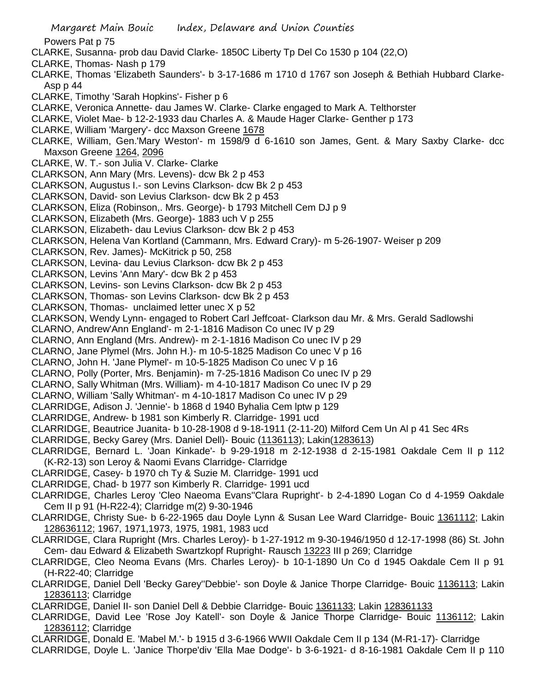Powers Pat p 75

- CLARKE, Susanna- prob dau David Clarke- 1850C Liberty Tp Del Co 1530 p 104 (22,O)
- CLARKE, Thomas- Nash p 179
- CLARKE, Thomas 'Elizabeth Saunders'- b 3-17-1686 m 1710 d 1767 son Joseph & Bethiah Hubbard Clarke-Asp p 44
- CLARKE, Timothy 'Sarah Hopkins'- Fisher p 6
- CLARKE, Veronica Annette- dau James W. Clarke- Clarke engaged to Mark A. Telthorster
- CLARKE, Violet Mae- b 12-2-1933 dau Charles A. & Maude Hager Clarke- Genther p 173
- CLARKE, William 'Margery'- dcc Maxson Greene 1678
- CLARKE, William, Gen.'Mary Weston'- m 1598/9 d 6-1610 son James, Gent. & Mary Saxby Clarke- dcc Maxson Greene 1264, 2096
- CLARKE, W. T.- son Julia V. Clarke- Clarke
- CLARKSON, Ann Mary (Mrs. Levens)- dcw Bk 2 p 453
- CLARKSON, Augustus I.- son Levins Clarkson- dcw Bk 2 p 453
- CLARKSON, David- son Levius Clarkson- dcw Bk 2 p 453
- CLARKSON, Eliza (Robinson,. Mrs. George)- b 1793 Mitchell Cem DJ p 9
- CLARKSON, Elizabeth (Mrs. George)- 1883 uch V p 255
- CLARKSON, Elizabeth- dau Levius Clarkson- dcw Bk 2 p 453
- CLARKSON, Helena Van Kortland (Cammann, Mrs. Edward Crary)- m 5-26-1907- Weiser p 209
- CLARKSON, Rev. James)- McKitrick p 50, 258
- CLARKSON, Levina- dau Levius Clarkson- dcw Bk 2 p 453
- CLARKSON, Levins 'Ann Mary'- dcw Bk 2 p 453
- CLARKSON, Levins- son Levins Clarkson- dcw Bk 2 p 453
- CLARKSON, Thomas- son Levins Clarkson- dcw Bk 2 p 453
- CLARKSON, Thomas- unclaimed letter unec X p 52
- CLARKSON, Wendy Lynn- engaged to Robert Carl Jeffcoat- Clarkson dau Mr. & Mrs. Gerald Sadlowshi
- CLARNO, Andrew'Ann England'- m 2-1-1816 Madison Co unec IV p 29
- CLARNO, Ann England (Mrs. Andrew)- m 2-1-1816 Madison Co unec IV p 29
- CLARNO, Jane Plymel (Mrs. John H.)- m 10-5-1825 Madison Co unec V p 16
- CLARNO, John H. 'Jane Plymel'- m 10-5-1825 Madison Co unec V p 16
- CLARNO, Polly (Porter, Mrs. Benjamin)- m 7-25-1816 Madison Co unec IV p 29
- CLARNO, Sally Whitman (Mrs. William)- m 4-10-1817 Madison Co unec IV p 29
- CLARNO, William 'Sally Whitman'- m 4-10-1817 Madison Co unec IV p 29
- CLARRIDGE, Adison J. 'Jennie'- b 1868 d 1940 Byhalia Cem lptw p 129
- CLARRIDGE, Andrew- b 1981 son Kimberly R. Clarridge- 1991 ucd
- CLARRIDGE, Beautrice Juanita- b 10-28-1908 d 9-18-1911 (2-11-20) Milford Cem Un Al p 41 Sec 4Rs
- CLARRIDGE, Becky Garey (Mrs. Daniel Dell)- Bouic (1136113); Lakin(1283613)
- CLARRIDGE, Bernard L. 'Joan Kinkade'- b 9-29-1918 m 2-12-1938 d 2-15-1981 Oakdale Cem II p 112 (K-R2-13) son Leroy & Naomi Evans Clarridge- Clarridge
- CLARRIDGE, Casey- b 1970 ch Ty & Suzie M. Clarridge- 1991 ucd
- CLARRIDGE, Chad- b 1977 son Kimberly R. Clarridge- 1991 ucd
- CLARRIDGE, Charles Leroy 'Cleo Naeoma Evans''Clara Rupright'- b 2-4-1890 Logan Co d 4-1959 Oakdale Cem II p 91 (H-R22-4); Clarridge m(2) 9-30-1946
- CLARRIDGE, Christy Sue- b 6-22-1965 dau Doyle Lynn & Susan Lee Ward Clarridge- Bouic 1361112; Lakin 128636112; 1967, 1971,1973, 1975, 1981, 1983 ucd
- CLARRIDGE, Clara Rupright (Mrs. Charles Leroy)- b 1-27-1912 m 9-30-1946/1950 d 12-17-1998 (86) St. John Cem- dau Edward & Elizabeth Swartzkopf Rupright- Rausch 13223 III p 269; Clarridge
- CLARRIDGE, Cleo Neoma Evans (Mrs. Charles Leroy)- b 10-1-1890 Un Co d 1945 Oakdale Cem II p 91 (H-R22-40; Clarridge
- CLARRIDGE, Daniel Dell 'Becky Garey''Debbie'- son Doyle & Janice Thorpe Clarridge- Bouic 1136113; Lakin 12836113; Clarridge
- CLARRIDGE, Daniel II- son Daniel Dell & Debbie Clarridge- Bouic 1361133; Lakin 128361133
- CLARRIDGE, David Lee 'Rose Joy Katell'- son Doyle & Janice Thorpe Clarridge- Bouic 1136112; Lakin 12836112; Clarridge
- CLARRIDGE, Donald E. 'Mabel M.'- b 1915 d 3-6-1966 WWII Oakdale Cem II p 134 (M-R1-17)- Clarridge
- CLARRIDGE, Doyle L. 'Janice Thorpe'div 'Ella Mae Dodge'- b 3-6-1921- d 8-16-1981 Oakdale Cem II p 110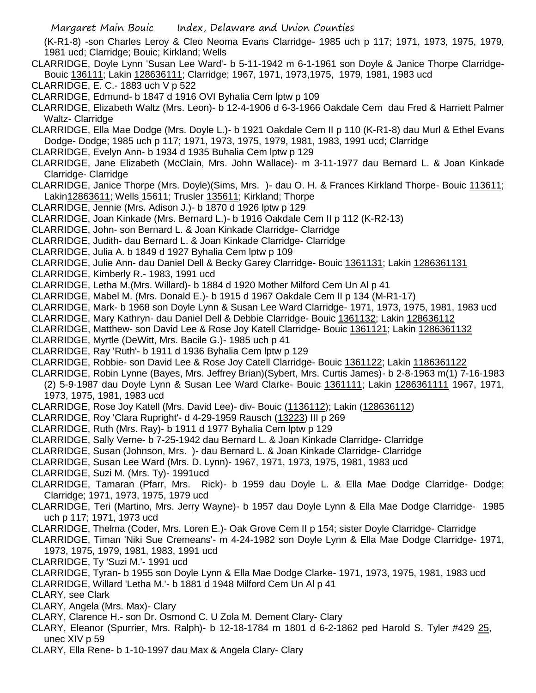(K-R1-8) -son Charles Leroy & Cleo Neoma Evans Clarridge- 1985 uch p 117; 1971, 1973, 1975, 1979, 1981 ucd; Clarridge; Bouic; Kirkland; Wells

- CLARRIDGE, Doyle Lynn 'Susan Lee Ward'- b 5-11-1942 m 6-1-1961 son Doyle & Janice Thorpe Clarridge-Bouic 136111; Lakin 128636111; Clarridge; 1967, 1971, 1973,1975, 1979, 1981, 1983 ucd
- CLARRIDGE, E. C.- 1883 uch V p 522
- CLARRIDGE, Edmund- b 1847 d 1916 OVI Byhalia Cem lptw p 109
- CLARRIDGE, Elizabeth Waltz (Mrs. Leon)- b 12-4-1906 d 6-3-1966 Oakdale Cem dau Fred & Harriett Palmer Waltz- Clarridge
- CLARRIDGE, Ella Mae Dodge (Mrs. Doyle L.)- b 1921 Oakdale Cem II p 110 (K-R1-8) dau Murl & Ethel Evans Dodge- Dodge; 1985 uch p 117; 1971, 1973, 1975, 1979, 1981, 1983, 1991 ucd; Clarridge
- CLARRIDGE, Evelyn Ann- b 1934 d 1935 Buhalia Cem lptw p 129
- CLARRIDGE, Jane Elizabeth (McClain, Mrs. John Wallace)- m 3-11-1977 dau Bernard L. & Joan Kinkade Clarridge- Clarridge
- CLARRIDGE, Janice Thorpe (Mrs. Doyle)(Sims, Mrs. )- dau O. H. & Frances Kirkland Thorpe- Bouic 113611; Lakin12863611; Wells 15611; Trusler 135611; Kirkland; Thorpe
- CLARRIDGE, Jennie (Mrs. Adison J.)- b 1870 d 1926 lptw p 129
- CLARRIDGE, Joan Kinkade (Mrs. Bernard L.)- b 1916 Oakdale Cem II p 112 (K-R2-13)
- CLARRIDGE, John- son Bernard L. & Joan Kinkade Clarridge- Clarridge
- CLARRIDGE, Judith- dau Bernard L. & Joan Kinkade Clarridge- Clarridge
- CLARRIDGE, Julia A. b 1849 d 1927 Byhalia Cem lptw p 109
- CLARRIDGE, Julie Ann- dau Daniel Dell & Becky Garey Clarridge- Bouic 1361131; Lakin 1286361131
- CLARRIDGE, Kimberly R.- 1983, 1991 ucd
- CLARRIDGE, Letha M.(Mrs. Willard)- b 1884 d 1920 Mother Milford Cem Un Al p 41
- CLARRIDGE, Mabel M. (Mrs. Donald E.)- b 1915 d 1967 Oakdale Cem II p 134 (M-R1-17)
- CLARRIDGE, Mark- b 1968 son Doyle Lynn & Susan Lee Ward Clarridge- 1971, 1973, 1975, 1981, 1983 ucd
- CLARRIDGE, Mary Kathryn- dau Daniel Dell & Debbie Clarridge- Bouic 1361132; Lakin 128636112
- CLARRIDGE, Matthew- son David Lee & Rose Joy Katell Clarridge- Bouic 1361121; Lakin 1286361132
- CLARRIDGE, Myrtle (DeWitt, Mrs. Bacile G.)- 1985 uch p 41
- CLARRIDGE, Ray 'Ruth'- b 1911 d 1936 Byhalia Cem lptw p 129
- CLARRIDGE, Robbie- son David Lee & Rose Joy Catell Clarridge- Bouic 1361122; Lakin 1186361122
- CLARRIDGE, Robin Lynne (Bayes, Mrs. Jeffrey Brian)(Sybert, Mrs. Curtis James)- b 2-8-1963 m(1) 7-16-1983
- (2) 5-9-1987 dau Doyle Lynn & Susan Lee Ward Clarke- Bouic 1361111; Lakin 1286361111 1967, 1971, 1973, 1975, 1981, 1983 ucd
- CLARRIDGE, Rose Joy Katell (Mrs. David Lee)- div- Bouic (1136112); Lakin (128636112)
- CLARRIDGE, Roy 'Clara Rupright'- d 4-29-1959 Rausch (13223) III p 269
- CLARRIDGE, Ruth (Mrs. Ray)- b 1911 d 1977 Byhalia Cem lptw p 129
- CLARRIDGE, Sally Verne- b 7-25-1942 dau Bernard L. & Joan Kinkade Clarridge- Clarridge
- CLARRIDGE, Susan (Johnson, Mrs. )- dau Bernard L. & Joan Kinkade Clarridge- Clarridge
- CLARRIDGE, Susan Lee Ward (Mrs. D. Lynn)- 1967, 1971, 1973, 1975, 1981, 1983 ucd
- CLARRIDGE, Suzi M. (Mrs. Ty)- 1991ucd
- CLARRIDGE, Tamaran (Pfarr, Mrs. Rick)- b 1959 dau Doyle L. & Ella Mae Dodge Clarridge- Dodge; Clarridge; 1971, 1973, 1975, 1979 ucd
- CLARRIDGE, Teri (Martino, Mrs. Jerry Wayne)- b 1957 dau Doyle Lynn & Ella Mae Dodge Clarridge- 1985 uch p 117; 1971, 1973 ucd
- CLARRIDGE, Thelma (Coder, Mrs. Loren E.)- Oak Grove Cem II p 154; sister Doyle Clarridge- Clarridge
- CLARRIDGE, Timan 'Niki Sue Cremeans'- m 4-24-1982 son Doyle Lynn & Ella Mae Dodge Clarridge- 1971, 1973, 1975, 1979, 1981, 1983, 1991 ucd
- CLARRIDGE, Ty 'Suzi M.'- 1991 ucd
- CLARRIDGE, Tyran- b 1955 son Doyle Lynn & Ella Mae Dodge Clarke- 1971, 1973, 1975, 1981, 1983 ucd
- CLARRIDGE, Willard 'Letha M.'- b 1881 d 1948 Milford Cem Un Al p 41
- CLARY, see Clark
- CLARY, Angela (Mrs. Max)- Clary
- CLARY, Clarence H.- son Dr. Osmond C. U Zola M. Dement Clary- Clary
- CLARY, Eleanor (Spurrier, Mrs. Ralph)- b 12-18-1784 m 1801 d 6-2-1862 ped Harold S. Tyler #429 25, unec XIV p 59
- CLARY, Ella Rene- b 1-10-1997 dau Max & Angela Clary- Clary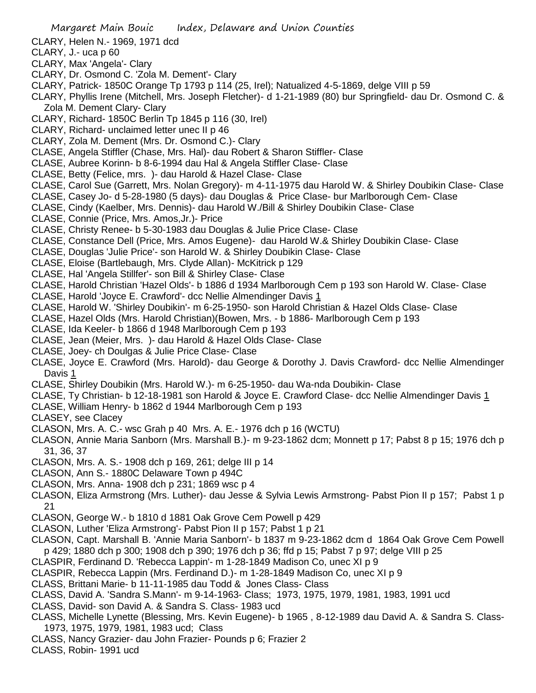- CLARY, Helen N.- 1969, 1971 dcd
- CLARY, J.- uca p 60
- CLARY, Max 'Angela'- Clary
- CLARY, Dr. Osmond C. 'Zola M. Dement'- Clary
- CLARY, Patrick- 1850C Orange Tp 1793 p 114 (25, Irel); Natualized 4-5-1869, delge VIII p 59
- CLARY, Phyllis Irene (Mitchell, Mrs. Joseph Fletcher)- d 1-21-1989 (80) bur Springfield- dau Dr. Osmond C. & Zola M. Dement Clary- Clary
- CLARY, Richard- 1850C Berlin Tp 1845 p 116 (30, Irel)
- CLARY, Richard- unclaimed letter unec II p 46
- CLARY, Zola M. Dement (Mrs. Dr. Osmond C.)- Clary
- CLASE, Angela Stiffler (Chase, Mrs. Hal)- dau Robert & Sharon Stiffler- Clase
- CLASE, Aubree Korinn- b 8-6-1994 dau Hal & Angela Stiffler Clase- Clase
- CLASE, Betty (Felice, mrs. )- dau Harold & Hazel Clase- Clase
- CLASE, Carol Sue (Garrett, Mrs. Nolan Gregory)- m 4-11-1975 dau Harold W. & Shirley Doubikin Clase- Clase
- CLASE, Casey Jo- d 5-28-1980 (5 days)- dau Douglas & Price Clase- bur Marlborough Cem- Clase
- CLASE, Cindy (Kaelber, Mrs. Dennis)- dau Harold W./Bill & Shirley Doubikin Clase- Clase
- CLASE, Connie (Price, Mrs. Amos,Jr.)- Price
- CLASE, Christy Renee- b 5-30-1983 dau Douglas & Julie Price Clase- Clase
- CLASE, Constance Dell (Price, Mrs. Amos Eugene)- dau Harold W.& Shirley Doubikin Clase- Clase
- CLASE, Douglas 'Julie Price'- son Harold W. & Shirley Doubikin Clase- Clase
- CLASE, Eloise (Bartlebaugh, Mrs. Clyde Allan)- McKitrick p 129
- CLASE, Hal 'Angela Stillfer'- son Bill & Shirley Clase- Clase
- CLASE, Harold Christian 'Hazel Olds'- b 1886 d 1934 Marlborough Cem p 193 son Harold W. Clase- Clase
- CLASE, Harold 'Joyce E. Crawford'- dcc Nellie Almendinger Davis 1
- CLASE, Harold W. 'Shirley Doubikin'- m 6-25-1950- son Harold Christian & Hazel Olds Clase- Clase
- CLASE, Hazel Olds (Mrs. Harold Christian)(Bowen, Mrs. b 1886- Marlborough Cem p 193
- CLASE, Ida Keeler- b 1866 d 1948 Marlborough Cem p 193
- CLASE, Jean (Meier, Mrs. )- dau Harold & Hazel Olds Clase- Clase
- CLASE, Joey- ch Doulgas & Julie Price Clase- Clase
- CLASE, Joyce E. Crawford (Mrs. Harold)- dau George & Dorothy J. Davis Crawford- dcc Nellie Almendinger Davis 1
- CLASE, Shirley Doubikin (Mrs. Harold W.)- m 6-25-1950- dau Wa-nda Doubikin- Clase
- CLASE, Ty Christian- b 12-18-1981 son Harold & Joyce E. Crawford Clase- dcc Nellie Almendinger Davis 1
- CLASE, William Henry- b 1862 d 1944 Marlborough Cem p 193
- CLASEY, see Clacey
- CLASON, Mrs. A. C.- wsc Grah p 40 Mrs. A. E.- 1976 dch p 16 (WCTU)
- CLASON, Annie Maria Sanborn (Mrs. Marshall B.)- m 9-23-1862 dcm; Monnett p 17; Pabst 8 p 15; 1976 dch p 31, 36, 37
- CLASON, Mrs. A. S.- 1908 dch p 169, 261; delge III p 14
- CLASON, Ann S.- 1880C Delaware Town p 494C
- CLASON, Mrs. Anna- 1908 dch p 231; 1869 wsc p 4
- CLASON, Eliza Armstrong (Mrs. Luther)- dau Jesse & Sylvia Lewis Armstrong- Pabst Pion II p 157; Pabst 1 p 21
- CLASON, George W.- b 1810 d 1881 Oak Grove Cem Powell p 429
- CLASON, Luther 'Eliza Armstrong'- Pabst Pion II p 157; Pabst 1 p 21
- CLASON, Capt. Marshall B. 'Annie Maria Sanborn'- b 1837 m 9-23-1862 dcm d 1864 Oak Grove Cem Powell p 429; 1880 dch p 300; 1908 dch p 390; 1976 dch p 36; ffd p 15; Pabst 7 p 97; delge VIII p 25
- CLASPIR, Ferdinand D. 'Rebecca Lappin'- m 1-28-1849 Madison Co, unec XI p 9
- CLASPIR, Rebecca Lappin (Mrs. Ferdinand D.)- m 1-28-1849 Madison Co, unec XI p 9
- CLASS, Brittani Marie- b 11-11-1985 dau Todd & Jones Class- Class
- CLASS, David A. 'Sandra S.Mann'- m 9-14-1963- Class; 1973, 1975, 1979, 1981, 1983, 1991 ucd
- CLASS, David- son David A. & Sandra S. Class- 1983 ucd
- CLASS, Michelle Lynette (Blessing, Mrs. Kevin Eugene)- b 1965 , 8-12-1989 dau David A. & Sandra S. Class-1973, 1975, 1979, 1981, 1983 ucd; Class
- CLASS, Nancy Grazier- dau John Frazier- Pounds p 6; Frazier 2
- CLASS, Robin- 1991 ucd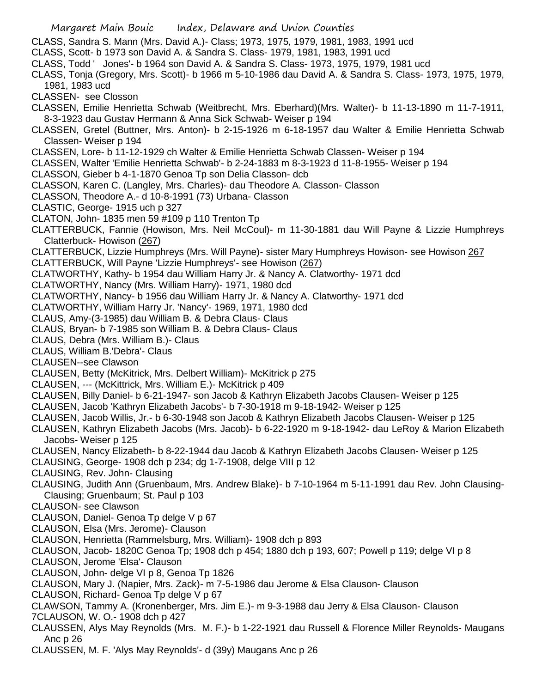- CLASS, Sandra S. Mann (Mrs. David A.)- Class; 1973, 1975, 1979, 1981, 1983, 1991 ucd
- CLASS, Scott- b 1973 son David A. & Sandra S. Class- 1979, 1981, 1983, 1991 ucd
- CLASS, Todd ' Jones'- b 1964 son David A. & Sandra S. Class- 1973, 1975, 1979, 1981 ucd
- CLASS, Tonja (Gregory, Mrs. Scott)- b 1966 m 5-10-1986 dau David A. & Sandra S. Class- 1973, 1975, 1979, 1981, 1983 ucd
- CLASSEN- see Closson
- CLASSEN, Emilie Henrietta Schwab (Weitbrecht, Mrs. Eberhard)(Mrs. Walter)- b 11-13-1890 m 11-7-1911, 8-3-1923 dau Gustav Hermann & Anna Sick Schwab- Weiser p 194
- CLASSEN, Gretel (Buttner, Mrs. Anton)- b 2-15-1926 m 6-18-1957 dau Walter & Emilie Henrietta Schwab Classen- Weiser p 194
- CLASSEN, Lore- b 11-12-1929 ch Walter & Emilie Henrietta Schwab Classen- Weiser p 194
- CLASSEN, Walter 'Emilie Henrietta Schwab'- b 2-24-1883 m 8-3-1923 d 11-8-1955- Weiser p 194
- CLASSON, Gieber b 4-1-1870 Genoa Tp son Delia Classon- dcb
- CLASSON, Karen C. (Langley, Mrs. Charles)- dau Theodore A. Classon- Classon
- CLASSON, Theodore A.- d 10-8-1991 (73) Urbana- Classon
- CLASTIC, George- 1915 uch p 327
- CLATON, John- 1835 men 59 #109 p 110 Trenton Tp
- CLATTERBUCK, Fannie (Howison, Mrs. Neil McCoul)- m 11-30-1881 dau Will Payne & Lizzie Humphreys Clatterbuck- Howison (267)
- CLATTERBUCK, Lizzie Humphreys (Mrs. Will Payne)- sister Mary Humphreys Howison- see Howison 267
- CLATTERBUCK, Will Payne 'Lizzie Humphreys'- see Howison (267)
- CLATWORTHY, Kathy- b 1954 dau William Harry Jr. & Nancy A. Clatworthy- 1971 dcd
- CLATWORTHY, Nancy (Mrs. William Harry)- 1971, 1980 dcd
- CLATWORTHY, Nancy- b 1956 dau William Harry Jr. & Nancy A. Clatworthy- 1971 dcd
- CLATWORTHY, William Harry Jr. 'Nancy'- 1969, 1971, 1980 dcd
- CLAUS, Amy-(3-1985) dau William B. & Debra Claus- Claus
- CLAUS, Bryan- b 7-1985 son William B. & Debra Claus- Claus
- CLAUS, Debra (Mrs. William B.)- Claus
- CLAUS, William B.'Debra'- Claus
- CLAUSEN--see Clawson
- CLAUSEN, Betty (McKitrick, Mrs. Delbert William)- McKitrick p 275
- CLAUSEN, --- (McKittrick, Mrs. William E.)- McKitrick p 409
- CLAUSEN, Billy Daniel- b 6-21-1947- son Jacob & Kathryn Elizabeth Jacobs Clausen- Weiser p 125
- CLAUSEN, Jacob 'Kathryn Elizabeth Jacobs'- b 7-30-1918 m 9-18-1942- Weiser p 125
- CLAUSEN, Jacob Willis, Jr.- b 6-30-1948 son Jacob & Kathryn Elizabeth Jacobs Clausen- Weiser p 125
- CLAUSEN, Kathryn Elizabeth Jacobs (Mrs. Jacob)- b 6-22-1920 m 9-18-1942- dau LeRoy & Marion Elizabeth Jacobs- Weiser p 125
- CLAUSEN, Nancy Elizabeth- b 8-22-1944 dau Jacob & Kathryn Elizabeth Jacobs Clausen- Weiser p 125
- CLAUSING, George- 1908 dch p 234; dg 1-7-1908, delge VIII p 12
- CLAUSING, Rev. John- Clausing
- CLAUSING, Judith Ann (Gruenbaum, Mrs. Andrew Blake)- b 7-10-1964 m 5-11-1991 dau Rev. John Clausing-Clausing; Gruenbaum; St. Paul p 103
- CLAUSON- see Clawson
- CLAUSON, Daniel- Genoa Tp delge V p 67
- CLAUSON, Elsa (Mrs. Jerome)- Clauson
- CLAUSON, Henrietta (Rammelsburg, Mrs. William)- 1908 dch p 893
- CLAUSON, Jacob- 1820C Genoa Tp; 1908 dch p 454; 1880 dch p 193, 607; Powell p 119; delge VI p 8
- CLAUSON, Jerome 'Elsa'- Clauson
- CLAUSON, John- delge VI p 8, Genoa Tp 1826
- CLAUSON, Mary J. (Napier, Mrs. Zack)- m 7-5-1986 dau Jerome & Elsa Clauson- Clauson
- CLAUSON, Richard- Genoa Tp delge V p 67
- CLAWSON, Tammy A. (Kronenberger, Mrs. Jim E.)- m 9-3-1988 dau Jerry & Elsa Clauson- Clauson
- 7CLAUSON, W. O.- 1908 dch p 427
- CLAUSSEN, Alys May Reynolds (Mrs. M. F.)- b 1-22-1921 dau Russell & Florence Miller Reynolds- Maugans Anc p 26
- CLAUSSEN, M. F. 'Alys May Reynolds'- d (39y) Maugans Anc p 26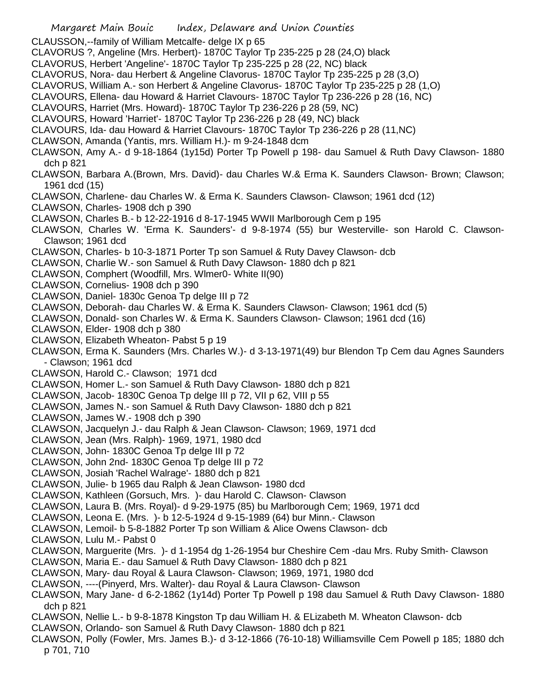- Margaret Main Bouic Index, Delaware and Union Counties CLAUSSON,--family of William Metcalfe- delge IX p 65 CLAVORUS ?, Angeline (Mrs. Herbert)- 1870C Taylor Tp 235-225 p 28 (24,O) black CLAVORUS, Herbert 'Angeline'- 1870C Taylor Tp 235-225 p 28 (22, NC) black CLAVORUS, Nora- dau Herbert & Angeline Clavorus- 1870C Taylor Tp 235-225 p 28 (3,O) CLAVORUS, William A.- son Herbert & Angeline Clavorus- 1870C Taylor Tp 235-225 p 28 (1,O) CLAVOURS, Ellena- dau Howard & Harriet Clavours- 1870C Taylor Tp 236-226 p 28 (16, NC) CLAVOURS, Harriet (Mrs. Howard)- 1870C Taylor Tp 236-226 p 28 (59, NC) CLAVOURS, Howard 'Harriet'- 1870C Taylor Tp 236-226 p 28 (49, NC) black CLAVOURS, Ida- dau Howard & Harriet Clavours- 1870C Taylor Tp 236-226 p 28 (11,NC) CLAWSON, Amanda (Yantis, mrs. William H.)- m 9-24-1848 dcm CLAWSON, Amy A.- d 9-18-1864 (1y15d) Porter Tp Powell p 198- dau Samuel & Ruth Davy Clawson- 1880 dch p 821 CLAWSON, Barbara A.(Brown, Mrs. David)- dau Charles W.& Erma K. Saunders Clawson- Brown; Clawson; 1961 dcd (15) CLAWSON, Charlene- dau Charles W. & Erma K. Saunders Clawson- Clawson; 1961 dcd (12) CLAWSON, Charles- 1908 dch p 390 CLAWSON, Charles B.- b 12-22-1916 d 8-17-1945 WWII Marlborough Cem p 195 CLAWSON, Charles W. 'Erma K. Saunders'- d 9-8-1974 (55) bur Westerville- son Harold C. Clawson-Clawson; 1961 dcd CLAWSON, Charles- b 10-3-1871 Porter Tp son Samuel & Ruty Davey Clawson- dcb CLAWSON, Charlie W.- son Samuel & Ruth Davy Clawson- 1880 dch p 821 CLAWSON, Comphert (Woodfill, Mrs. Wlmer0- White II(90) CLAWSON, Cornelius- 1908 dch p 390 CLAWSON, Daniel- 1830c Genoa Tp delge III p 72 CLAWSON, Deborah- dau Charles W. & Erma K. Saunders Clawson- Clawson; 1961 dcd (5) CLAWSON, Donald- son Charles W. & Erma K. Saunders Clawson- Clawson; 1961 dcd (16) CLAWSON, Elder- 1908 dch p 380 CLAWSON, Elizabeth Wheaton- Pabst 5 p 19 CLAWSON, Erma K. Saunders (Mrs. Charles W.)- d 3-13-1971(49) bur Blendon Tp Cem dau Agnes Saunders - Clawson; 1961 dcd CLAWSON, Harold C.- Clawson; 1971 dcd CLAWSON, Homer L.- son Samuel & Ruth Davy Clawson- 1880 dch p 821 CLAWSON, Jacob- 1830C Genoa Tp delge III p 72, VII p 62, VIII p 55 CLAWSON, James N.- son Samuel & Ruth Davy Clawson- 1880 dch p 821 CLAWSON, James W.- 1908 dch p 390 CLAWSON, Jacquelyn J.- dau Ralph & Jean Clawson- Clawson; 1969, 1971 dcd CLAWSON, Jean (Mrs. Ralph)- 1969, 1971, 1980 dcd CLAWSON, John- 1830C Genoa Tp delge III p 72 CLAWSON, John 2nd- 1830C Genoa Tp delge III p 72 CLAWSON, Josiah 'Rachel Walrage'- 1880 dch p 821 CLAWSON, Julie- b 1965 dau Ralph & Jean Clawson- 1980 dcd CLAWSON, Kathleen (Gorsuch, Mrs. )- dau Harold C. Clawson- Clawson CLAWSON, Laura B. (Mrs. Royal)- d 9-29-1975 (85) bu Marlborough Cem; 1969, 1971 dcd CLAWSON, Leona E. (Mrs. )- b 12-5-1924 d 9-15-1989 (64) bur Minn.- Clawson CLAWSON, Lemoil- b 5-8-1882 Porter Tp son William & Alice Owens Clawson- dcb CLAWSON, Lulu M.- Pabst 0 CLAWSON, Marguerite (Mrs. )- d 1-1954 dg 1-26-1954 bur Cheshire Cem -dau Mrs. Ruby Smith- Clawson CLAWSON, Maria E.- dau Samuel & Ruth Davy Clawson- 1880 dch p 821
	- CLAWSON, Mary- dau Royal & Laura Clawson- Clawson; 1969, 1971, 1980 dcd
	- CLAWSON, ----(Pinyerd, Mrs. Walter)- dau Royal & Laura Clawson- Clawson
	- CLAWSON, Mary Jane- d 6-2-1862 (1y14d) Porter Tp Powell p 198 dau Samuel & Ruth Davy Clawson- 1880 dch p 821
	- CLAWSON, Nellie L.- b 9-8-1878 Kingston Tp dau William H. & ELizabeth M. Wheaton Clawson- dcb
	- CLAWSON, Orlando- son Samuel & Ruth Davy Clawson- 1880 dch p 821
	- CLAWSON, Polly (Fowler, Mrs. James B.)- d 3-12-1866 (76-10-18) Williamsville Cem Powell p 185; 1880 dch p 701, 710